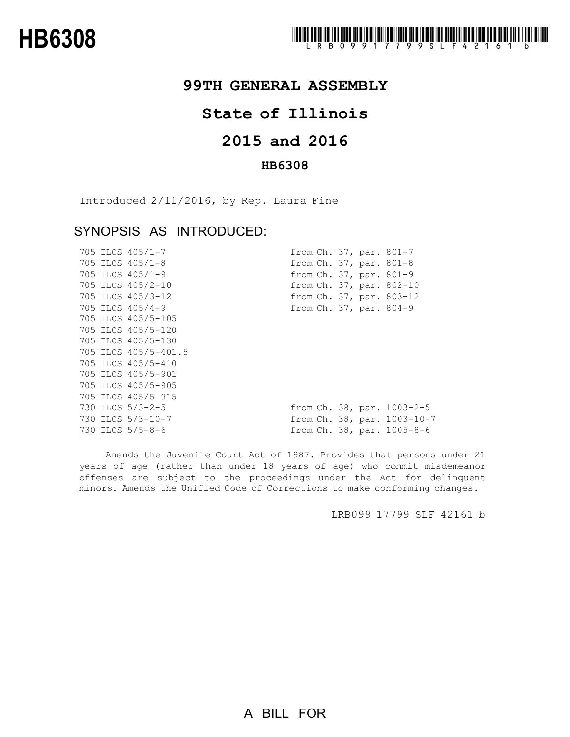## **99TH GENERAL ASSEMBLY**

## **State of Illinois**

# **2015 and 2016**

### **HB6308**

Introduced 2/11/2016, by Rep. Laura Fine

### SYNOPSIS AS INTRODUCED:

|  | 705 ILCS 405/1-7     |  |  | from Ch. 37, par. 801-7         |
|--|----------------------|--|--|---------------------------------|
|  | 705 ILCS 405/1-8     |  |  | from Ch. 37, par. 801-8         |
|  | 705 ILCS 405/1-9     |  |  | from Ch. 37, par. 801-9         |
|  | 705 ILCS 405/2-10    |  |  | from Ch. 37, par. 802-10        |
|  | 705 ILCS 405/3-12    |  |  | from Ch. 37, par. 803-12        |
|  | 705 ILCS 405/4-9     |  |  | from Ch. 37, par. 804-9         |
|  | 705 ILCS 405/5-105   |  |  |                                 |
|  | 705 ILCS 405/5-120   |  |  |                                 |
|  | 705 ILCS 405/5-130   |  |  |                                 |
|  | 705 ILCS 405/5-401.5 |  |  |                                 |
|  | 705 ILCS 405/5-410   |  |  |                                 |
|  | 705 ILCS 405/5-901   |  |  |                                 |
|  | 705 ILCS 405/5-905   |  |  |                                 |
|  | 705 ILCS 405/5-915   |  |  |                                 |
|  | 730 ILCS 5/3-2-5     |  |  | from Ch. 38, par. 1003-2-5      |
|  | 730 ILCS 5/3-10-7    |  |  | from Ch. 38, par. 1003-10-7     |
|  | 730 ILCS 5/5-8-6     |  |  | from $Ch. 38$ , par. $1005-8-6$ |

Amends the Juvenile Court Act of 1987. Provides that persons under 21 years of age (rather than under 18 years of age) who commit misdemeanor offenses are subject to the proceedings under the Act for delinquent minors. Amends the Unified Code of Corrections to make conforming changes.

LRB099 17799 SLF 42161 b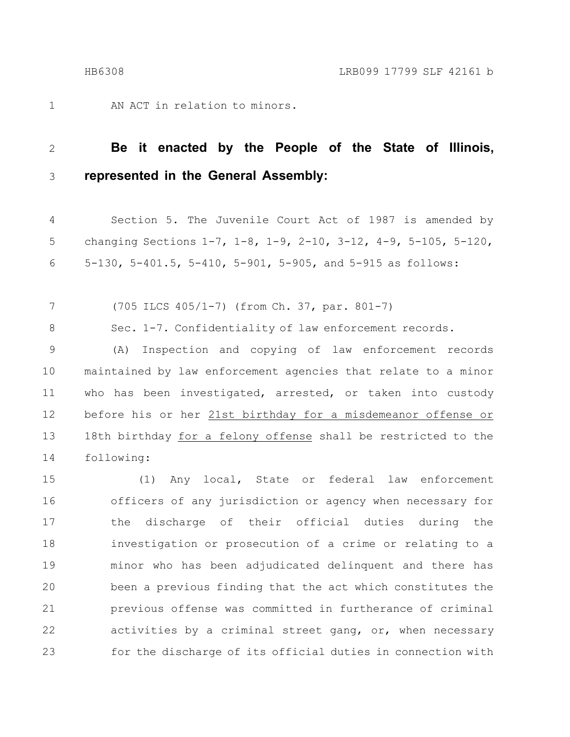AN ACT in relation to minors. 1

#### **Be it enacted by the People of the State of Illinois, represented in the General Assembly:** 2 3

Section 5. The Juvenile Court Act of 1987 is amended by changing Sections 1-7, 1-8, 1-9, 2-10, 3-12, 4-9, 5-105, 5-120, 5-130, 5-401.5, 5-410, 5-901, 5-905, and 5-915 as follows: 4 5 6

(705 ILCS 405/1-7) (from Ch. 37, par. 801-7) 7

Sec. 1-7. Confidentiality of law enforcement records. 8

(A) Inspection and copying of law enforcement records maintained by law enforcement agencies that relate to a minor who has been investigated, arrested, or taken into custody before his or her 21st birthday for a misdemeanor offense or 18th birthday for a felony offense shall be restricted to the following: 9 10 11 12 13 14

(1) Any local, State or federal law enforcement officers of any jurisdiction or agency when necessary for the discharge of their official duties during the investigation or prosecution of a crime or relating to a minor who has been adjudicated delinquent and there has been a previous finding that the act which constitutes the previous offense was committed in furtherance of criminal activities by a criminal street gang, or, when necessary for the discharge of its official duties in connection with 15 16 17 18 19 20 21 22 23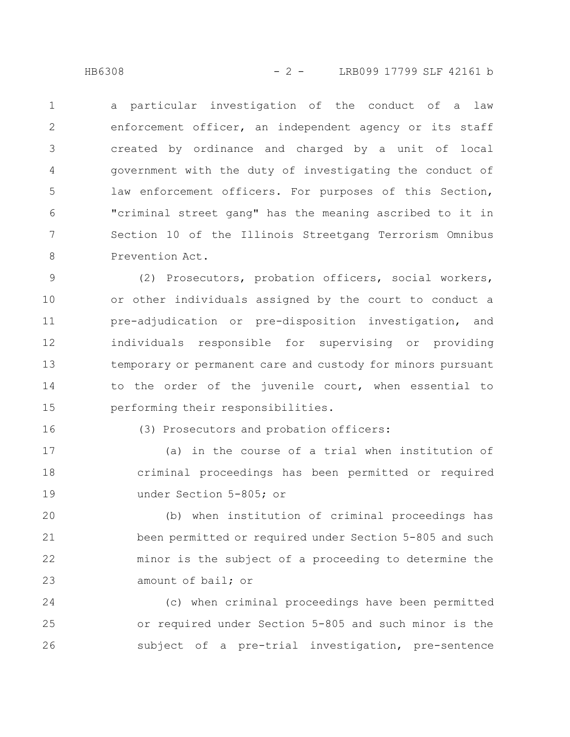HB6308 - 2 - LRB099 17799 SLF 42161 b

a particular investigation of the conduct of a law enforcement officer, an independent agency or its staff created by ordinance and charged by a unit of local government with the duty of investigating the conduct of law enforcement officers. For purposes of this Section, "criminal street gang" has the meaning ascribed to it in Section 10 of the Illinois Streetgang Terrorism Omnibus Prevention Act. 1 2 3 4 5 6 7 8

(2) Prosecutors, probation officers, social workers, or other individuals assigned by the court to conduct a pre-adjudication or pre-disposition investigation, and individuals responsible for supervising or providing temporary or permanent care and custody for minors pursuant to the order of the juvenile court, when essential to performing their responsibilities. 9 10 11 12 13 14 15

16

(3) Prosecutors and probation officers:

(a) in the course of a trial when institution of criminal proceedings has been permitted or required under Section 5-805; or 17 18 19

(b) when institution of criminal proceedings has been permitted or required under Section 5-805 and such minor is the subject of a proceeding to determine the amount of bail; or 20 21 22 23

(c) when criminal proceedings have been permitted or required under Section 5-805 and such minor is the subject of a pre-trial investigation, pre-sentence 24 25 26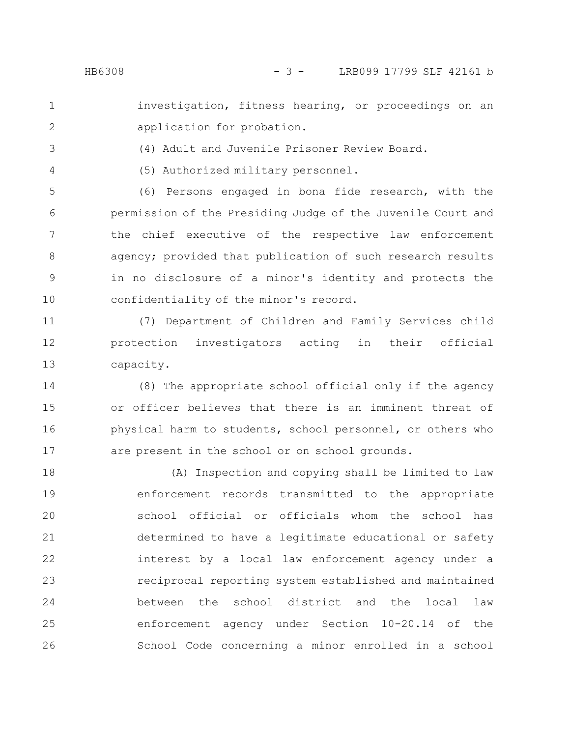investigation, fitness hearing, or proceedings on an application for probation. 1 2

- (4) Adult and Juvenile Prisoner Review Board. 3
- 4

(5) Authorized military personnel.

(6) Persons engaged in bona fide research, with the permission of the Presiding Judge of the Juvenile Court and the chief executive of the respective law enforcement agency; provided that publication of such research results in no disclosure of a minor's identity and protects the confidentiality of the minor's record. 5 6 7 8 9 10

(7) Department of Children and Family Services child protection investigators acting in their official capacity. 11 12 13

(8) The appropriate school official only if the agency or officer believes that there is an imminent threat of physical harm to students, school personnel, or others who are present in the school or on school grounds. 14 15 16 17

(A) Inspection and copying shall be limited to law enforcement records transmitted to the appropriate school official or officials whom the school has determined to have a legitimate educational or safety interest by a local law enforcement agency under a reciprocal reporting system established and maintained between the school district and the local law enforcement agency under Section 10-20.14 of the School Code concerning a minor enrolled in a school 18 19 20 21 22 23 24 25 26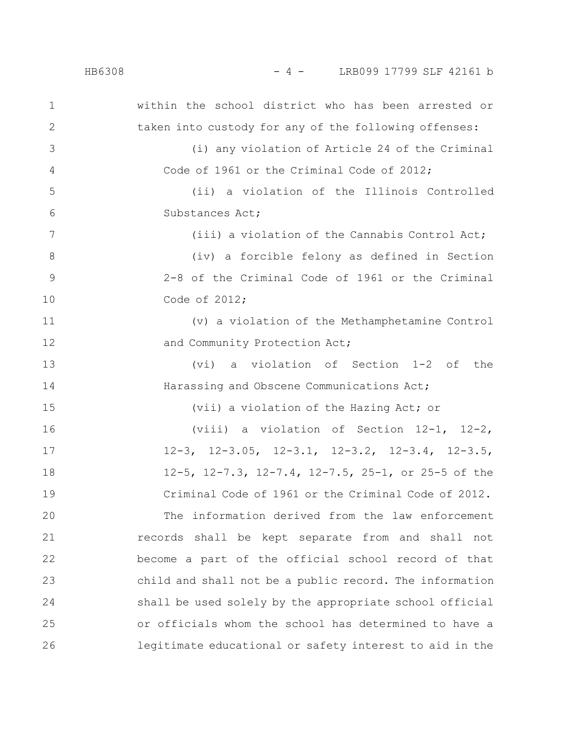| $\mathbf 1$  | within the school district who has been arrested or              |
|--------------|------------------------------------------------------------------|
| $\mathbf{2}$ | taken into custody for any of the following offenses:            |
| 3            | (i) any violation of Article 24 of the Criminal                  |
| 4            | Code of 1961 or the Criminal Code of 2012;                       |
| 5            | (ii) a violation of the Illinois Controlled                      |
| 6            | Substances Act;                                                  |
| 7            | (iii) a violation of the Cannabis Control Act;                   |
| 8            | (iv) a forcible felony as defined in Section                     |
| 9            | 2-8 of the Criminal Code of 1961 or the Criminal                 |
| 10           | Code of 2012;                                                    |
| 11           | (v) a violation of the Methamphetamine Control                   |
| 12           | and Community Protection Act;                                    |
| 13           | a violation of Section 1-2 of the<br>(vi)                        |
| 14           | Harassing and Obscene Communications Act;                        |
| 15           | (vii) a violation of the Hazing Act; or                          |
| 16           | (viii) a violation of Section $12-1$ , $12-2$ ,                  |
| 17           | $12-3$ , $12-3.05$ , $12-3.1$ , $12-3.2$ , $12-3.4$ , $12-3.5$ , |
| 18           | 12-5, 12-7.3, 12-7.4, 12-7.5, 25-1, or 25-5 of the               |
| 19           | Criminal Code of 1961 or the Criminal Code of 2012.              |
| 20           | The information derived from the law enforcement                 |
| 21           | records shall be kept separate from and shall not                |
| 22           | become a part of the official school record of that              |
| 23           | child and shall not be a public record. The information          |
| 24           | shall be used solely by the appropriate school official          |
| 25           | or officials whom the school has determined to have a            |
| 26           | legitimate educational or safety interest to aid in the          |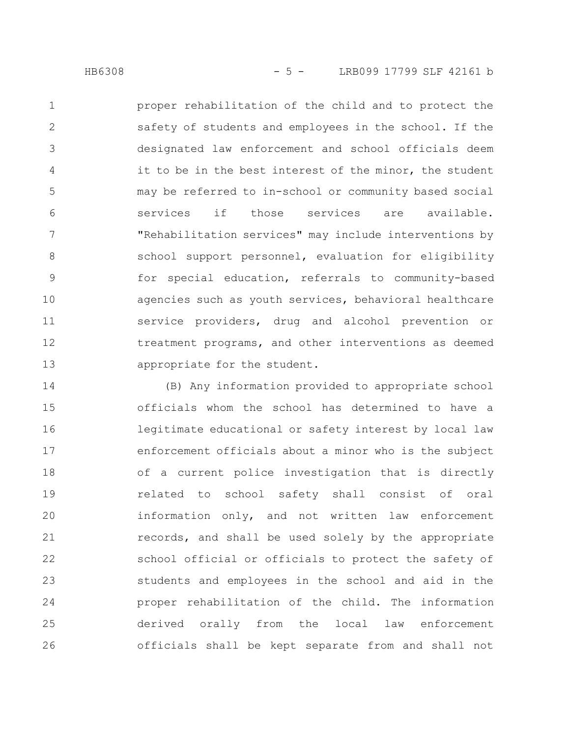proper rehabilitation of the child and to protect the safety of students and employees in the school. If the designated law enforcement and school officials deem it to be in the best interest of the minor, the student may be referred to in-school or community based social services if those services are available. "Rehabilitation services" may include interventions by school support personnel, evaluation for eligibility for special education, referrals to community-based 1 2 3 4 5 6 7 8 9

agencies such as youth services, behavioral healthcare service providers, drug and alcohol prevention or treatment programs, and other interventions as deemed appropriate for the student. 10 11 12 13

(B) Any information provided to appropriate school officials whom the school has determined to have a legitimate educational or safety interest by local law enforcement officials about a minor who is the subject of a current police investigation that is directly related to school safety shall consist of oral information only, and not written law enforcement records, and shall be used solely by the appropriate school official or officials to protect the safety of students and employees in the school and aid in the proper rehabilitation of the child. The information derived orally from the local law enforcement officials shall be kept separate from and shall not 14 15 16 17 18 19 20 21 22 23 24 25 26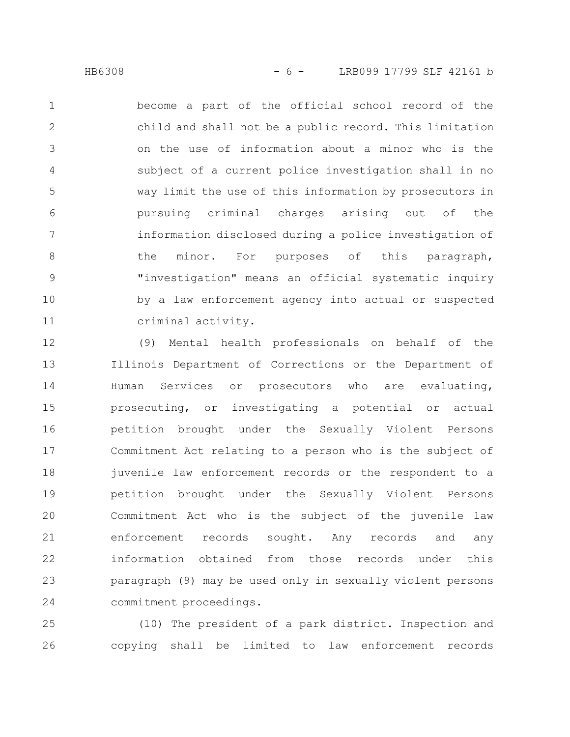become a part of the official school record of the child and shall not be a public record. This limitation on the use of information about a minor who is the subject of a current police investigation shall in no way limit the use of this information by prosecutors in pursuing criminal charges arising out of the information disclosed during a police investigation of the minor. For purposes of this paragraph, "investigation" means an official systematic inquiry by a law enforcement agency into actual or suspected criminal activity. 1 2 3 4 5 6 7 8 9 10 11

(9) Mental health professionals on behalf of the Illinois Department of Corrections or the Department of Human Services or prosecutors who are evaluating, prosecuting, or investigating a potential or actual petition brought under the Sexually Violent Persons Commitment Act relating to a person who is the subject of juvenile law enforcement records or the respondent to a petition brought under the Sexually Violent Persons Commitment Act who is the subject of the juvenile law enforcement records sought. Any records and any information obtained from those records under this paragraph (9) may be used only in sexually violent persons commitment proceedings. 12 13 14 15 16 17 18 19 20 21 22 23 24

(10) The president of a park district. Inspection and copying shall be limited to law enforcement records 25 26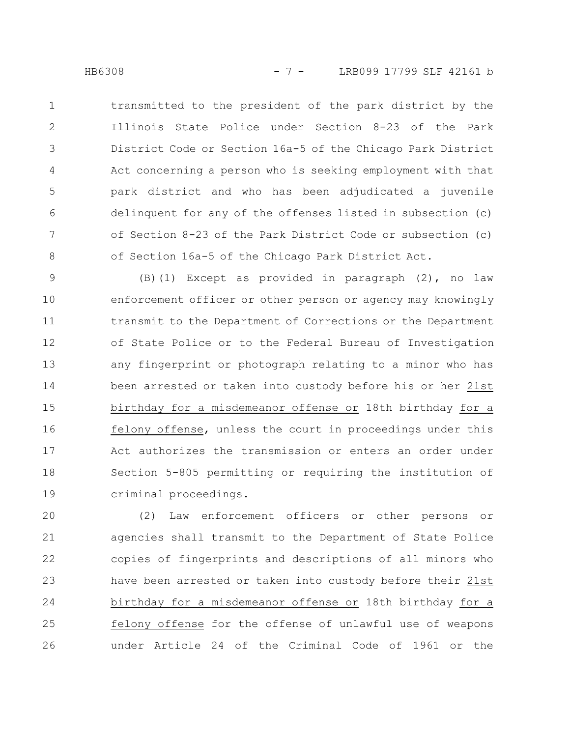transmitted to the president of the park district by the Illinois State Police under Section 8-23 of the Park District Code or Section 16a-5 of the Chicago Park District Act concerning a person who is seeking employment with that park district and who has been adjudicated a juvenile delinquent for any of the offenses listed in subsection (c) of Section 8-23 of the Park District Code or subsection (c) of Section 16a-5 of the Chicago Park District Act. 1 2 3 4 5 6 7 8

(B)(1) Except as provided in paragraph (2), no law enforcement officer or other person or agency may knowingly transmit to the Department of Corrections or the Department of State Police or to the Federal Bureau of Investigation any fingerprint or photograph relating to a minor who has been arrested or taken into custody before his or her 21st birthday for a misdemeanor offense or 18th birthday for a felony offense, unless the court in proceedings under this Act authorizes the transmission or enters an order under Section 5-805 permitting or requiring the institution of criminal proceedings. 9 10 11 12 13 14 15 16 17 18 19

(2) Law enforcement officers or other persons or agencies shall transmit to the Department of State Police copies of fingerprints and descriptions of all minors who have been arrested or taken into custody before their 21st birthday for a misdemeanor offense or 18th birthday for a felony offense for the offense of unlawful use of weapons under Article 24 of the Criminal Code of 1961 or the 20 21 22 23 24 25 26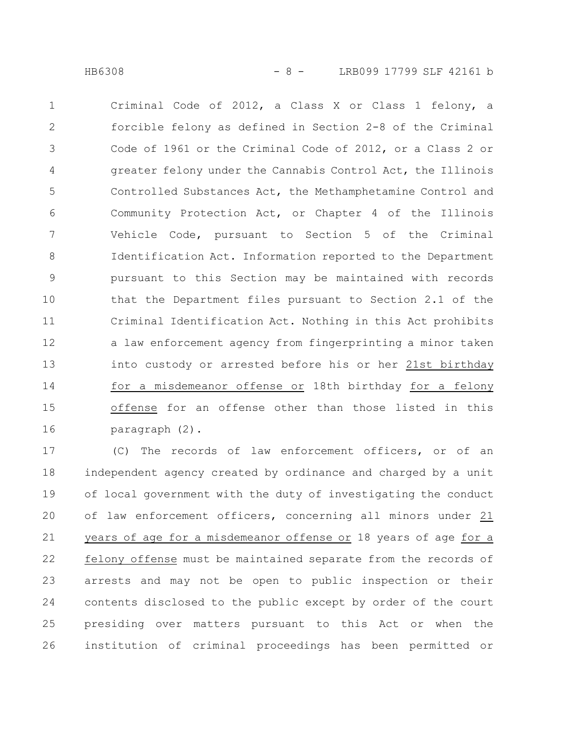Criminal Code of 2012, a Class X or Class 1 felony, a forcible felony as defined in Section 2-8 of the Criminal Code of 1961 or the Criminal Code of 2012, or a Class 2 or greater felony under the Cannabis Control Act, the Illinois Controlled Substances Act, the Methamphetamine Control and Community Protection Act, or Chapter 4 of the Illinois Vehicle Code, pursuant to Section 5 of the Criminal Identification Act. Information reported to the Department pursuant to this Section may be maintained with records that the Department files pursuant to Section 2.1 of the Criminal Identification Act. Nothing in this Act prohibits a law enforcement agency from fingerprinting a minor taken into custody or arrested before his or her 21st birthday for a misdemeanor offense or 18th birthday for a felony offense for an offense other than those listed in this paragraph (2). 1 2 3 4 5 6 7 8 9 10 11 12 13 14 15 16

(C) The records of law enforcement officers, or of an independent agency created by ordinance and charged by a unit of local government with the duty of investigating the conduct of law enforcement officers, concerning all minors under 21 years of age for a misdemeanor offense or 18 years of age for a felony offense must be maintained separate from the records of arrests and may not be open to public inspection or their contents disclosed to the public except by order of the court presiding over matters pursuant to this Act or when the institution of criminal proceedings has been permitted or 17 18 19 20 21 22 23 24 25 26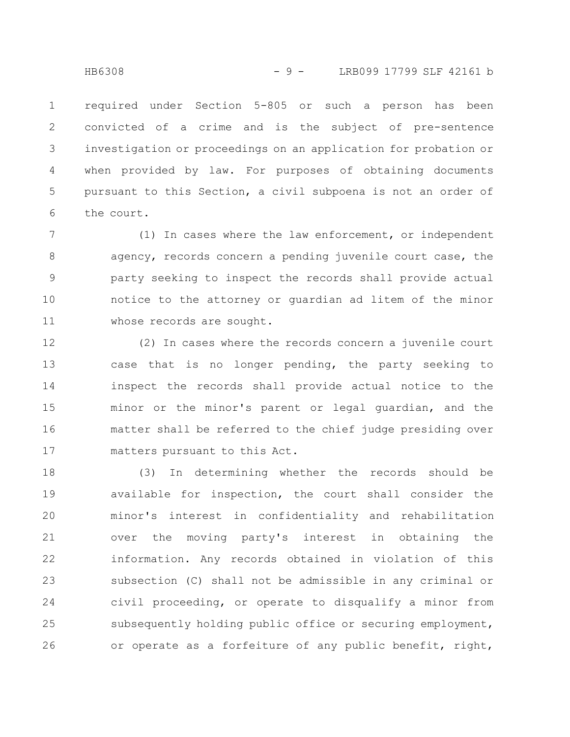required under Section 5-805 or such a person has been convicted of a crime and is the subject of pre-sentence investigation or proceedings on an application for probation or when provided by law. For purposes of obtaining documents pursuant to this Section, a civil subpoena is not an order of the court. 1 2 3 4 5 6

(1) In cases where the law enforcement, or independent agency, records concern a pending juvenile court case, the party seeking to inspect the records shall provide actual notice to the attorney or guardian ad litem of the minor whose records are sought. 7 8 9 10 11

(2) In cases where the records concern a juvenile court case that is no longer pending, the party seeking to inspect the records shall provide actual notice to the minor or the minor's parent or legal guardian, and the matter shall be referred to the chief judge presiding over matters pursuant to this Act. 12 13 14 15 16 17

(3) In determining whether the records should be available for inspection, the court shall consider the minor's interest in confidentiality and rehabilitation over the moving party's interest in obtaining the information. Any records obtained in violation of this subsection (C) shall not be admissible in any criminal or civil proceeding, or operate to disqualify a minor from subsequently holding public office or securing employment, or operate as a forfeiture of any public benefit, right, 18 19 20 21 22 23 24 25 26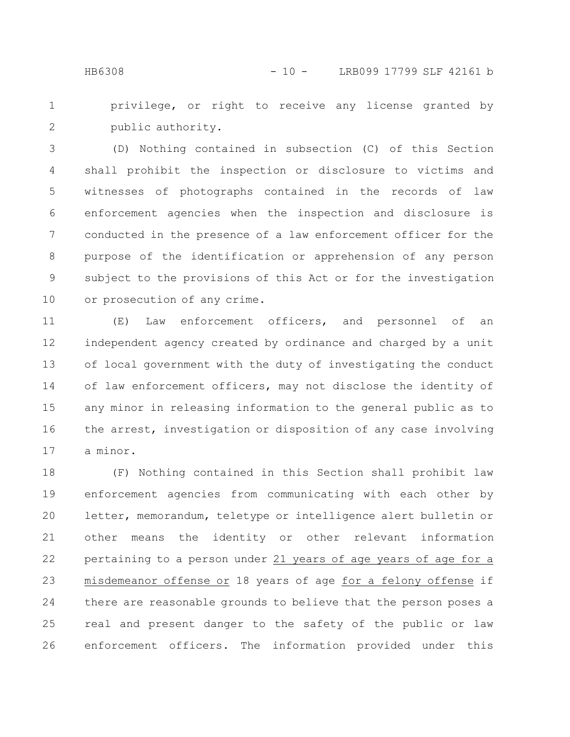privilege, or right to receive any license granted by public authority. 1 2

(D) Nothing contained in subsection (C) of this Section shall prohibit the inspection or disclosure to victims and witnesses of photographs contained in the records of law enforcement agencies when the inspection and disclosure is conducted in the presence of a law enforcement officer for the purpose of the identification or apprehension of any person subject to the provisions of this Act or for the investigation or prosecution of any crime. 3 4 5 6 7 8 9 10

(E) Law enforcement officers, and personnel of an independent agency created by ordinance and charged by a unit of local government with the duty of investigating the conduct of law enforcement officers, may not disclose the identity of any minor in releasing information to the general public as to the arrest, investigation or disposition of any case involving a minor. 11 12 13 14 15 16 17

(F) Nothing contained in this Section shall prohibit law enforcement agencies from communicating with each other by letter, memorandum, teletype or intelligence alert bulletin or other means the identity or other relevant information pertaining to a person under 21 years of age years of age for a misdemeanor offense or 18 years of age for a felony offense if there are reasonable grounds to believe that the person poses a real and present danger to the safety of the public or law enforcement officers. The information provided under this 18 19 20 21 22 23 24 25 26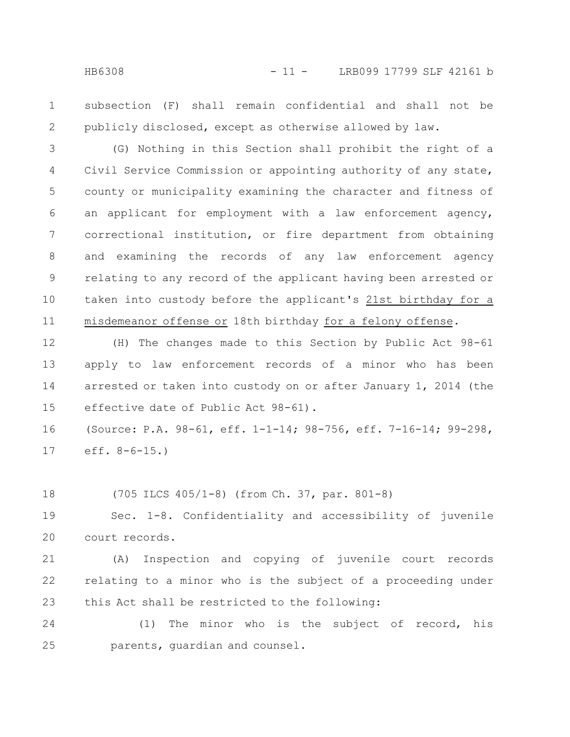subsection (F) shall remain confidential and shall not be publicly disclosed, except as otherwise allowed by law. 1 2

(G) Nothing in this Section shall prohibit the right of a Civil Service Commission or appointing authority of any state, county or municipality examining the character and fitness of an applicant for employment with a law enforcement agency, correctional institution, or fire department from obtaining and examining the records of any law enforcement agency relating to any record of the applicant having been arrested or taken into custody before the applicant's 21st birthday for a misdemeanor offense or 18th birthday for a felony offense. 3 4 5 6 7 8 9 10 11

(H) The changes made to this Section by Public Act 98-61 apply to law enforcement records of a minor who has been arrested or taken into custody on or after January 1, 2014 (the effective date of Public Act 98-61). 12 13 14 15

(Source: P.A. 98-61, eff. 1-1-14; 98-756, eff. 7-16-14; 99-298, eff. 8-6-15.) 16 17

(705 ILCS 405/1-8) (from Ch. 37, par. 801-8) 18

Sec. 1-8. Confidentiality and accessibility of juvenile court records. 19 20

(A) Inspection and copying of juvenile court records relating to a minor who is the subject of a proceeding under this Act shall be restricted to the following: 21 22 23

(1) The minor who is the subject of record, his parents, guardian and counsel. 24 25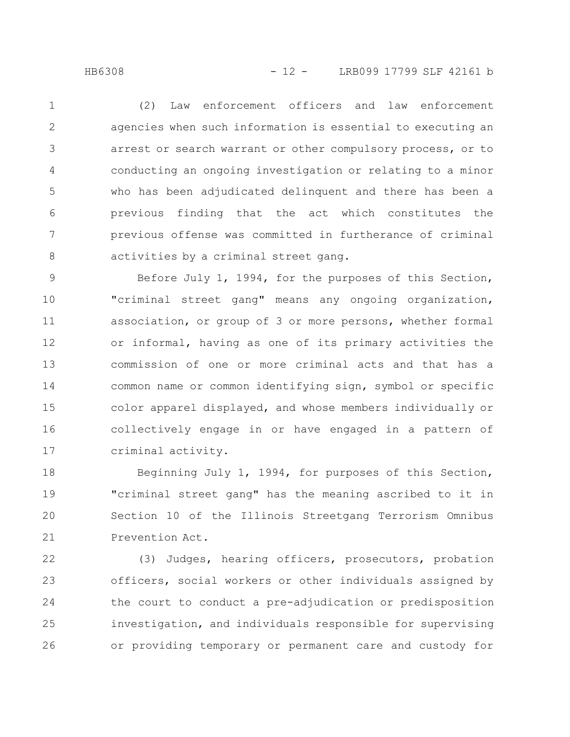(2) Law enforcement officers and law enforcement agencies when such information is essential to executing an arrest or search warrant or other compulsory process, or to conducting an ongoing investigation or relating to a minor who has been adjudicated delinquent and there has been a previous finding that the act which constitutes the previous offense was committed in furtherance of criminal activities by a criminal street gang. 1 2 3 4 5 6 7 8

Before July 1, 1994, for the purposes of this Section, "criminal street gang" means any ongoing organization, association, or group of 3 or more persons, whether formal or informal, having as one of its primary activities the commission of one or more criminal acts and that has a common name or common identifying sign, symbol or specific color apparel displayed, and whose members individually or collectively engage in or have engaged in a pattern of criminal activity. 9 10 11 12 13 14 15 16 17

Beginning July 1, 1994, for purposes of this Section, "criminal street gang" has the meaning ascribed to it in Section 10 of the Illinois Streetgang Terrorism Omnibus Prevention Act. 18 19 20 21

(3) Judges, hearing officers, prosecutors, probation officers, social workers or other individuals assigned by the court to conduct a pre-adjudication or predisposition investigation, and individuals responsible for supervising or providing temporary or permanent care and custody for 22 23 24 25 26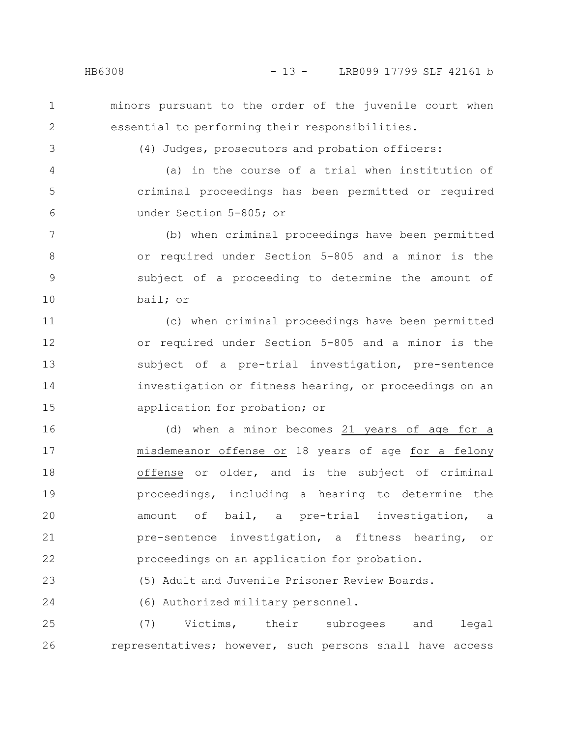minors pursuant to the order of the juvenile court when essential to performing their responsibilities.

(4) Judges, prosecutors and probation officers:

(a) in the course of a trial when institution of criminal proceedings has been permitted or required under Section 5-805; or 4 5 6

(b) when criminal proceedings have been permitted or required under Section 5-805 and a minor is the subject of a proceeding to determine the amount of bail; or 7 8 9 10

(c) when criminal proceedings have been permitted or required under Section 5-805 and a minor is the subject of a pre-trial investigation, pre-sentence investigation or fitness hearing, or proceedings on an application for probation; or 11 12 13 14 15

(d) when a minor becomes 21 years of age for a misdemeanor offense or 18 years of age for a felony offense or older, and is the subject of criminal proceedings, including a hearing to determine the amount of bail, a pre-trial investigation, a pre-sentence investigation, a fitness hearing, or proceedings on an application for probation. 16 17 18 19 20 21 22

(5) Adult and Juvenile Prisoner Review Boards. 23

(6) Authorized military personnel. 24

(7) Victims, their subrogees and legal representatives; however, such persons shall have access 25 26

1

2

3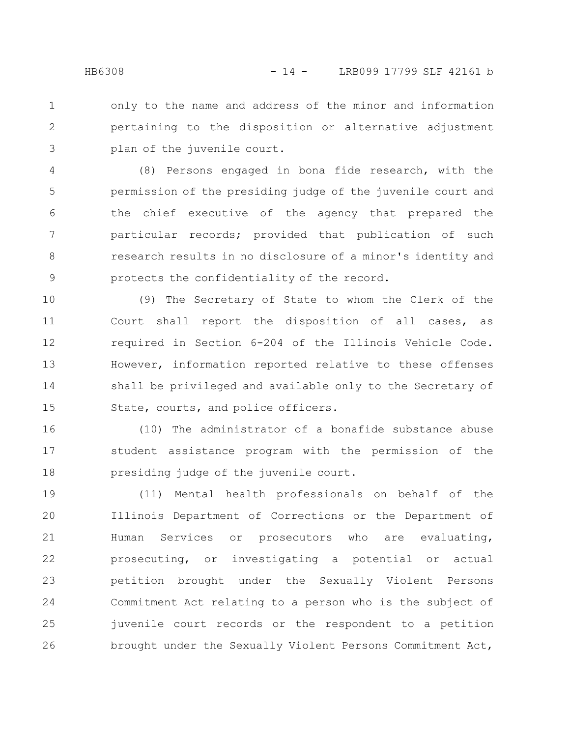only to the name and address of the minor and information pertaining to the disposition or alternative adjustment plan of the juvenile court. 1 2 3

(8) Persons engaged in bona fide research, with the permission of the presiding judge of the juvenile court and the chief executive of the agency that prepared the particular records; provided that publication of such research results in no disclosure of a minor's identity and protects the confidentiality of the record. 4 5 6 7 8 9

(9) The Secretary of State to whom the Clerk of the Court shall report the disposition of all cases, as required in Section 6-204 of the Illinois Vehicle Code. However, information reported relative to these offenses shall be privileged and available only to the Secretary of State, courts, and police officers. 10 11 12 13 14 15

(10) The administrator of a bonafide substance abuse student assistance program with the permission of the presiding judge of the juvenile court. 16 17 18

(11) Mental health professionals on behalf of the Illinois Department of Corrections or the Department of Human Services or prosecutors who are evaluating, prosecuting, or investigating a potential or actual petition brought under the Sexually Violent Persons Commitment Act relating to a person who is the subject of juvenile court records or the respondent to a petition brought under the Sexually Violent Persons Commitment Act, 19 20 21 22 23 24 25 26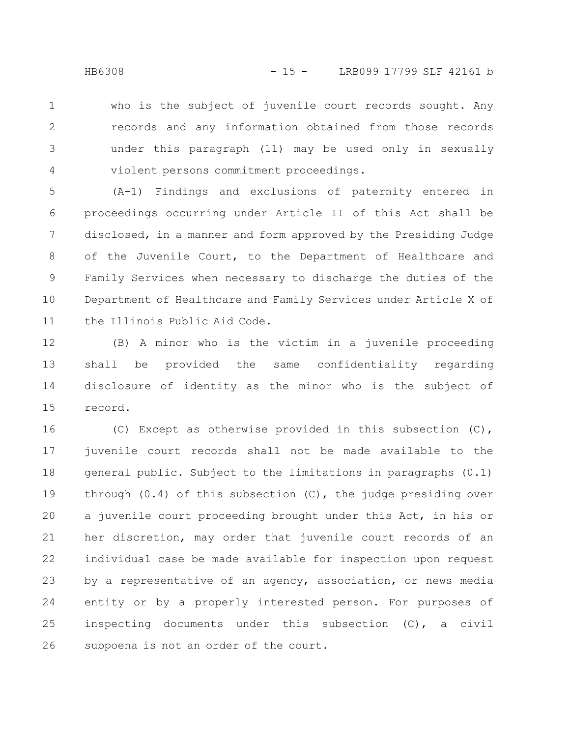who is the subject of juvenile court records sought. Any records and any information obtained from those records under this paragraph (11) may be used only in sexually violent persons commitment proceedings. 1 2 3 4

(A-1) Findings and exclusions of paternity entered in proceedings occurring under Article II of this Act shall be disclosed, in a manner and form approved by the Presiding Judge of the Juvenile Court, to the Department of Healthcare and Family Services when necessary to discharge the duties of the Department of Healthcare and Family Services under Article X of the Illinois Public Aid Code. 5 6 7 8 9 10 11

(B) A minor who is the victim in a juvenile proceeding shall be provided the same confidentiality regarding disclosure of identity as the minor who is the subject of record. 12 13 14 15

(C) Except as otherwise provided in this subsection (C), juvenile court records shall not be made available to the general public. Subject to the limitations in paragraphs (0.1) through  $(0.4)$  of this subsection  $(C)$ , the judge presiding over a juvenile court proceeding brought under this Act, in his or her discretion, may order that juvenile court records of an individual case be made available for inspection upon request by a representative of an agency, association, or news media entity or by a properly interested person. For purposes of inspecting documents under this subsection (C), a civil subpoena is not an order of the court. 16 17 18 19 20 21 22 23 24 25 26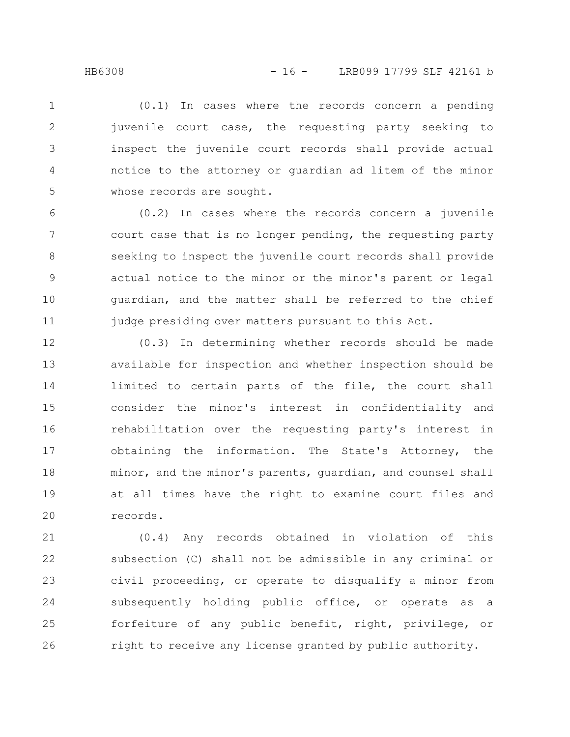(0.1) In cases where the records concern a pending juvenile court case, the requesting party seeking to inspect the juvenile court records shall provide actual notice to the attorney or guardian ad litem of the minor whose records are sought. 1 2 3 4 5

(0.2) In cases where the records concern a juvenile court case that is no longer pending, the requesting party seeking to inspect the juvenile court records shall provide actual notice to the minor or the minor's parent or legal guardian, and the matter shall be referred to the chief judge presiding over matters pursuant to this Act. 6 7 8 9 10 11

(0.3) In determining whether records should be made available for inspection and whether inspection should be limited to certain parts of the file, the court shall consider the minor's interest in confidentiality and rehabilitation over the requesting party's interest in obtaining the information. The State's Attorney, the minor, and the minor's parents, guardian, and counsel shall at all times have the right to examine court files and records. 12 13 14 15 16 17 18 19 20

(0.4) Any records obtained in violation of this subsection (C) shall not be admissible in any criminal or civil proceeding, or operate to disqualify a minor from subsequently holding public office, or operate as a forfeiture of any public benefit, right, privilege, or right to receive any license granted by public authority. 21 22 23 24 25 26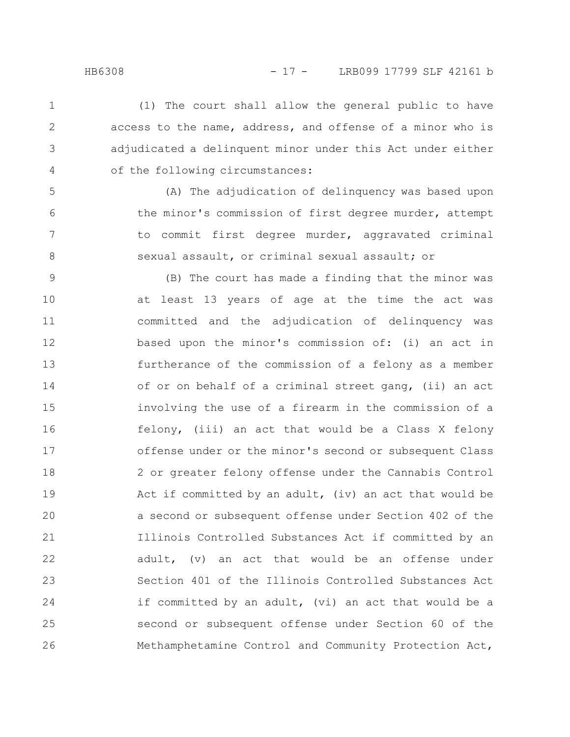1

2

3

4

5

6

7

8

(1) The court shall allow the general public to have access to the name, address, and offense of a minor who is adjudicated a delinquent minor under this Act under either of the following circumstances:

(A) The adjudication of delinquency was based upon the minor's commission of first degree murder, attempt to commit first degree murder, aggravated criminal sexual assault, or criminal sexual assault; or

(B) The court has made a finding that the minor was at least 13 years of age at the time the act was committed and the adjudication of delinquency was based upon the minor's commission of: (i) an act in furtherance of the commission of a felony as a member of or on behalf of a criminal street gang, (ii) an act involving the use of a firearm in the commission of a felony, (iii) an act that would be a Class X felony offense under or the minor's second or subsequent Class 2 or greater felony offense under the Cannabis Control Act if committed by an adult, (iv) an act that would be a second or subsequent offense under Section 402 of the Illinois Controlled Substances Act if committed by an adult, (v) an act that would be an offense under Section 401 of the Illinois Controlled Substances Act if committed by an adult, (vi) an act that would be a second or subsequent offense under Section 60 of the Methamphetamine Control and Community Protection Act, 9 10 11 12 13 14 15 16 17 18 19 20 21 22 23 24 25 26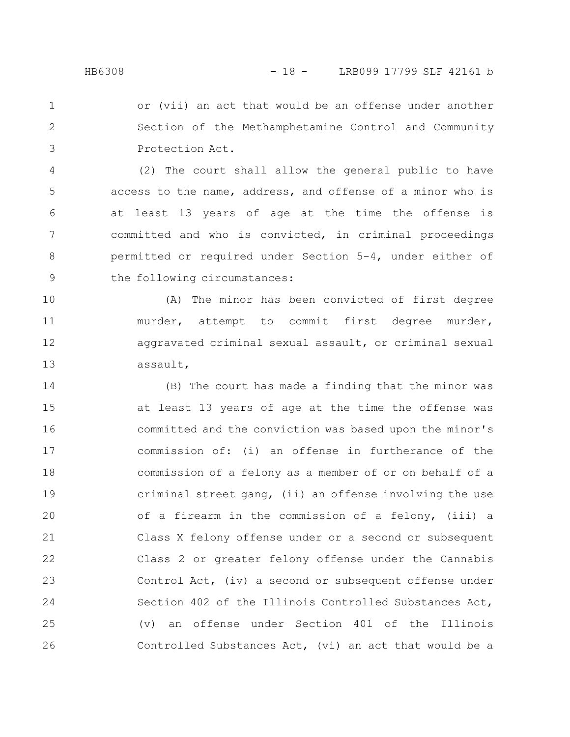or (vii) an act that would be an offense under another Section of the Methamphetamine Control and Community Protection Act. 1 2 3

(2) The court shall allow the general public to have access to the name, address, and offense of a minor who is at least 13 years of age at the time the offense is committed and who is convicted, in criminal proceedings permitted or required under Section 5-4, under either of the following circumstances: 4 5 6 7 8 9

(A) The minor has been convicted of first degree murder, attempt to commit first degree murder, aggravated criminal sexual assault, or criminal sexual assault, 10 11 12 13

(B) The court has made a finding that the minor was at least 13 years of age at the time the offense was committed and the conviction was based upon the minor's commission of: (i) an offense in furtherance of the commission of a felony as a member of or on behalf of a criminal street gang, (ii) an offense involving the use of a firearm in the commission of a felony, (iii) a Class X felony offense under or a second or subsequent Class 2 or greater felony offense under the Cannabis Control Act, (iv) a second or subsequent offense under Section 402 of the Illinois Controlled Substances Act, (v) an offense under Section 401 of the Illinois Controlled Substances Act, (vi) an act that would be a 14 15 16 17 18 19 20 21 22 23 24 25 26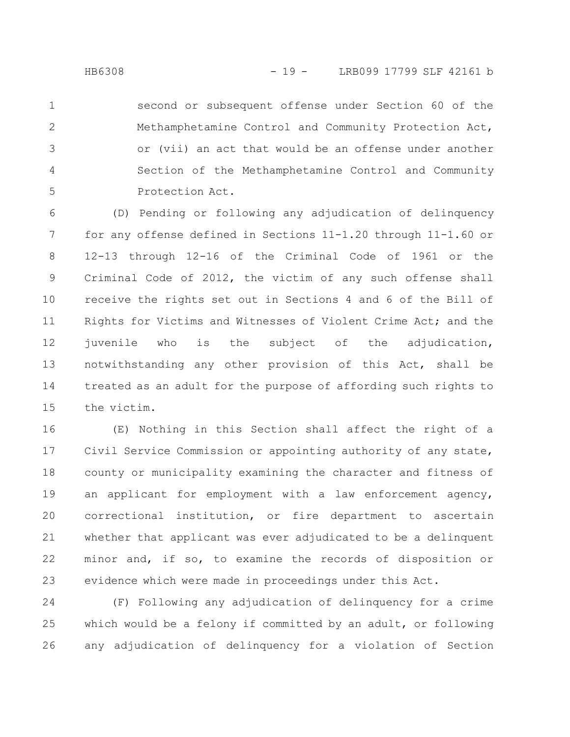second or subsequent offense under Section 60 of the Methamphetamine Control and Community Protection Act, or (vii) an act that would be an offense under another Section of the Methamphetamine Control and Community Protection Act. 1 2 3 4 5

(D) Pending or following any adjudication of delinquency for any offense defined in Sections 11-1.20 through 11-1.60 or 12-13 through 12-16 of the Criminal Code of 1961 or the Criminal Code of 2012, the victim of any such offense shall receive the rights set out in Sections 4 and 6 of the Bill of Rights for Victims and Witnesses of Violent Crime Act; and the juvenile who is the subject of the adjudication, notwithstanding any other provision of this Act, shall be treated as an adult for the purpose of affording such rights to the victim. 6 7 8 9 10 11 12 13 14 15

(E) Nothing in this Section shall affect the right of a Civil Service Commission or appointing authority of any state, county or municipality examining the character and fitness of an applicant for employment with a law enforcement agency, correctional institution, or fire department to ascertain whether that applicant was ever adjudicated to be a delinquent minor and, if so, to examine the records of disposition or evidence which were made in proceedings under this Act. 16 17 18 19 20 21 22 23

(F) Following any adjudication of delinquency for a crime which would be a felony if committed by an adult, or following any adjudication of delinquency for a violation of Section 24 25 26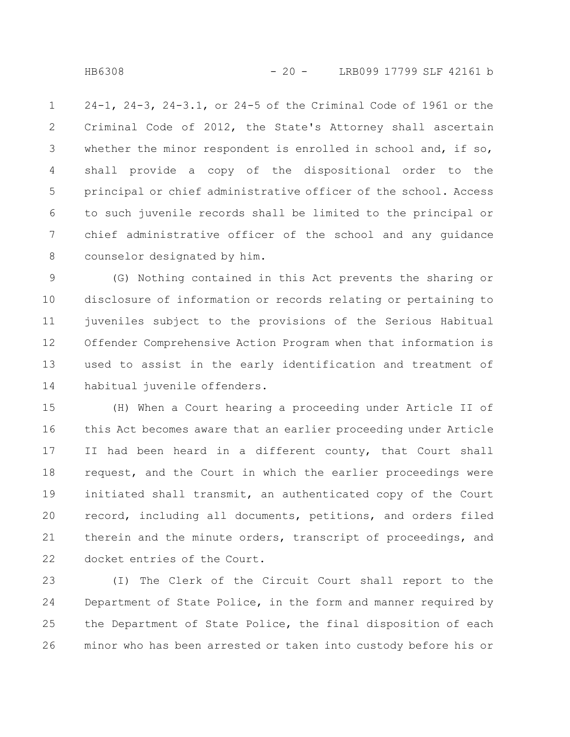24-1, 24-3, 24-3.1, or 24-5 of the Criminal Code of 1961 or the Criminal Code of 2012, the State's Attorney shall ascertain whether the minor respondent is enrolled in school and, if so, shall provide a copy of the dispositional order to the principal or chief administrative officer of the school. Access to such juvenile records shall be limited to the principal or chief administrative officer of the school and any guidance counselor designated by him. 1 2 3 4 5 6 7 8

(G) Nothing contained in this Act prevents the sharing or disclosure of information or records relating or pertaining to juveniles subject to the provisions of the Serious Habitual Offender Comprehensive Action Program when that information is used to assist in the early identification and treatment of habitual juvenile offenders. 9 10 11 12 13 14

(H) When a Court hearing a proceeding under Article II of this Act becomes aware that an earlier proceeding under Article II had been heard in a different county, that Court shall request, and the Court in which the earlier proceedings were initiated shall transmit, an authenticated copy of the Court record, including all documents, petitions, and orders filed therein and the minute orders, transcript of proceedings, and docket entries of the Court. 15 16 17 18 19 20 21 22

(I) The Clerk of the Circuit Court shall report to the Department of State Police, in the form and manner required by the Department of State Police, the final disposition of each minor who has been arrested or taken into custody before his or 23 24 25 26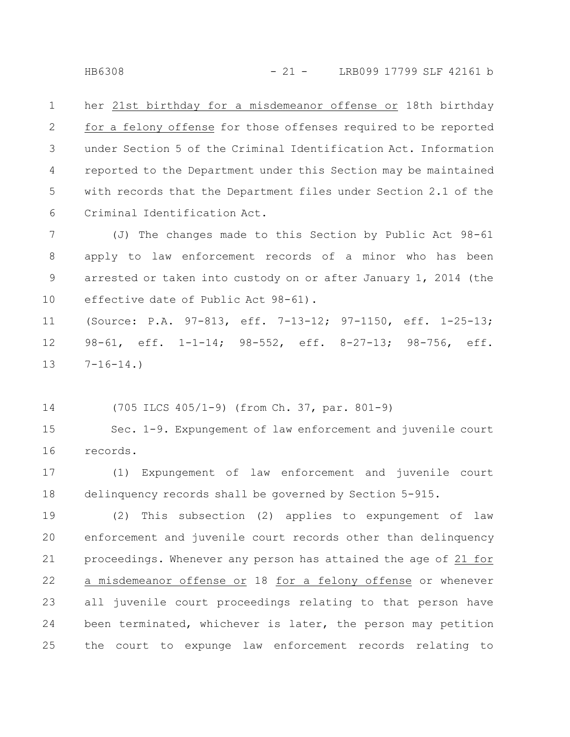her 21st birthday for a misdemeanor offense or 18th birthday for a felony offense for those offenses required to be reported under Section 5 of the Criminal Identification Act. Information reported to the Department under this Section may be maintained with records that the Department files under Section 2.1 of the Criminal Identification Act. 1 2 3 4 5 6

(J) The changes made to this Section by Public Act 98-61 apply to law enforcement records of a minor who has been arrested or taken into custody on or after January 1, 2014 (the effective date of Public Act 98-61). 7 8 9 10

(Source: P.A. 97-813, eff. 7-13-12; 97-1150, eff. 1-25-13; 98-61, eff. 1-1-14; 98-552, eff. 8-27-13; 98-756, eff.  $7-16-14.$ 11 12 13

(705 ILCS 405/1-9) (from Ch. 37, par. 801-9) 14

Sec. 1-9. Expungement of law enforcement and juvenile court records. 15 16

(1) Expungement of law enforcement and juvenile court delinquency records shall be governed by Section 5-915. 17 18

(2) This subsection (2) applies to expungement of law enforcement and juvenile court records other than delinquency proceedings. Whenever any person has attained the age of 21 for a misdemeanor offense or 18 for a felony offense or whenever all juvenile court proceedings relating to that person have been terminated, whichever is later, the person may petition the court to expunge law enforcement records relating to 19 20 21 22 23 24 25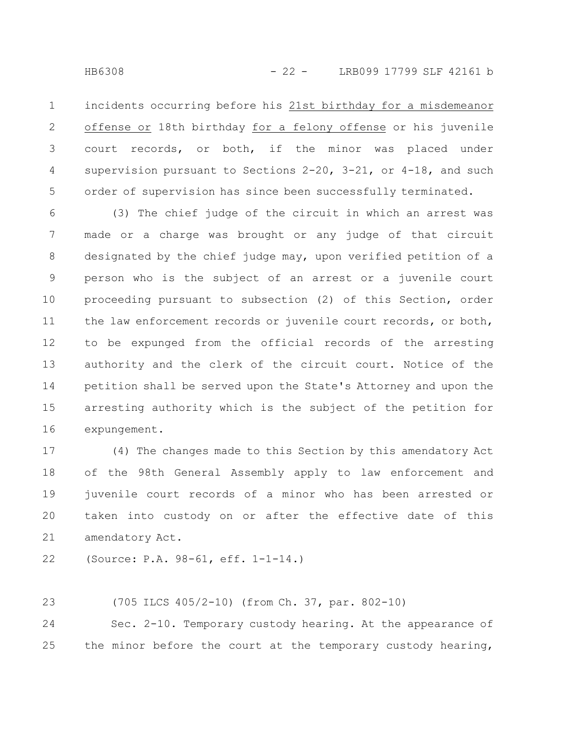incidents occurring before his 21st birthday for a misdemeanor offense or 18th birthday for a felony offense or his juvenile court records, or both, if the minor was placed under supervision pursuant to Sections 2-20, 3-21, or 4-18, and such order of supervision has since been successfully terminated. 1 2 3 4 5

(3) The chief judge of the circuit in which an arrest was made or a charge was brought or any judge of that circuit designated by the chief judge may, upon verified petition of a person who is the subject of an arrest or a juvenile court proceeding pursuant to subsection (2) of this Section, order the law enforcement records or juvenile court records, or both, to be expunged from the official records of the arresting authority and the clerk of the circuit court. Notice of the petition shall be served upon the State's Attorney and upon the arresting authority which is the subject of the petition for expungement. 6 7 8 9 10 11 12 13 14 15 16

(4) The changes made to this Section by this amendatory Act of the 98th General Assembly apply to law enforcement and juvenile court records of a minor who has been arrested or taken into custody on or after the effective date of this amendatory Act. 17 18 19 20 21

(Source: P.A. 98-61, eff. 1-1-14.) 22

(705 ILCS 405/2-10) (from Ch. 37, par. 802-10) 23

Sec. 2-10. Temporary custody hearing. At the appearance of the minor before the court at the temporary custody hearing, 24 25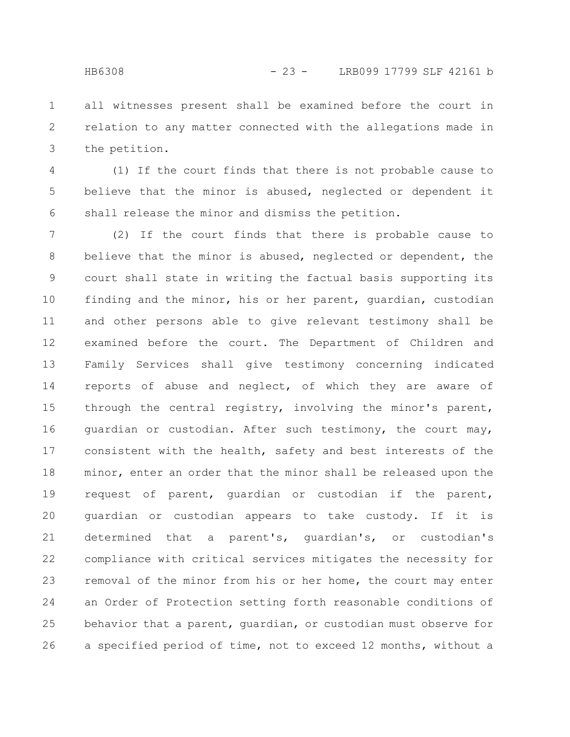all witnesses present shall be examined before the court in relation to any matter connected with the allegations made in the petition. 1 2 3

(1) If the court finds that there is not probable cause to believe that the minor is abused, neglected or dependent it shall release the minor and dismiss the petition. 4 5 6

(2) If the court finds that there is probable cause to believe that the minor is abused, neglected or dependent, the court shall state in writing the factual basis supporting its finding and the minor, his or her parent, guardian, custodian and other persons able to give relevant testimony shall be examined before the court. The Department of Children and Family Services shall give testimony concerning indicated reports of abuse and neglect, of which they are aware of through the central registry, involving the minor's parent, guardian or custodian. After such testimony, the court may, consistent with the health, safety and best interests of the minor, enter an order that the minor shall be released upon the request of parent, guardian or custodian if the parent, guardian or custodian appears to take custody. If it is determined that a parent's, guardian's, or custodian's compliance with critical services mitigates the necessity for removal of the minor from his or her home, the court may enter an Order of Protection setting forth reasonable conditions of behavior that a parent, guardian, or custodian must observe for a specified period of time, not to exceed 12 months, without a 7 8 9 10 11 12 13 14 15 16 17 18 19 20 21 22 23 24 25 26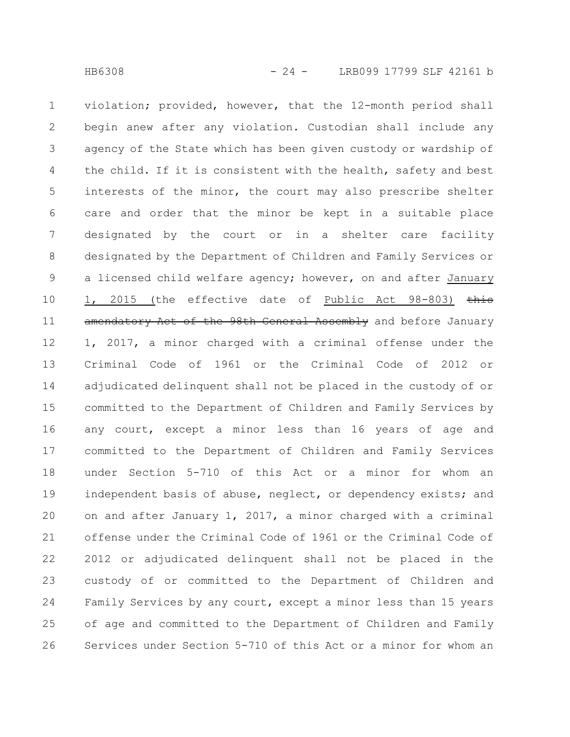violation; provided, however, that the 12-month period shall begin anew after any violation. Custodian shall include any agency of the State which has been given custody or wardship of the child. If it is consistent with the health, safety and best interests of the minor, the court may also prescribe shelter care and order that the minor be kept in a suitable place designated by the court or in a shelter care facility designated by the Department of Children and Family Services or a licensed child welfare agency; however, on and after January 1, 2015 (the effective date of Public Act 98-803) this amendatory Act of the 98th General Assembly and before January 1, 2017, a minor charged with a criminal offense under the Criminal Code of 1961 or the Criminal Code of 2012 or adjudicated delinquent shall not be placed in the custody of or committed to the Department of Children and Family Services by any court, except a minor less than 16 years of age and committed to the Department of Children and Family Services under Section 5-710 of this Act or a minor for whom an independent basis of abuse, neglect, or dependency exists; and on and after January 1, 2017, a minor charged with a criminal offense under the Criminal Code of 1961 or the Criminal Code of 2012 or adjudicated delinquent shall not be placed in the custody of or committed to the Department of Children and Family Services by any court, except a minor less than 15 years of age and committed to the Department of Children and Family Services under Section 5-710 of this Act or a minor for whom an 1 2 3 4 5 6 7 8 9 10 11 12 13 14 15 16 17 18 19 20 21 22 23 24 25 26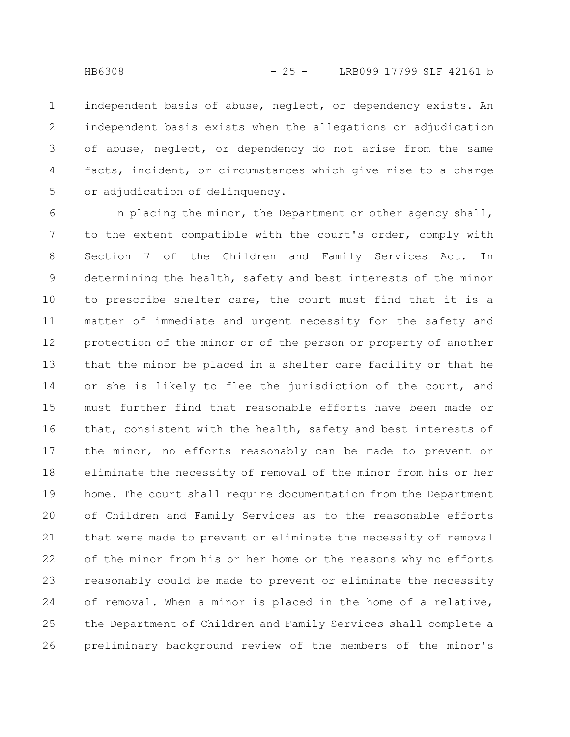independent basis of abuse, neglect, or dependency exists. An independent basis exists when the allegations or adjudication of abuse, neglect, or dependency do not arise from the same facts, incident, or circumstances which give rise to a charge or adjudication of delinquency. 1 2 3 4 5

In placing the minor, the Department or other agency shall, to the extent compatible with the court's order, comply with Section 7 of the Children and Family Services Act. In determining the health, safety and best interests of the minor to prescribe shelter care, the court must find that it is a matter of immediate and urgent necessity for the safety and protection of the minor or of the person or property of another that the minor be placed in a shelter care facility or that he or she is likely to flee the jurisdiction of the court, and must further find that reasonable efforts have been made or that, consistent with the health, safety and best interests of the minor, no efforts reasonably can be made to prevent or eliminate the necessity of removal of the minor from his or her home. The court shall require documentation from the Department of Children and Family Services as to the reasonable efforts that were made to prevent or eliminate the necessity of removal of the minor from his or her home or the reasons why no efforts reasonably could be made to prevent or eliminate the necessity of removal. When a minor is placed in the home of a relative, the Department of Children and Family Services shall complete a preliminary background review of the members of the minor's 6 7 8 9 10 11 12 13 14 15 16 17 18 19 20 21 22 23 24 25 26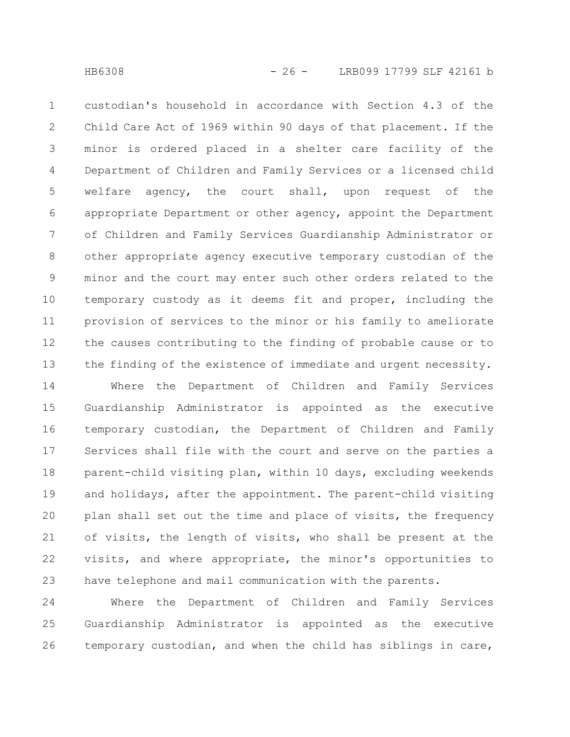custodian's household in accordance with Section 4.3 of the Child Care Act of 1969 within 90 days of that placement. If the minor is ordered placed in a shelter care facility of the Department of Children and Family Services or a licensed child welfare agency, the court shall, upon request of the appropriate Department or other agency, appoint the Department of Children and Family Services Guardianship Administrator or other appropriate agency executive temporary custodian of the minor and the court may enter such other orders related to the temporary custody as it deems fit and proper, including the provision of services to the minor or his family to ameliorate the causes contributing to the finding of probable cause or to the finding of the existence of immediate and urgent necessity. 1 2 3 4 5 6 7 8 9 10 11 12 13

Where the Department of Children and Family Services Guardianship Administrator is appointed as the executive temporary custodian, the Department of Children and Family Services shall file with the court and serve on the parties a parent-child visiting plan, within 10 days, excluding weekends and holidays, after the appointment. The parent-child visiting plan shall set out the time and place of visits, the frequency of visits, the length of visits, who shall be present at the visits, and where appropriate, the minor's opportunities to have telephone and mail communication with the parents. 14 15 16 17 18 19 20 21 22 23

Where the Department of Children and Family Services Guardianship Administrator is appointed as the executive temporary custodian, and when the child has siblings in care, 24 25 26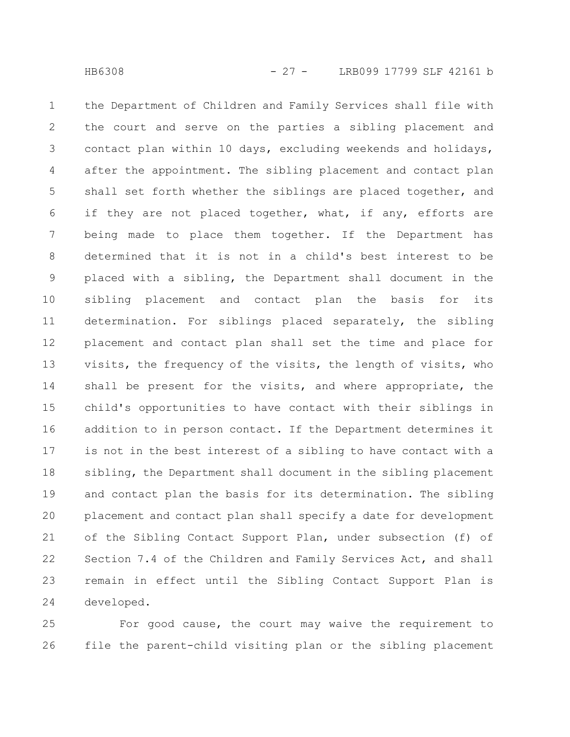the Department of Children and Family Services shall file with the court and serve on the parties a sibling placement and contact plan within 10 days, excluding weekends and holidays, after the appointment. The sibling placement and contact plan shall set forth whether the siblings are placed together, and if they are not placed together, what, if any, efforts are being made to place them together. If the Department has determined that it is not in a child's best interest to be placed with a sibling, the Department shall document in the sibling placement and contact plan the basis for its determination. For siblings placed separately, the sibling placement and contact plan shall set the time and place for visits, the frequency of the visits, the length of visits, who shall be present for the visits, and where appropriate, the child's opportunities to have contact with their siblings in addition to in person contact. If the Department determines it is not in the best interest of a sibling to have contact with a sibling, the Department shall document in the sibling placement and contact plan the basis for its determination. The sibling placement and contact plan shall specify a date for development of the Sibling Contact Support Plan, under subsection (f) of Section 7.4 of the Children and Family Services Act, and shall remain in effect until the Sibling Contact Support Plan is developed. 1 2 3 4 5 6 7 8 9 10 11 12 13 14 15 16 17 18 19 20 21 22 23 24

For good cause, the court may waive the requirement to file the parent-child visiting plan or the sibling placement 25 26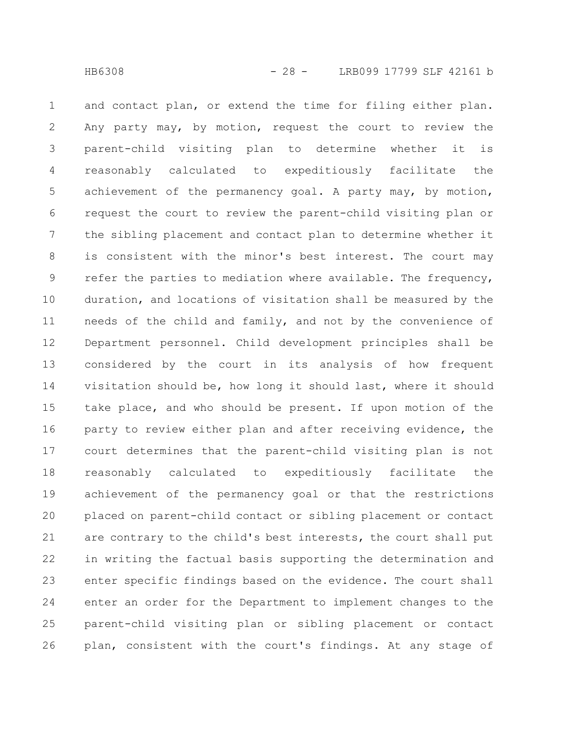and contact plan, or extend the time for filing either plan. Any party may, by motion, request the court to review the parent-child visiting plan to determine whether it is reasonably calculated to expeditiously facilitate the achievement of the permanency goal. A party may, by motion, request the court to review the parent-child visiting plan or the sibling placement and contact plan to determine whether it is consistent with the minor's best interest. The court may refer the parties to mediation where available. The frequency, duration, and locations of visitation shall be measured by the needs of the child and family, and not by the convenience of Department personnel. Child development principles shall be considered by the court in its analysis of how frequent visitation should be, how long it should last, where it should take place, and who should be present. If upon motion of the party to review either plan and after receiving evidence, the court determines that the parent-child visiting plan is not reasonably calculated to expeditiously facilitate the achievement of the permanency goal or that the restrictions placed on parent-child contact or sibling placement or contact are contrary to the child's best interests, the court shall put in writing the factual basis supporting the determination and enter specific findings based on the evidence. The court shall enter an order for the Department to implement changes to the parent-child visiting plan or sibling placement or contact plan, consistent with the court's findings. At any stage of 1 2 3 4 5 6 7 8 9 10 11 12 13 14 15 16 17 18 19 20 21 22 23 24 25 26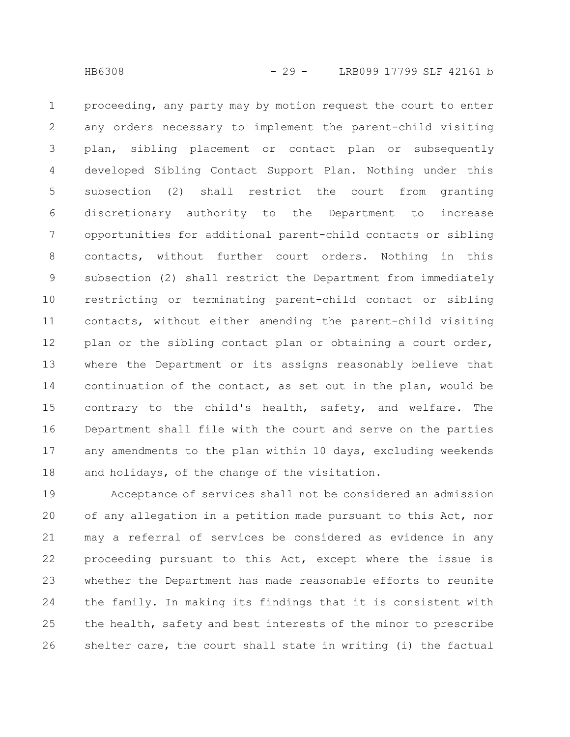proceeding, any party may by motion request the court to enter any orders necessary to implement the parent-child visiting plan, sibling placement or contact plan or subsequently developed Sibling Contact Support Plan. Nothing under this subsection (2) shall restrict the court from granting discretionary authority to the Department to increase opportunities for additional parent-child contacts or sibling contacts, without further court orders. Nothing in this subsection (2) shall restrict the Department from immediately restricting or terminating parent-child contact or sibling contacts, without either amending the parent-child visiting plan or the sibling contact plan or obtaining a court order, where the Department or its assigns reasonably believe that continuation of the contact, as set out in the plan, would be contrary to the child's health, safety, and welfare. The Department shall file with the court and serve on the parties any amendments to the plan within 10 days, excluding weekends and holidays, of the change of the visitation. 1 2 3 4 5 6 7 8 9 10 11 12 13 14 15 16 17 18

Acceptance of services shall not be considered an admission of any allegation in a petition made pursuant to this Act, nor may a referral of services be considered as evidence in any proceeding pursuant to this Act, except where the issue is whether the Department has made reasonable efforts to reunite the family. In making its findings that it is consistent with the health, safety and best interests of the minor to prescribe shelter care, the court shall state in writing (i) the factual 19 20 21 22 23 24 25 26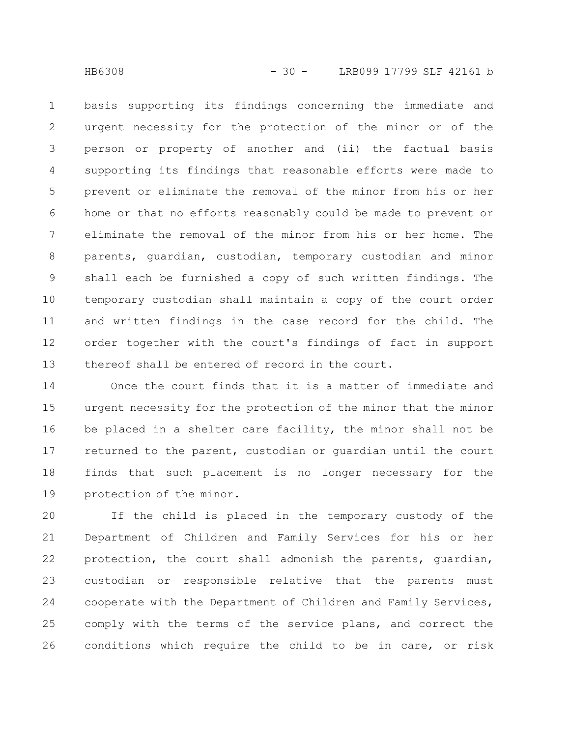basis supporting its findings concerning the immediate and urgent necessity for the protection of the minor or of the person or property of another and (ii) the factual basis supporting its findings that reasonable efforts were made to prevent or eliminate the removal of the minor from his or her home or that no efforts reasonably could be made to prevent or eliminate the removal of the minor from his or her home. The parents, guardian, custodian, temporary custodian and minor shall each be furnished a copy of such written findings. The temporary custodian shall maintain a copy of the court order and written findings in the case record for the child. The order together with the court's findings of fact in support thereof shall be entered of record in the court. 1 2 3 4 5 6 7 8 9 10 11 12 13

Once the court finds that it is a matter of immediate and urgent necessity for the protection of the minor that the minor be placed in a shelter care facility, the minor shall not be returned to the parent, custodian or guardian until the court finds that such placement is no longer necessary for the protection of the minor. 14 15 16 17 18 19

If the child is placed in the temporary custody of the Department of Children and Family Services for his or her protection, the court shall admonish the parents, guardian, custodian or responsible relative that the parents must cooperate with the Department of Children and Family Services, comply with the terms of the service plans, and correct the conditions which require the child to be in care, or risk 20 21 22 23 24 25 26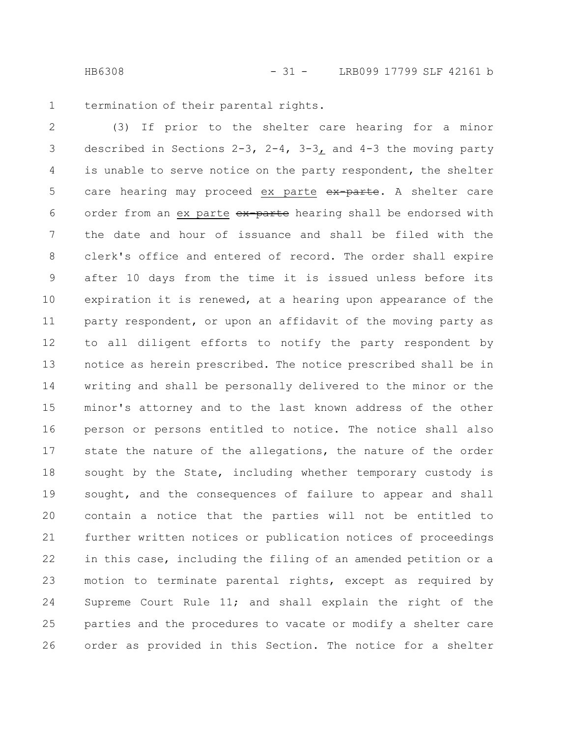termination of their parental rights. 1

(3) If prior to the shelter care hearing for a minor described in Sections 2-3, 2-4, 3-3, and 4-3 the moving party is unable to serve notice on the party respondent, the shelter care hearing may proceed ex parte ex parte. A shelter care order from an ex parte ex parte hearing shall be endorsed with the date and hour of issuance and shall be filed with the clerk's office and entered of record. The order shall expire after 10 days from the time it is issued unless before its expiration it is renewed, at a hearing upon appearance of the party respondent, or upon an affidavit of the moving party as to all diligent efforts to notify the party respondent by notice as herein prescribed. The notice prescribed shall be in writing and shall be personally delivered to the minor or the minor's attorney and to the last known address of the other person or persons entitled to notice. The notice shall also state the nature of the allegations, the nature of the order sought by the State, including whether temporary custody is sought, and the consequences of failure to appear and shall contain a notice that the parties will not be entitled to further written notices or publication notices of proceedings in this case, including the filing of an amended petition or a motion to terminate parental rights, except as required by Supreme Court Rule 11; and shall explain the right of the parties and the procedures to vacate or modify a shelter care order as provided in this Section. The notice for a shelter 2 3 4 5 6 7 8 9 10 11 12 13 14 15 16 17 18 19 20 21 22 23 24 25 26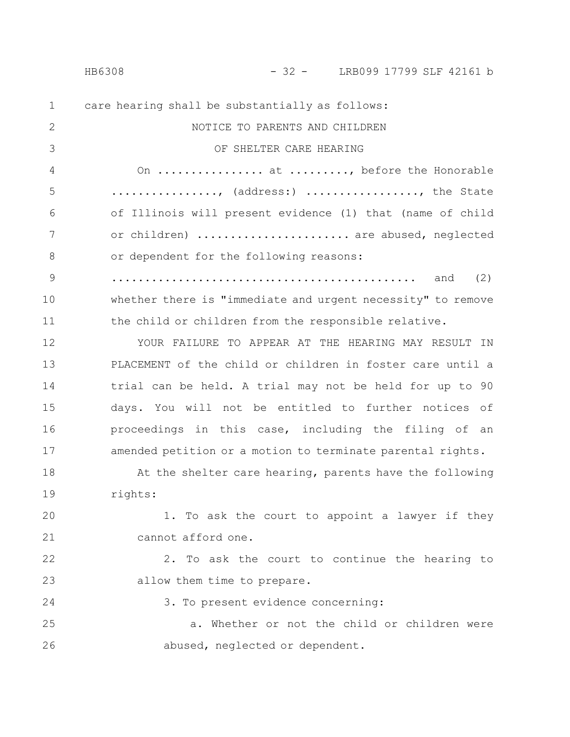### HB6308 - 32 - LRB099 17799 SLF 42161 b

| $\mathbf 1$   | care hearing shall be substantially as follows:             |
|---------------|-------------------------------------------------------------|
| 2             | NOTICE TO PARENTS AND CHILDREN                              |
| 3             | OF SHELTER CARE HEARING                                     |
| 4             | On  at , before the Honorable                               |
| 5             | , (address:) , the State                                    |
| 6             | of Illinois will present evidence (1) that (name of child   |
| 7             | or children)  are abused, neglected                         |
| 8             | or dependent for the following reasons:                     |
| $\mathcal{G}$ | (2)<br>and                                                  |
| 10            | whether there is "immediate and urgent necessity" to remove |
| 11            | the child or children from the responsible relative.        |
| 12            | YOUR FAILURE TO APPEAR AT THE HEARING MAY RESULT IN         |
| 13            | PLACEMENT of the child or children in foster care until a   |
| 14            | trial can be held. A trial may not be held for up to 90     |
| 15            | days. You will not be entitled to further notices of        |
| 16            | proceedings in this case, including the filing of an        |
| 17            | amended petition or a motion to terminate parental rights.  |
| 18            | At the shelter care hearing, parents have the following     |
| 19            | rights:                                                     |
| 20            | To ask the court to appoint a lawyer if they<br>$\perp$ .   |
| 21            | cannot afford one.                                          |
| 22            | 2. To ask the court to continue the hearing to              |
| 23            | allow them time to prepare.                                 |
| 24            | 3. To present evidence concerning:                          |
| 25            | a. Whether or not the child or children were                |
| 26            | abused, neglected or dependent.                             |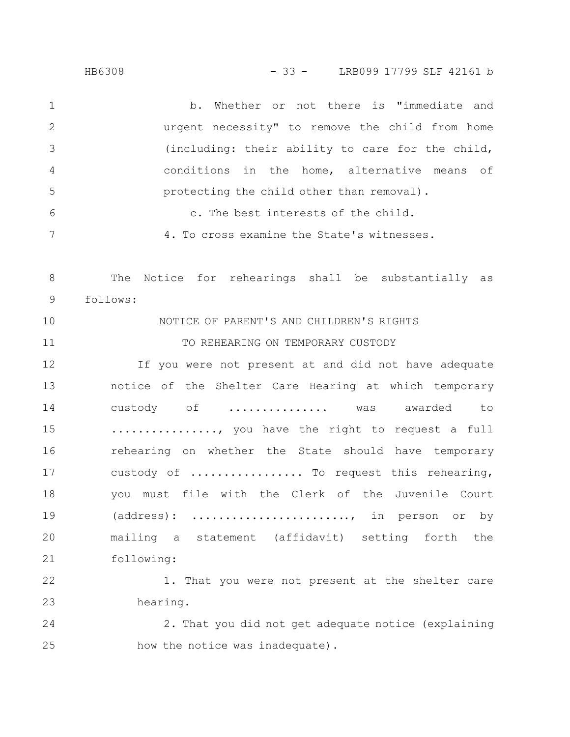| 1              | Whether or not there is "immediate and<br>b.           |
|----------------|--------------------------------------------------------|
| $\mathbf{2}$   | urgent necessity" to remove the child from home        |
| 3              | (including: their ability to care for the child,       |
| $\overline{4}$ | conditions in the home, alternative means of           |
| 5              | protecting the child other than removal).              |
| 6              | c. The best interests of the child.                    |
| 7              | 4. To cross examine the State's witnesses.             |
| 8              | Notice for rehearings shall be substantially as<br>The |
| 9              | follows:                                               |
| 10             | NOTICE OF PARENT'S AND CHILDREN'S RIGHTS               |
| 11             | TO REHEARING ON TEMPORARY CUSTODY                      |
| 12             | If you were not present at and did not have adequate   |
| 13             | notice of the Shelter Care Hearing at which temporary  |
| 14             | custody of  was awarded to                             |
| 15             | , you have the right to request a full                 |
| 16             | rehearing on whether the State should have temporary   |
| 17             | custody of  To request this rehearing,                 |
| 18             | you must file with the Clerk of the Juvenile Court     |
| 19             | (address): , in person or by                           |
| 20             | mailing a statement (affidavit) setting forth the      |
| 21             | following:                                             |
| 22             | 1. That you were not present at the shelter care       |
| 23             | hearing.                                               |
| 24             | 2. That you did not get adequate notice (explaining    |

how the notice was inadequate). 25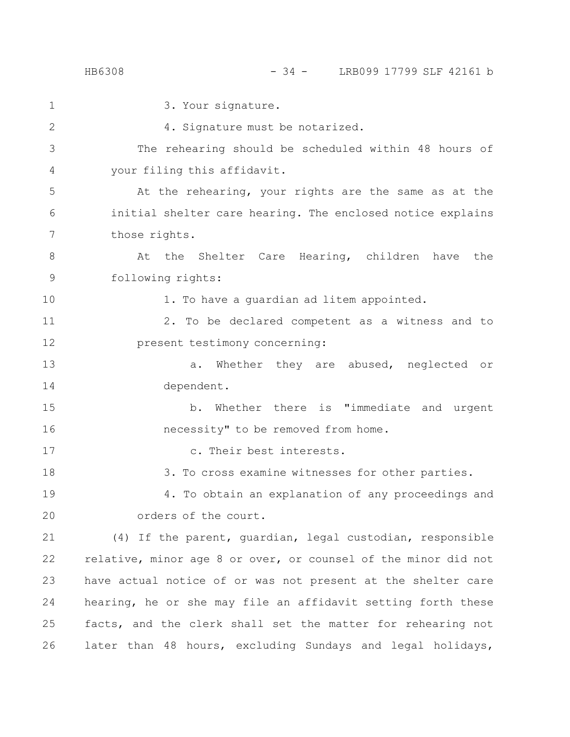| $\mathbf{1}$ | 3. Your signature.                                             |
|--------------|----------------------------------------------------------------|
| 2            | 4. Signature must be notarized.                                |
| 3            | The rehearing should be scheduled within 48 hours of           |
| 4            | your filing this affidavit.                                    |
| 5            | At the rehearing, your rights are the same as at the           |
| 6            | initial shelter care hearing. The enclosed notice explains     |
| 7            | those rights.                                                  |
| 8            | At the Shelter Care Hearing, children have the                 |
| 9            | following rights:                                              |
| 10           | 1. To have a guardian ad litem appointed.                      |
| 11           | 2. To be declared competent as a witness and to                |
| 12           | present testimony concerning:                                  |
| 13           | Whether they are abused, neglected or<br>а.                    |
| 14           | dependent.                                                     |
| 15           | b. Whether there is "immediate and urgent                      |
| 16           | necessity" to be removed from home.                            |
| 17           | c. Their best interests.                                       |
| 18           | 3. To cross examine witnesses for other parties.               |
| 19           | 4. To obtain an explanation of any proceedings and             |
| 20           | orders of the court.                                           |
| 21           | (4) If the parent, guardian, legal custodian, responsible      |
| 22           | relative, minor age 8 or over, or counsel of the minor did not |
| 23           | have actual notice of or was not present at the shelter care   |
| 24           | hearing, he or she may file an affidavit setting forth these   |
| 25           | facts, and the clerk shall set the matter for rehearing not    |
| 26           | later than 48 hours, excluding Sundays and legal holidays,     |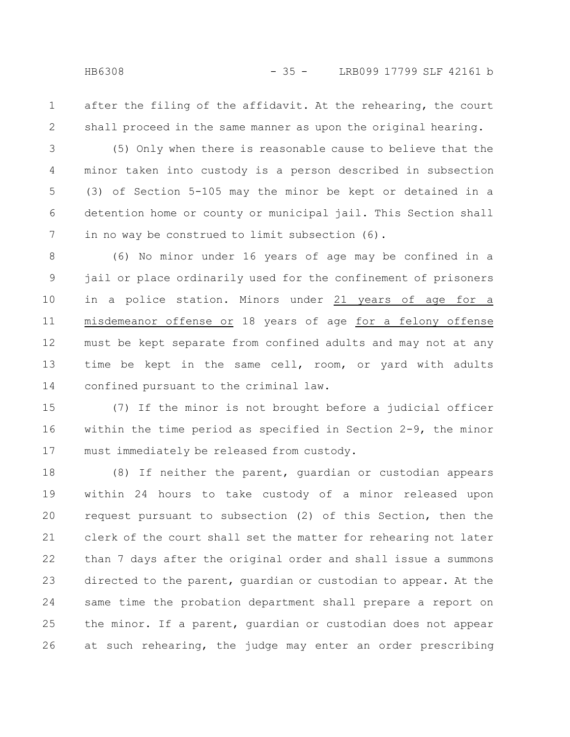after the filing of the affidavit. At the rehearing, the court shall proceed in the same manner as upon the original hearing. 1 2

(5) Only when there is reasonable cause to believe that the minor taken into custody is a person described in subsection (3) of Section 5-105 may the minor be kept or detained in a detention home or county or municipal jail. This Section shall in no way be construed to limit subsection (6). 3 4 5 6 7

(6) No minor under 16 years of age may be confined in a jail or place ordinarily used for the confinement of prisoners in a police station. Minors under 21 years of age for a misdemeanor offense or 18 years of age for a felony offense must be kept separate from confined adults and may not at any time be kept in the same cell, room, or yard with adults confined pursuant to the criminal law. 8 9 10 11 12 13 14

(7) If the minor is not brought before a judicial officer within the time period as specified in Section 2-9, the minor must immediately be released from custody. 15 16 17

(8) If neither the parent, guardian or custodian appears within 24 hours to take custody of a minor released upon request pursuant to subsection (2) of this Section, then the clerk of the court shall set the matter for rehearing not later than 7 days after the original order and shall issue a summons directed to the parent, guardian or custodian to appear. At the same time the probation department shall prepare a report on the minor. If a parent, guardian or custodian does not appear at such rehearing, the judge may enter an order prescribing 18 19 20 21 22 23 24 25 26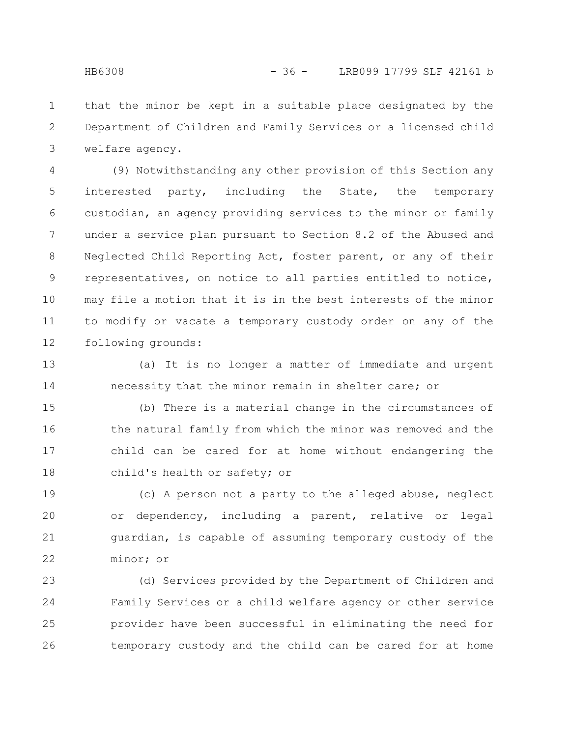that the minor be kept in a suitable place designated by the Department of Children and Family Services or a licensed child welfare agency. 1 2 3

(9) Notwithstanding any other provision of this Section any interested party, including the State, the temporary custodian, an agency providing services to the minor or family under a service plan pursuant to Section 8.2 of the Abused and Neglected Child Reporting Act, foster parent, or any of their representatives, on notice to all parties entitled to notice, may file a motion that it is in the best interests of the minor to modify or vacate a temporary custody order on any of the following grounds: 4 5 6 7 8 9 10 11 12

(a) It is no longer a matter of immediate and urgent necessity that the minor remain in shelter care; or 13 14

(b) There is a material change in the circumstances of the natural family from which the minor was removed and the child can be cared for at home without endangering the child's health or safety; or 15 16 17 18

(c) A person not a party to the alleged abuse, neglect or dependency, including a parent, relative or legal guardian, is capable of assuming temporary custody of the minor; or 19 20 21 22

(d) Services provided by the Department of Children and Family Services or a child welfare agency or other service provider have been successful in eliminating the need for temporary custody and the child can be cared for at home 23 24 25 26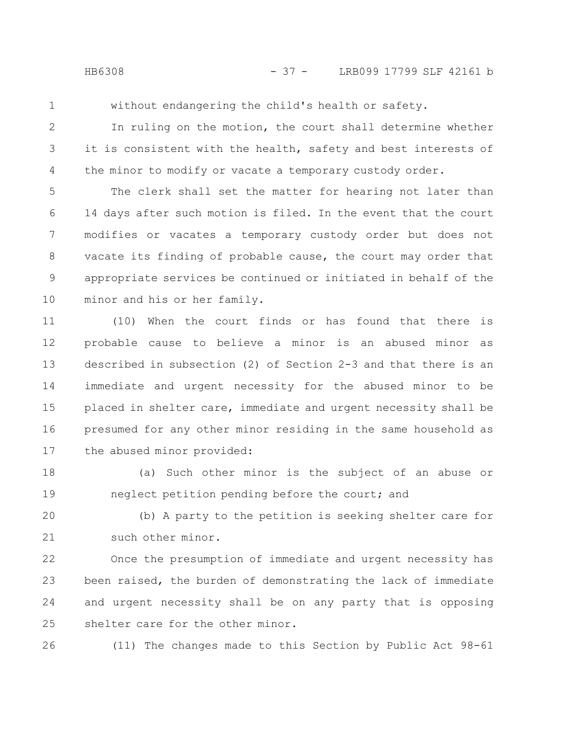- 
- 1

without endangering the child's health or safety.

In ruling on the motion, the court shall determine whether it is consistent with the health, safety and best interests of the minor to modify or vacate a temporary custody order. 2 3 4

The clerk shall set the matter for hearing not later than 14 days after such motion is filed. In the event that the court modifies or vacates a temporary custody order but does not vacate its finding of probable cause, the court may order that appropriate services be continued or initiated in behalf of the minor and his or her family. 5 6 7 8 9 10

(10) When the court finds or has found that there is probable cause to believe a minor is an abused minor as described in subsection (2) of Section 2-3 and that there is an immediate and urgent necessity for the abused minor to be placed in shelter care, immediate and urgent necessity shall be presumed for any other minor residing in the same household as the abused minor provided: 11 12 13 14 15 16 17

(a) Such other minor is the subject of an abuse or neglect petition pending before the court; and 18 19

(b) A party to the petition is seeking shelter care for such other minor. 20 21

Once the presumption of immediate and urgent necessity has been raised, the burden of demonstrating the lack of immediate and urgent necessity shall be on any party that is opposing shelter care for the other minor. 22 23 24 25

26

(11) The changes made to this Section by Public Act 98-61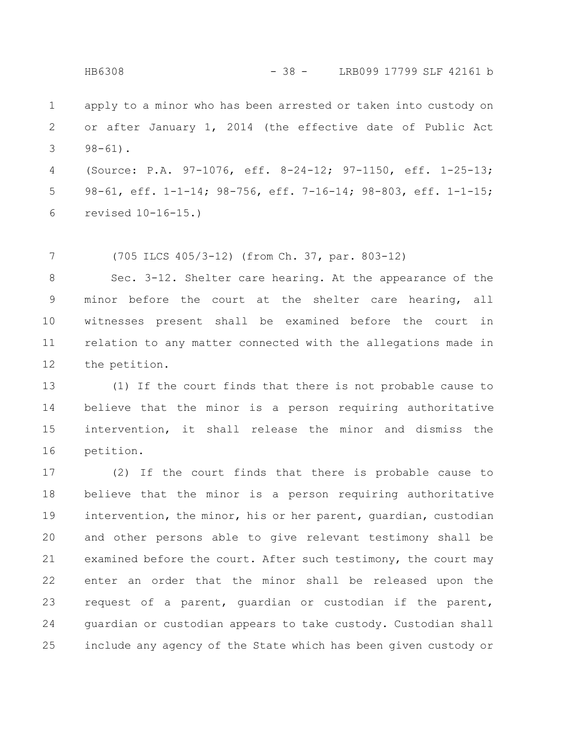apply to a minor who has been arrested or taken into custody on or after January 1, 2014 (the effective date of Public Act 98-61). 1 2 3

(Source: P.A. 97-1076, eff. 8-24-12; 97-1150, eff. 1-25-13; 98-61, eff. 1-1-14; 98-756, eff. 7-16-14; 98-803, eff. 1-1-15; revised 10-16-15.) 4 5 6

(705 ILCS 405/3-12) (from Ch. 37, par. 803-12) 7

Sec. 3-12. Shelter care hearing. At the appearance of the minor before the court at the shelter care hearing, all witnesses present shall be examined before the court in relation to any matter connected with the allegations made in the petition. 8 9 10 11 12

(1) If the court finds that there is not probable cause to believe that the minor is a person requiring authoritative intervention, it shall release the minor and dismiss the petition. 13 14 15 16

(2) If the court finds that there is probable cause to believe that the minor is a person requiring authoritative intervention, the minor, his or her parent, guardian, custodian and other persons able to give relevant testimony shall be examined before the court. After such testimony, the court may enter an order that the minor shall be released upon the request of a parent, guardian or custodian if the parent, guardian or custodian appears to take custody. Custodian shall include any agency of the State which has been given custody or 17 18 19 20 21 22 23 24 25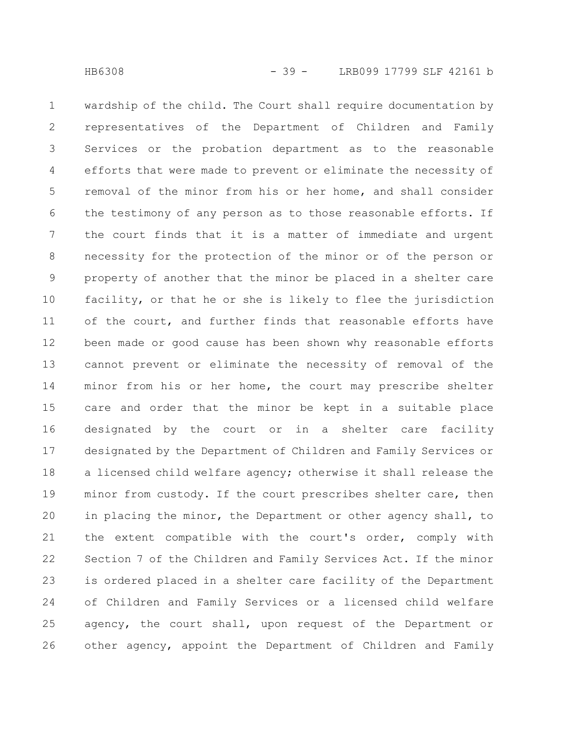wardship of the child. The Court shall require documentation by representatives of the Department of Children and Family Services or the probation department as to the reasonable efforts that were made to prevent or eliminate the necessity of removal of the minor from his or her home, and shall consider the testimony of any person as to those reasonable efforts. If the court finds that it is a matter of immediate and urgent necessity for the protection of the minor or of the person or property of another that the minor be placed in a shelter care facility, or that he or she is likely to flee the jurisdiction of the court, and further finds that reasonable efforts have been made or good cause has been shown why reasonable efforts cannot prevent or eliminate the necessity of removal of the minor from his or her home, the court may prescribe shelter care and order that the minor be kept in a suitable place designated by the court or in a shelter care facility designated by the Department of Children and Family Services or a licensed child welfare agency; otherwise it shall release the minor from custody. If the court prescribes shelter care, then in placing the minor, the Department or other agency shall, to the extent compatible with the court's order, comply with Section 7 of the Children and Family Services Act. If the minor is ordered placed in a shelter care facility of the Department of Children and Family Services or a licensed child welfare agency, the court shall, upon request of the Department or other agency, appoint the Department of Children and Family 1 2 3 4 5 6 7 8 9 10 11 12 13 14 15 16 17 18 19 20 21 22 23 24 25 26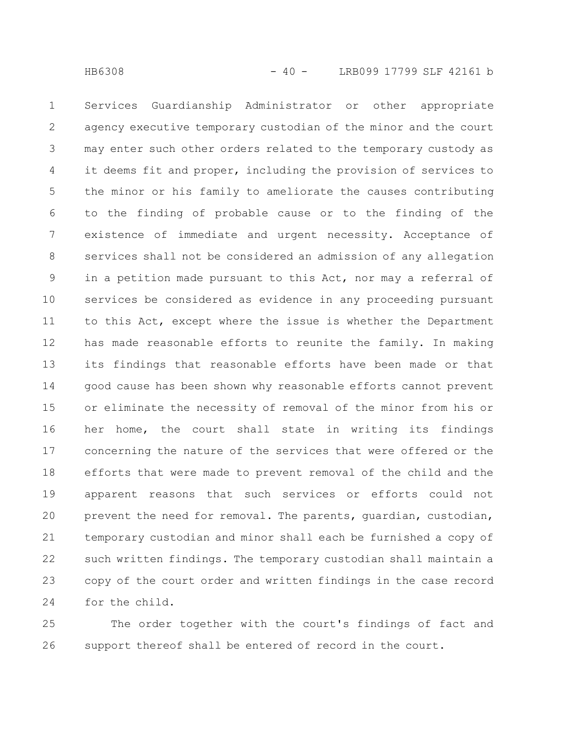Services Guardianship Administrator or other appropriate agency executive temporary custodian of the minor and the court may enter such other orders related to the temporary custody as it deems fit and proper, including the provision of services to the minor or his family to ameliorate the causes contributing to the finding of probable cause or to the finding of the existence of immediate and urgent necessity. Acceptance of services shall not be considered an admission of any allegation in a petition made pursuant to this Act, nor may a referral of services be considered as evidence in any proceeding pursuant to this Act, except where the issue is whether the Department has made reasonable efforts to reunite the family. In making its findings that reasonable efforts have been made or that good cause has been shown why reasonable efforts cannot prevent or eliminate the necessity of removal of the minor from his or her home, the court shall state in writing its findings concerning the nature of the services that were offered or the efforts that were made to prevent removal of the child and the apparent reasons that such services or efforts could not prevent the need for removal. The parents, guardian, custodian, temporary custodian and minor shall each be furnished a copy of such written findings. The temporary custodian shall maintain a copy of the court order and written findings in the case record for the child. 1 2 3 4 5 6 7 8 9 10 11 12 13 14 15 16 17 18 19 20 21 22 23 24

The order together with the court's findings of fact and support thereof shall be entered of record in the court. 25 26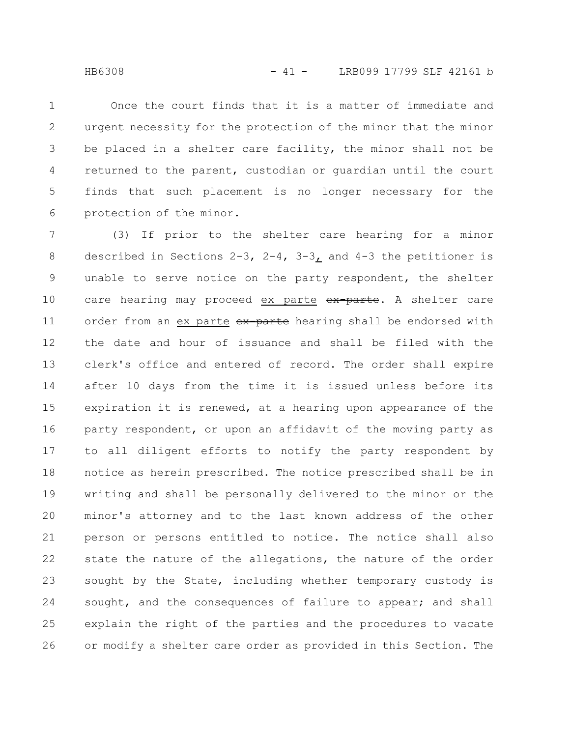Once the court finds that it is a matter of immediate and urgent necessity for the protection of the minor that the minor be placed in a shelter care facility, the minor shall not be returned to the parent, custodian or guardian until the court finds that such placement is no longer necessary for the protection of the minor. 1 2 3 4 5 6

(3) If prior to the shelter care hearing for a minor described in Sections 2-3, 2-4, 3-3, and 4-3 the petitioner is unable to serve notice on the party respondent, the shelter care hearing may proceed ex parte ex parte. A shelter care order from an ex parte ex-parte hearing shall be endorsed with the date and hour of issuance and shall be filed with the clerk's office and entered of record. The order shall expire after 10 days from the time it is issued unless before its expiration it is renewed, at a hearing upon appearance of the party respondent, or upon an affidavit of the moving party as to all diligent efforts to notify the party respondent by notice as herein prescribed. The notice prescribed shall be in writing and shall be personally delivered to the minor or the minor's attorney and to the last known address of the other person or persons entitled to notice. The notice shall also state the nature of the allegations, the nature of the order sought by the State, including whether temporary custody is sought, and the consequences of failure to appear; and shall explain the right of the parties and the procedures to vacate or modify a shelter care order as provided in this Section. The 7 8 9 10 11 12 13 14 15 16 17 18 19 20 21 22 23 24 25 26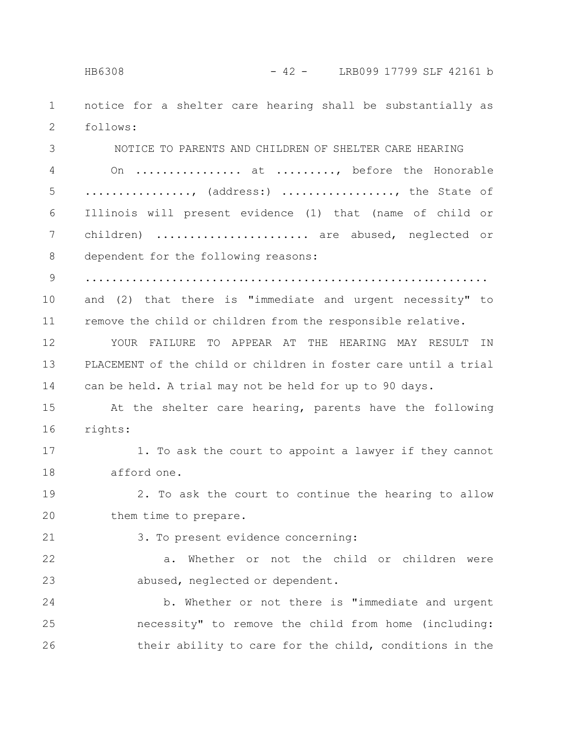notice for a shelter care hearing shall be substantially as follows: 1 2

NOTICE TO PARENTS AND CHILDREN OF SHELTER CARE HEARING On ................. at ........., before the Honorable ................, (address:) ................., the State of Illinois will present evidence (1) that (name of child or children) ...................... are abused, neglected or dependent for the following reasons: ............................................................. and (2) that there is "immediate and urgent necessity" to remove the child or children from the responsible relative. YOUR FAILURE TO APPEAR AT THE HEARING MAY RESULT IN PLACEMENT of the child or children in foster care until a trial can be held. A trial may not be held for up to 90 days. At the shelter care hearing, parents have the following rights: 1. To ask the court to appoint a lawyer if they cannot afford one. 2. To ask the court to continue the hearing to allow them time to prepare. 3. To present evidence concerning: a. Whether or not the child or children were abused, neglected or dependent. b. Whether or not there is "immediate and urgent necessity" to remove the child from home (including: their ability to care for the child, conditions in the 3 4 5 6 7 8 9 10 11 12 13 14 15 16 17 18 19 20 21 22 23 24 25 26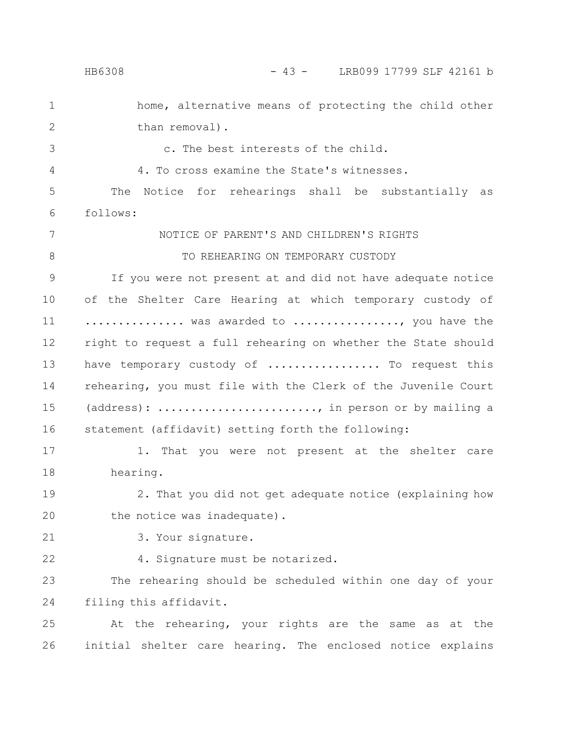home, alternative means of protecting the child other than removal). c. The best interests of the child. 4. To cross examine the State's witnesses. The Notice for rehearings shall be substantially as follows: NOTICE OF PARENT'S AND CHILDREN'S RIGHTS TO REHEARING ON TEMPORARY CUSTODY If you were not present at and did not have adequate notice of the Shelter Care Hearing at which temporary custody of .............. was awarded to ................, you have the right to request a full rehearing on whether the State should have temporary custody of ................. To request this rehearing, you must file with the Clerk of the Juvenile Court (address): ........................, in person or by mailing a statement (affidavit) setting forth the following: 1. That you were not present at the shelter care hearing. 2. That you did not get adequate notice (explaining how the notice was inadequate). 3. Your signature. 4. Signature must be notarized. The rehearing should be scheduled within one day of your filing this affidavit. At the rehearing, your rights are the same as at the initial shelter care hearing. The enclosed notice explains 1 2 3 4 5 6 7 8 9 10 11 12 13 14 15 16 17 18 19 20 21 22 23 24 25 26 HB6308 - 43 - LRB099 17799 SLF 42161 b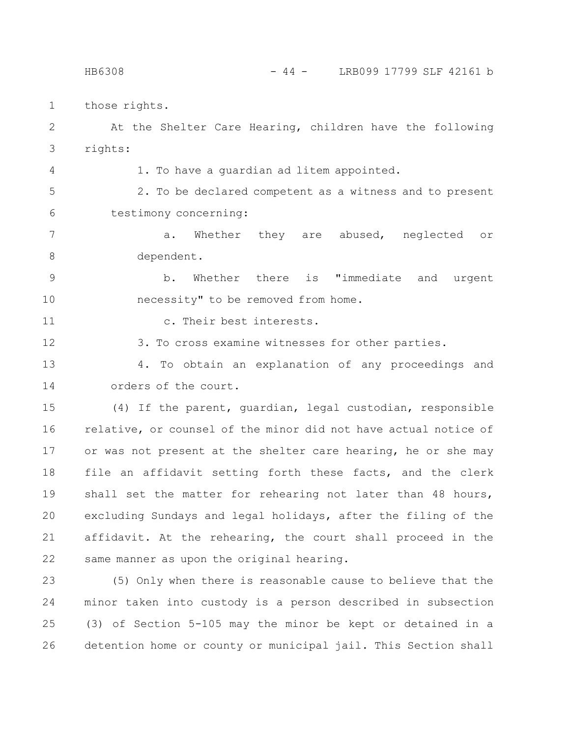those rights. 1

4

At the Shelter Care Hearing, children have the following rights: 2 3

1. To have a guardian ad litem appointed.

2. To be declared competent as a witness and to present testimony concerning: 5 6

a. Whether they are abused, neglected or dependent. 7 8

b. Whether there is "immediate and urgent necessity" to be removed from home. 9 10

c. Their best interests. 11

3. To cross examine witnesses for other parties. 12

4. To obtain an explanation of any proceedings and orders of the court. 13 14

(4) If the parent, guardian, legal custodian, responsible relative, or counsel of the minor did not have actual notice of or was not present at the shelter care hearing, he or she may file an affidavit setting forth these facts, and the clerk shall set the matter for rehearing not later than 48 hours, excluding Sundays and legal holidays, after the filing of the affidavit. At the rehearing, the court shall proceed in the same manner as upon the original hearing. 15 16 17 18 19 20 21 22

(5) Only when there is reasonable cause to believe that the minor taken into custody is a person described in subsection (3) of Section 5-105 may the minor be kept or detained in a detention home or county or municipal jail. This Section shall 23 24 25 26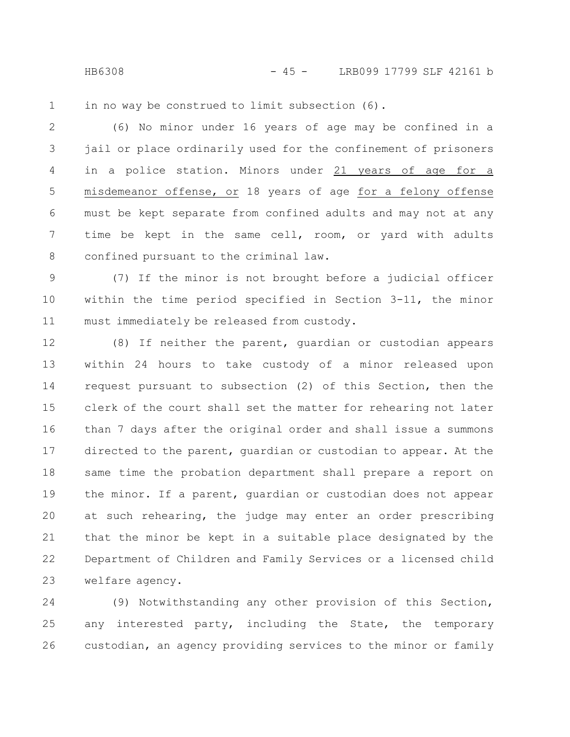HB6308 - 45 - LRB099 17799 SLF 42161 b

in no way be construed to limit subsection (6). 1

(6) No minor under 16 years of age may be confined in a jail or place ordinarily used for the confinement of prisoners in a police station. Minors under 21 years of age for a misdemeanor offense, or 18 years of age for a felony offense must be kept separate from confined adults and may not at any time be kept in the same cell, room, or yard with adults confined pursuant to the criminal law. 2 3 4 5 6 7 8

(7) If the minor is not brought before a judicial officer within the time period specified in Section 3-11, the minor must immediately be released from custody. 9 10 11

(8) If neither the parent, guardian or custodian appears within 24 hours to take custody of a minor released upon request pursuant to subsection (2) of this Section, then the clerk of the court shall set the matter for rehearing not later than 7 days after the original order and shall issue a summons directed to the parent, guardian or custodian to appear. At the same time the probation department shall prepare a report on the minor. If a parent, guardian or custodian does not appear at such rehearing, the judge may enter an order prescribing that the minor be kept in a suitable place designated by the Department of Children and Family Services or a licensed child welfare agency. 12 13 14 15 16 17 18 19 20 21 22 23

(9) Notwithstanding any other provision of this Section, any interested party, including the State, the temporary custodian, an agency providing services to the minor or family 24 25 26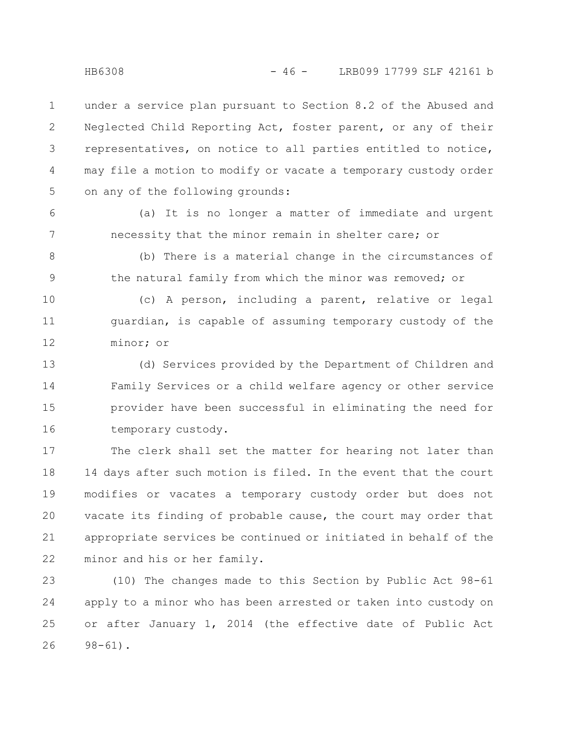under a service plan pursuant to Section 8.2 of the Abused and Neglected Child Reporting Act, foster parent, or any of their representatives, on notice to all parties entitled to notice, may file a motion to modify or vacate a temporary custody order on any of the following grounds: 1 2 3 4 5

(a) It is no longer a matter of immediate and urgent necessity that the minor remain in shelter care; or

(b) There is a material change in the circumstances of the natural family from which the minor was removed; or 8 9

(c) A person, including a parent, relative or legal guardian, is capable of assuming temporary custody of the minor; or 10 11 12

(d) Services provided by the Department of Children and Family Services or a child welfare agency or other service provider have been successful in eliminating the need for temporary custody. 13 14 15 16

The clerk shall set the matter for hearing not later than 14 days after such motion is filed. In the event that the court modifies or vacates a temporary custody order but does not vacate its finding of probable cause, the court may order that appropriate services be continued or initiated in behalf of the minor and his or her family. 17 18 19 20 21 22

(10) The changes made to this Section by Public Act 98-61 apply to a minor who has been arrested or taken into custody on or after January 1, 2014 (the effective date of Public Act 98-61). 23 24 25 26

6

7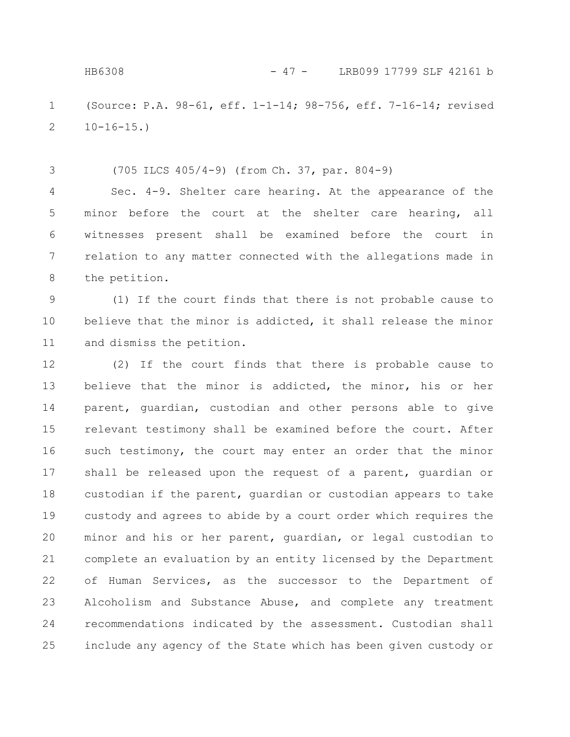3

(Source: P.A. 98-61, eff. 1-1-14; 98-756, eff. 7-16-14; revised  $10-16-15.$ 1 2

(705 ILCS 405/4-9) (from Ch. 37, par. 804-9)

Sec. 4-9. Shelter care hearing. At the appearance of the minor before the court at the shelter care hearing, all witnesses present shall be examined before the court in relation to any matter connected with the allegations made in the petition. 4 5 6 7 8

(1) If the court finds that there is not probable cause to believe that the minor is addicted, it shall release the minor and dismiss the petition. 9 10 11

(2) If the court finds that there is probable cause to believe that the minor is addicted, the minor, his or her parent, guardian, custodian and other persons able to give relevant testimony shall be examined before the court. After such testimony, the court may enter an order that the minor shall be released upon the request of a parent, guardian or custodian if the parent, guardian or custodian appears to take custody and agrees to abide by a court order which requires the minor and his or her parent, guardian, or legal custodian to complete an evaluation by an entity licensed by the Department of Human Services, as the successor to the Department of Alcoholism and Substance Abuse, and complete any treatment recommendations indicated by the assessment. Custodian shall include any agency of the State which has been given custody or 12 13 14 15 16 17 18 19 20 21 22 23 24 25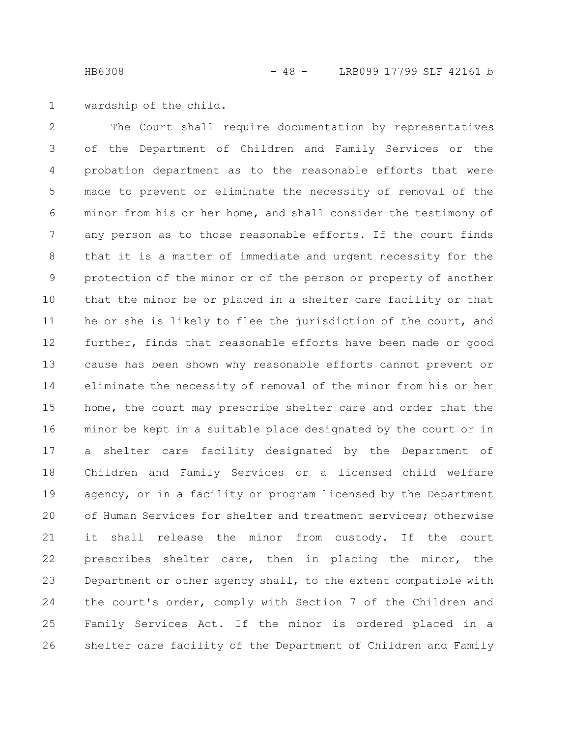wardship of the child. 1

The Court shall require documentation by representatives of the Department of Children and Family Services or the probation department as to the reasonable efforts that were made to prevent or eliminate the necessity of removal of the minor from his or her home, and shall consider the testimony of any person as to those reasonable efforts. If the court finds that it is a matter of immediate and urgent necessity for the protection of the minor or of the person or property of another that the minor be or placed in a shelter care facility or that he or she is likely to flee the jurisdiction of the court, and further, finds that reasonable efforts have been made or good cause has been shown why reasonable efforts cannot prevent or eliminate the necessity of removal of the minor from his or her home, the court may prescribe shelter care and order that the minor be kept in a suitable place designated by the court or in a shelter care facility designated by the Department of Children and Family Services or a licensed child welfare agency, or in a facility or program licensed by the Department of Human Services for shelter and treatment services; otherwise it shall release the minor from custody. If the court prescribes shelter care, then in placing the minor, the Department or other agency shall, to the extent compatible with the court's order, comply with Section 7 of the Children and Family Services Act. If the minor is ordered placed in a shelter care facility of the Department of Children and Family 2 3 4 5 6 7 8 9 10 11 12 13 14 15 16 17 18 19 20 21 22 23 24 25 26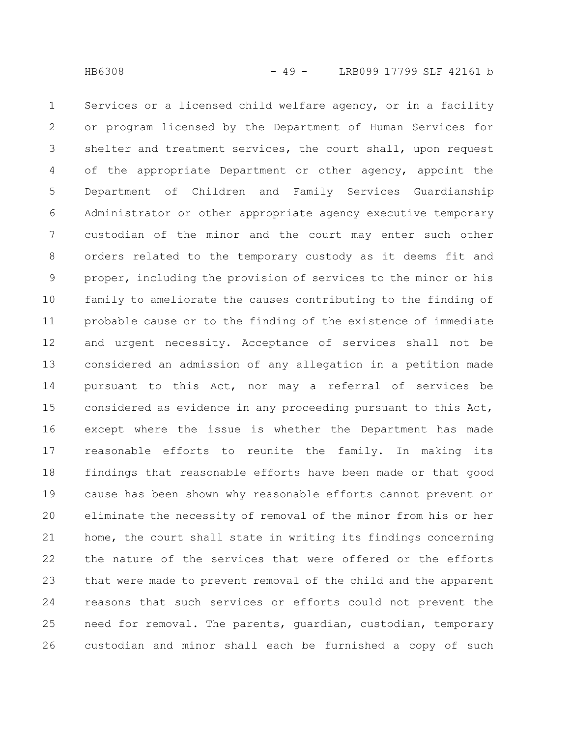Services or a licensed child welfare agency, or in a facility or program licensed by the Department of Human Services for shelter and treatment services, the court shall, upon request of the appropriate Department or other agency, appoint the Department of Children and Family Services Guardianship Administrator or other appropriate agency executive temporary custodian of the minor and the court may enter such other orders related to the temporary custody as it deems fit and proper, including the provision of services to the minor or his family to ameliorate the causes contributing to the finding of probable cause or to the finding of the existence of immediate and urgent necessity. Acceptance of services shall not be considered an admission of any allegation in a petition made pursuant to this Act, nor may a referral of services be considered as evidence in any proceeding pursuant to this Act, except where the issue is whether the Department has made reasonable efforts to reunite the family. In making its findings that reasonable efforts have been made or that good cause has been shown why reasonable efforts cannot prevent or eliminate the necessity of removal of the minor from his or her home, the court shall state in writing its findings concerning the nature of the services that were offered or the efforts that were made to prevent removal of the child and the apparent reasons that such services or efforts could not prevent the need for removal. The parents, guardian, custodian, temporary custodian and minor shall each be furnished a copy of such 1 2 3 4 5 6 7 8 9 10 11 12 13 14 15 16 17 18 19 20 21 22 23 24 25 26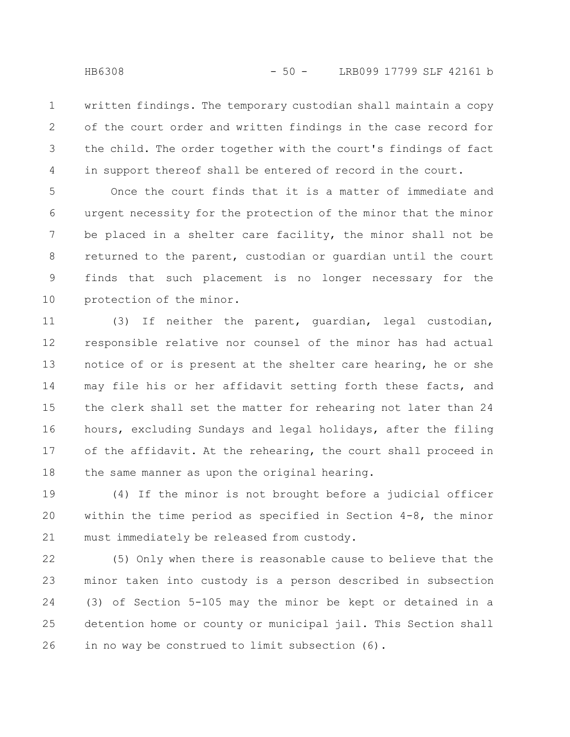written findings. The temporary custodian shall maintain a copy of the court order and written findings in the case record for the child. The order together with the court's findings of fact in support thereof shall be entered of record in the court. 1 2 3 4

Once the court finds that it is a matter of immediate and urgent necessity for the protection of the minor that the minor be placed in a shelter care facility, the minor shall not be returned to the parent, custodian or guardian until the court finds that such placement is no longer necessary for the protection of the minor. 5 6 7 8 9 10

(3) If neither the parent, guardian, legal custodian, responsible relative nor counsel of the minor has had actual notice of or is present at the shelter care hearing, he or she may file his or her affidavit setting forth these facts, and the clerk shall set the matter for rehearing not later than 24 hours, excluding Sundays and legal holidays, after the filing of the affidavit. At the rehearing, the court shall proceed in the same manner as upon the original hearing. 11 12 13 14 15 16 17 18

(4) If the minor is not brought before a judicial officer within the time period as specified in Section 4-8, the minor must immediately be released from custody. 19 20 21

(5) Only when there is reasonable cause to believe that the minor taken into custody is a person described in subsection (3) of Section 5-105 may the minor be kept or detained in a detention home or county or municipal jail. This Section shall in no way be construed to limit subsection (6). 22 23 24 25 26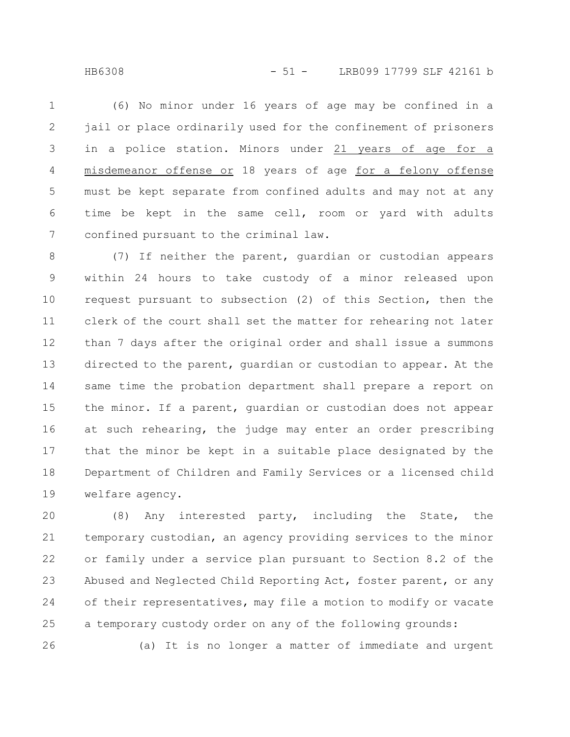HB6308 - 51 - LRB099 17799 SLF 42161 b

26

(6) No minor under 16 years of age may be confined in a jail or place ordinarily used for the confinement of prisoners in a police station. Minors under 21 years of age for a misdemeanor offense or 18 years of age for a felony offense must be kept separate from confined adults and may not at any time be kept in the same cell, room or yard with adults confined pursuant to the criminal law. 1 2 3 4 5 6 7

(7) If neither the parent, guardian or custodian appears within 24 hours to take custody of a minor released upon request pursuant to subsection (2) of this Section, then the clerk of the court shall set the matter for rehearing not later than 7 days after the original order and shall issue a summons directed to the parent, guardian or custodian to appear. At the same time the probation department shall prepare a report on the minor. If a parent, guardian or custodian does not appear at such rehearing, the judge may enter an order prescribing that the minor be kept in a suitable place designated by the Department of Children and Family Services or a licensed child welfare agency. 8 9 10 11 12 13 14 15 16 17 18 19

(8) Any interested party, including the State, the temporary custodian, an agency providing services to the minor or family under a service plan pursuant to Section 8.2 of the Abused and Neglected Child Reporting Act, foster parent, or any of their representatives, may file a motion to modify or vacate a temporary custody order on any of the following grounds: 20 21 22 23 24 25

(a) It is no longer a matter of immediate and urgent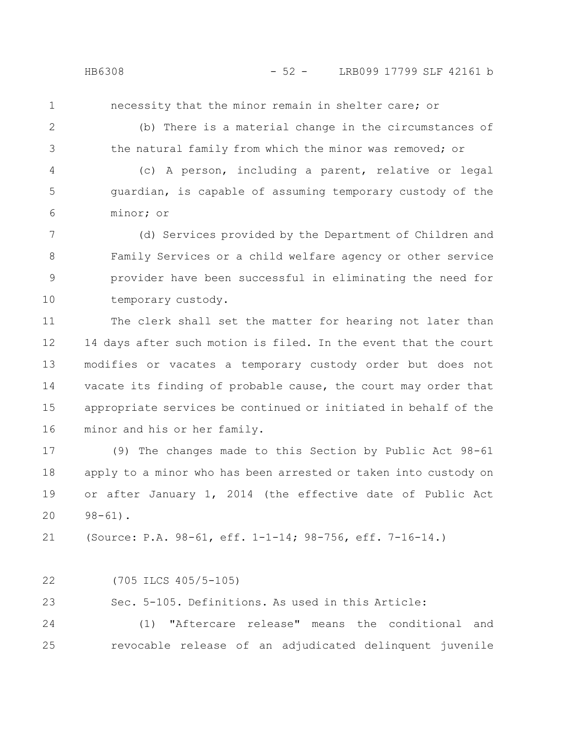1

necessity that the minor remain in shelter care; or

2

3

(b) There is a material change in the circumstances of the natural family from which the minor was removed; or

(c) A person, including a parent, relative or legal guardian, is capable of assuming temporary custody of the minor; or 4 5 6

(d) Services provided by the Department of Children and Family Services or a child welfare agency or other service provider have been successful in eliminating the need for temporary custody. 7 8 9 10

The clerk shall set the matter for hearing not later than 14 days after such motion is filed. In the event that the court modifies or vacates a temporary custody order but does not vacate its finding of probable cause, the court may order that appropriate services be continued or initiated in behalf of the minor and his or her family. 11 12 13 14 15 16

(9) The changes made to this Section by Public Act 98-61 apply to a minor who has been arrested or taken into custody on or after January 1, 2014 (the effective date of Public Act  $98 - 61$ . 17 18 19 20

(Source: P.A. 98-61, eff. 1-1-14; 98-756, eff. 7-16-14.) 21

(705 ILCS 405/5-105) 22

Sec. 5-105. Definitions. As used in this Article: 23

(1) "Aftercare release" means the conditional and revocable release of an adjudicated delinquent juvenile 24 25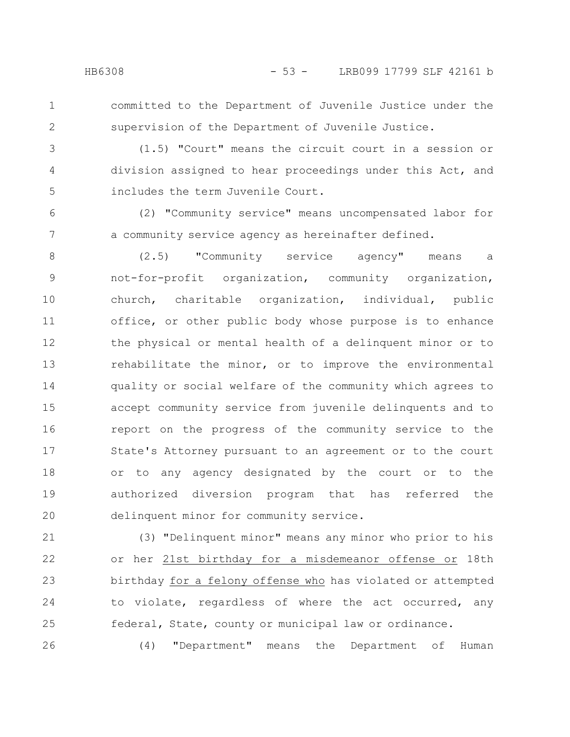1 2

26

committed to the Department of Juvenile Justice under the supervision of the Department of Juvenile Justice.

(1.5) "Court" means the circuit court in a session or division assigned to hear proceedings under this Act, and includes the term Juvenile Court. 3 4 5

(2) "Community service" means uncompensated labor for a community service agency as hereinafter defined. 6 7

(2.5) "Community service agency" means a not-for-profit organization, community organization, church, charitable organization, individual, public office, or other public body whose purpose is to enhance the physical or mental health of a delinquent minor or to rehabilitate the minor, or to improve the environmental quality or social welfare of the community which agrees to accept community service from juvenile delinquents and to report on the progress of the community service to the State's Attorney pursuant to an agreement or to the court or to any agency designated by the court or to the authorized diversion program that has referred the delinquent minor for community service. 8 9 10 11 12 13 14 15 16 17 18 19 20

(3) "Delinquent minor" means any minor who prior to his or her 21st birthday for a misdemeanor offense or 18th birthday for a felony offense who has violated or attempted to violate, regardless of where the act occurred, any federal, State, county or municipal law or ordinance. 21 22 23 24 25

(4) "Department" means the Department of Human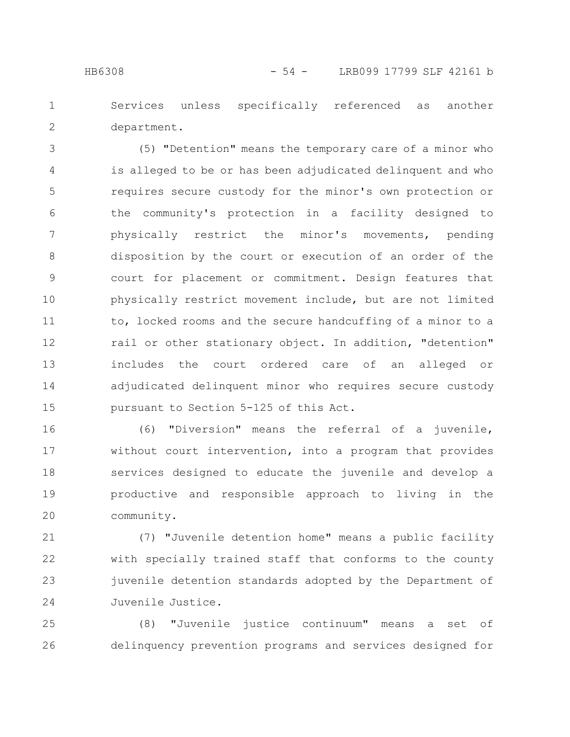Services unless specifically referenced as another department. 1 2

(5) "Detention" means the temporary care of a minor who is alleged to be or has been adjudicated delinquent and who requires secure custody for the minor's own protection or the community's protection in a facility designed to physically restrict the minor's movements, pending disposition by the court or execution of an order of the court for placement or commitment. Design features that physically restrict movement include, but are not limited to, locked rooms and the secure handcuffing of a minor to a rail or other stationary object. In addition, "detention" includes the court ordered care of an alleged or adjudicated delinquent minor who requires secure custody pursuant to Section 5-125 of this Act. 3 4 5 6 7 8 9 10 11 12 13 14 15

(6) "Diversion" means the referral of a juvenile, without court intervention, into a program that provides services designed to educate the juvenile and develop a productive and responsible approach to living in the community. 16 17 18 19 20

(7) "Juvenile detention home" means a public facility with specially trained staff that conforms to the county juvenile detention standards adopted by the Department of Juvenile Justice. 21 22 23 24

(8) "Juvenile justice continuum" means a set of delinquency prevention programs and services designed for 25 26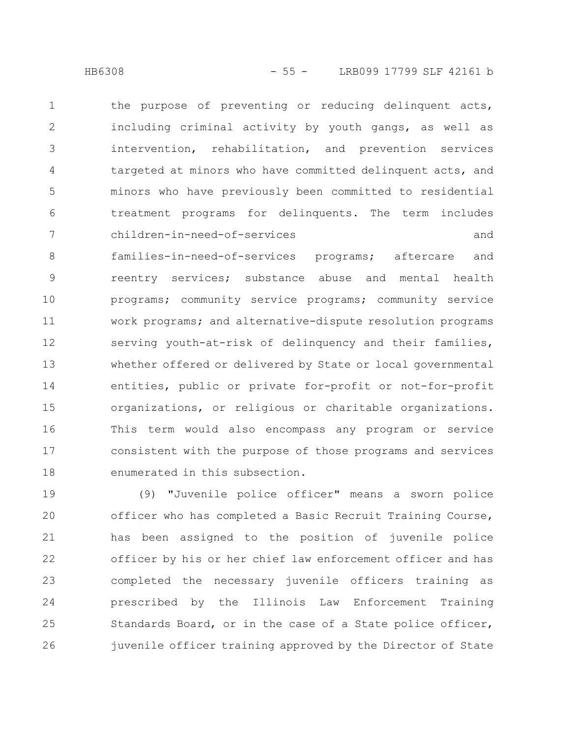the purpose of preventing or reducing delinquent acts, including criminal activity by youth gangs, as well as intervention, rehabilitation, and prevention services targeted at minors who have committed delinquent acts, and minors who have previously been committed to residential treatment programs for delinquents. The term includes children-in-need-of-services and families-in-need-of-services programs; aftercare and reentry services; substance abuse and mental health programs; community service programs; community service work programs; and alternative-dispute resolution programs serving youth-at-risk of delinquency and their families, whether offered or delivered by State or local governmental entities, public or private for-profit or not-for-profit organizations, or religious or charitable organizations. This term would also encompass any program or service consistent with the purpose of those programs and services enumerated in this subsection. 1 2 3 4 5 6 7 8 9 10 11 12 13 14 15 16 17 18

(9) "Juvenile police officer" means a sworn police officer who has completed a Basic Recruit Training Course, has been assigned to the position of juvenile police officer by his or her chief law enforcement officer and has completed the necessary juvenile officers training as prescribed by the Illinois Law Enforcement Training Standards Board, or in the case of a State police officer, juvenile officer training approved by the Director of State 19 20 21 22 23 24 25 26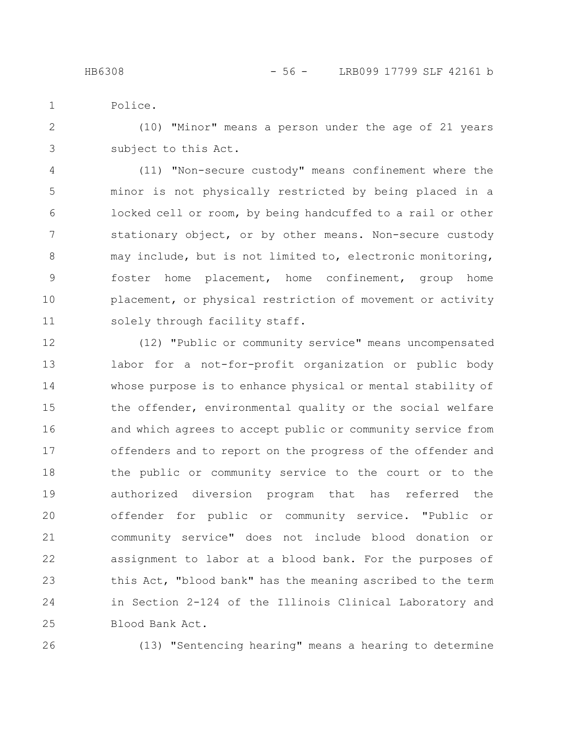Police.

1

(10) "Minor" means a person under the age of 21 years subject to this Act. 2 3

(11) "Non-secure custody" means confinement where the minor is not physically restricted by being placed in a locked cell or room, by being handcuffed to a rail or other stationary object, or by other means. Non-secure custody may include, but is not limited to, electronic monitoring, foster home placement, home confinement, group home placement, or physical restriction of movement or activity solely through facility staff. 4 5 6 7 8 9 10 11

(12) "Public or community service" means uncompensated labor for a not-for-profit organization or public body whose purpose is to enhance physical or mental stability of the offender, environmental quality or the social welfare and which agrees to accept public or community service from offenders and to report on the progress of the offender and the public or community service to the court or to the authorized diversion program that has referred the offender for public or community service. "Public or community service" does not include blood donation or assignment to labor at a blood bank. For the purposes of this Act, "blood bank" has the meaning ascribed to the term in Section 2-124 of the Illinois Clinical Laboratory and Blood Bank Act. 12 13 14 15 16 17 18 19 20 21 22 23 24 25

26

(13) "Sentencing hearing" means a hearing to determine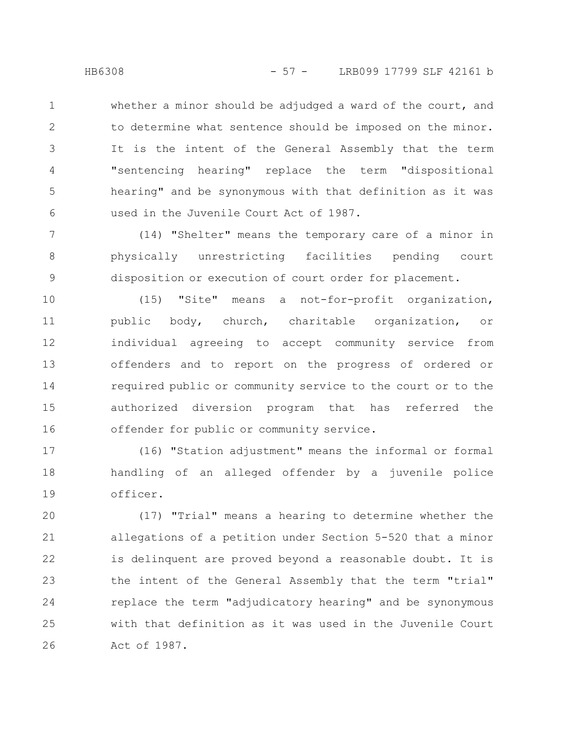whether a minor should be adjudged a ward of the court, and to determine what sentence should be imposed on the minor. It is the intent of the General Assembly that the term "sentencing hearing" replace the term "dispositional hearing" and be synonymous with that definition as it was 1 2 3 4 5

used in the Juvenile Court Act of 1987.

(14) "Shelter" means the temporary care of a minor in physically unrestricting facilities pending court disposition or execution of court order for placement. 7 8 9

(15) "Site" means a not-for-profit organization, public body, church, charitable organization, or individual agreeing to accept community service from offenders and to report on the progress of ordered or required public or community service to the court or to the authorized diversion program that has referred the offender for public or community service. 10 11 12 13 14 15 16

(16) "Station adjustment" means the informal or formal handling of an alleged offender by a juvenile police officer. 17 18 19

(17) "Trial" means a hearing to determine whether the allegations of a petition under Section 5-520 that a minor is delinquent are proved beyond a reasonable doubt. It is the intent of the General Assembly that the term "trial" replace the term "adjudicatory hearing" and be synonymous with that definition as it was used in the Juvenile Court Act of 1987. 20 21 22 23 24 25 26

6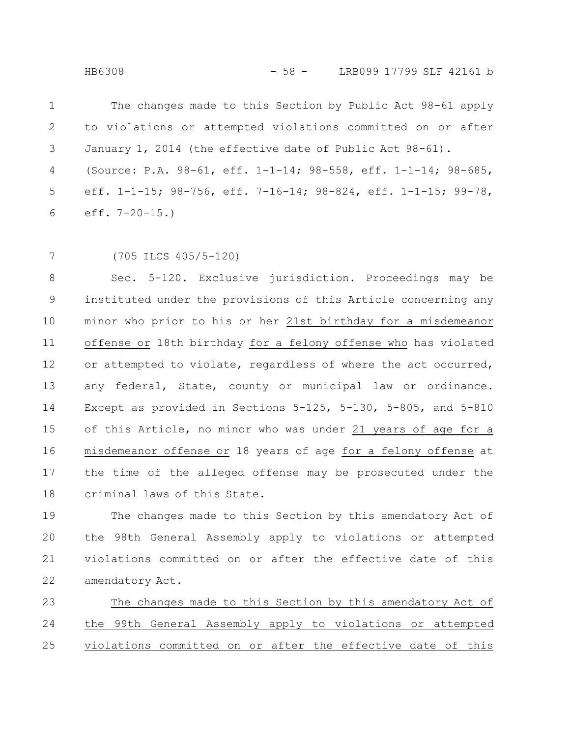The changes made to this Section by Public Act 98-61 apply to violations or attempted violations committed on or after January 1, 2014 (the effective date of Public Act 98-61). (Source: P.A. 98-61, eff. 1-1-14; 98-558, eff. 1-1-14; 98-685, eff. 1-1-15; 98-756, eff. 7-16-14; 98-824, eff. 1-1-15; 99-78, eff. 7-20-15.) 1 2 3 4 5 6

7

(705 ILCS 405/5-120)

Sec. 5-120. Exclusive jurisdiction. Proceedings may be instituted under the provisions of this Article concerning any minor who prior to his or her 21st birthday for a misdemeanor offense or 18th birthday for a felony offense who has violated or attempted to violate, regardless of where the act occurred, any federal, State, county or municipal law or ordinance. Except as provided in Sections 5-125, 5-130, 5-805, and 5-810 of this Article, no minor who was under 21 years of age for a misdemeanor offense or 18 years of age for a felony offense at the time of the alleged offense may be prosecuted under the criminal laws of this State. 8 9 10 11 12 13 14 15 16 17 18

The changes made to this Section by this amendatory Act of the 98th General Assembly apply to violations or attempted violations committed on or after the effective date of this amendatory Act. 19 20 21 22

The changes made to this Section by this amendatory Act of the 99th General Assembly apply to violations or attempted violations committed on or after the effective date of this 23 24 25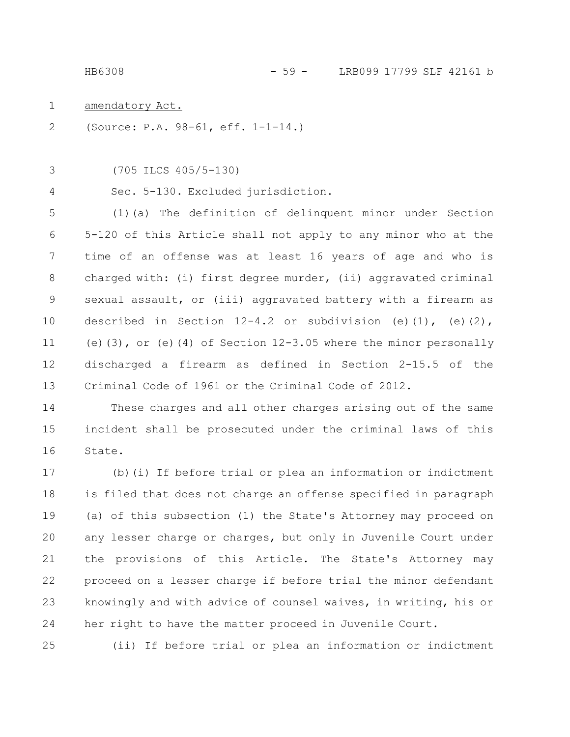HB6308 - 59 - LRB099 17799 SLF 42161 b

amendatory Act. 1

(Source: P.A. 98-61, eff. 1-1-14.) 2

(705 ILCS 405/5-130) 3

4

Sec. 5-130. Excluded jurisdiction.

(1)(a) The definition of delinquent minor under Section 5-120 of this Article shall not apply to any minor who at the time of an offense was at least 16 years of age and who is charged with: (i) first degree murder, (ii) aggravated criminal sexual assault, or (iii) aggravated battery with a firearm as described in Section  $12-4.2$  or subdivision (e)(1), (e)(2), (e)(3), or (e)(4) of Section 12-3.05 where the minor personally discharged a firearm as defined in Section 2-15.5 of the Criminal Code of 1961 or the Criminal Code of 2012. 5 6 7 8 9 10 11 12 13

These charges and all other charges arising out of the same incident shall be prosecuted under the criminal laws of this State. 14 15 16

(b)(i) If before trial or plea an information or indictment is filed that does not charge an offense specified in paragraph (a) of this subsection (1) the State's Attorney may proceed on any lesser charge or charges, but only in Juvenile Court under the provisions of this Article. The State's Attorney may proceed on a lesser charge if before trial the minor defendant knowingly and with advice of counsel waives, in writing, his or her right to have the matter proceed in Juvenile Court. 17 18 19 20 21 22 23 24

(ii) If before trial or plea an information or indictment 25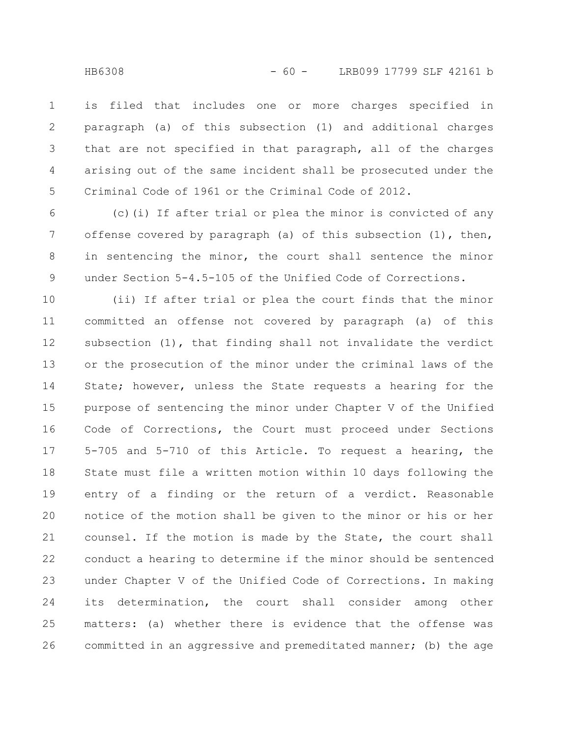is filed that includes one or more charges specified in paragraph (a) of this subsection (1) and additional charges that are not specified in that paragraph, all of the charges arising out of the same incident shall be prosecuted under the Criminal Code of 1961 or the Criminal Code of 2012. 1 2 3 4 5

(c)(i) If after trial or plea the minor is convicted of any offense covered by paragraph (a) of this subsection (1), then, in sentencing the minor, the court shall sentence the minor under Section 5-4.5-105 of the Unified Code of Corrections. 6 7 8 9

(ii) If after trial or plea the court finds that the minor committed an offense not covered by paragraph (a) of this subsection (1), that finding shall not invalidate the verdict or the prosecution of the minor under the criminal laws of the State; however, unless the State requests a hearing for the purpose of sentencing the minor under Chapter V of the Unified Code of Corrections, the Court must proceed under Sections 5-705 and 5-710 of this Article. To request a hearing, the State must file a written motion within 10 days following the entry of a finding or the return of a verdict. Reasonable notice of the motion shall be given to the minor or his or her counsel. If the motion is made by the State, the court shall conduct a hearing to determine if the minor should be sentenced under Chapter V of the Unified Code of Corrections. In making its determination, the court shall consider among other matters: (a) whether there is evidence that the offense was committed in an aggressive and premeditated manner; (b) the age 10 11 12 13 14 15 16 17 18 19 20 21 22 23 24 25 26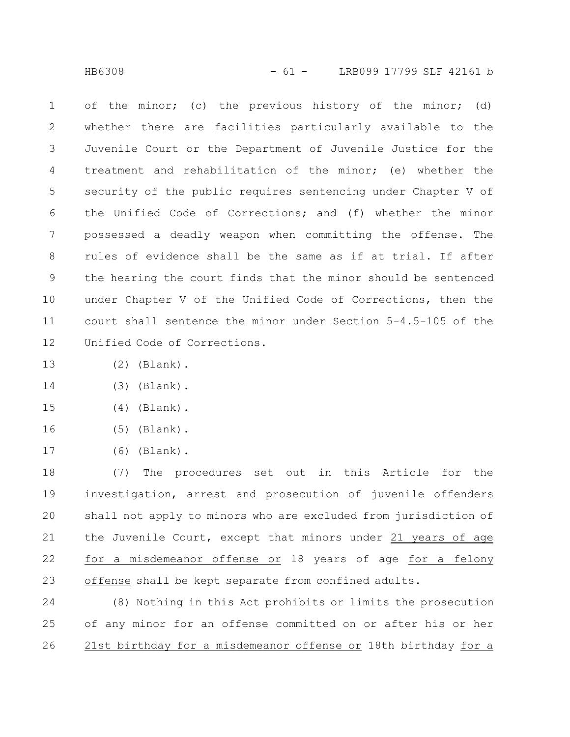of the minor; (c) the previous history of the minor; (d) whether there are facilities particularly available to the Juvenile Court or the Department of Juvenile Justice for the treatment and rehabilitation of the minor; (e) whether the security of the public requires sentencing under Chapter V of the Unified Code of Corrections; and (f) whether the minor possessed a deadly weapon when committing the offense. The rules of evidence shall be the same as if at trial. If after the hearing the court finds that the minor should be sentenced under Chapter V of the Unified Code of Corrections, then the court shall sentence the minor under Section 5-4.5-105 of the Unified Code of Corrections. 1 2 3 4 5 6 7 8 9 10 11 12

- (2) (Blank). 13
- (3) (Blank). 14
- (4) (Blank). 15
- (5) (Blank). 16
- (6) (Blank). 17

(7) The procedures set out in this Article for the investigation, arrest and prosecution of juvenile offenders shall not apply to minors who are excluded from jurisdiction of the Juvenile Court, except that minors under 21 years of age for a misdemeanor offense or 18 years of age for a felony offense shall be kept separate from confined adults. 18 19 20 21 22 23

(8) Nothing in this Act prohibits or limits the prosecution of any minor for an offense committed on or after his or her 21st birthday for a misdemeanor offense or 18th birthday for a 24 25 26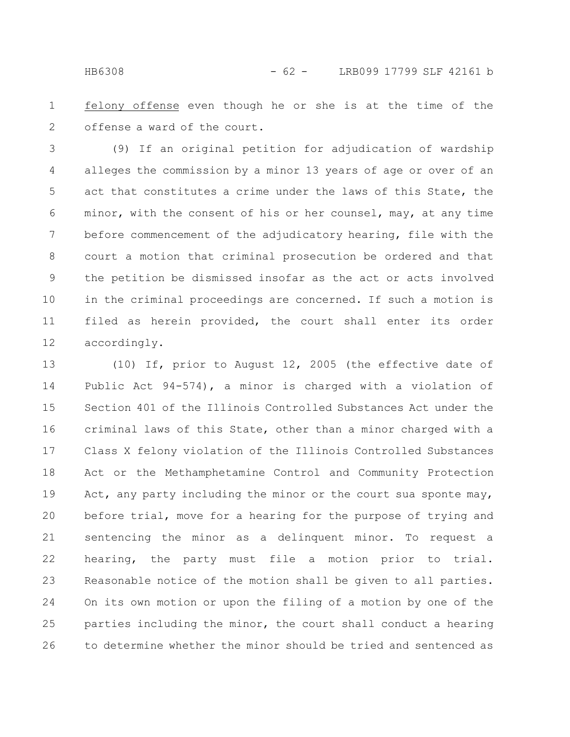felony offense even though he or she is at the time of the offense a ward of the court. 1 2

(9) If an original petition for adjudication of wardship alleges the commission by a minor 13 years of age or over of an act that constitutes a crime under the laws of this State, the minor, with the consent of his or her counsel, may, at any time before commencement of the adjudicatory hearing, file with the court a motion that criminal prosecution be ordered and that the petition be dismissed insofar as the act or acts involved in the criminal proceedings are concerned. If such a motion is filed as herein provided, the court shall enter its order accordingly. 3 4 5 6 7 8 9 10 11 12

(10) If, prior to August 12, 2005 (the effective date of Public Act 94-574), a minor is charged with a violation of Section 401 of the Illinois Controlled Substances Act under the criminal laws of this State, other than a minor charged with a Class X felony violation of the Illinois Controlled Substances Act or the Methamphetamine Control and Community Protection Act, any party including the minor or the court sua sponte may, before trial, move for a hearing for the purpose of trying and sentencing the minor as a delinquent minor. To request a hearing, the party must file a motion prior to trial. Reasonable notice of the motion shall be given to all parties. On its own motion or upon the filing of a motion by one of the parties including the minor, the court shall conduct a hearing to determine whether the minor should be tried and sentenced as 13 14 15 16 17 18 19 20 21 22 23 24 25 26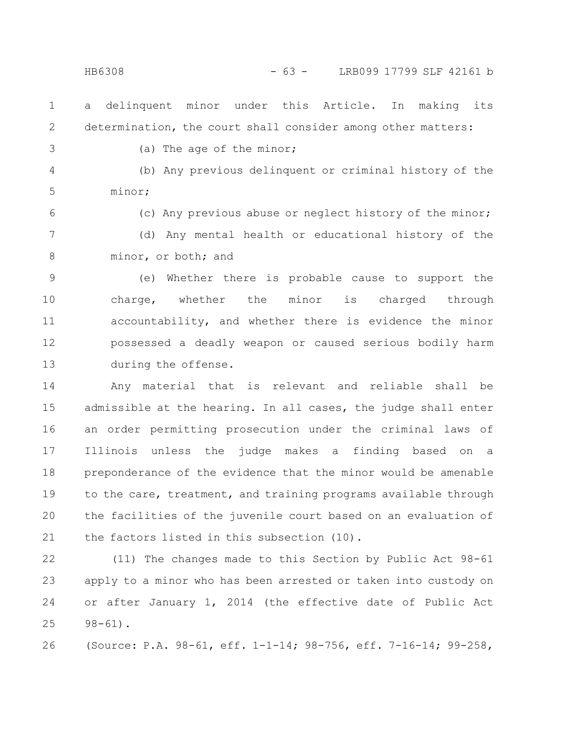a delinquent minor under this Article. In making its determination, the court shall consider among other matters: 1 2

3

(a) The age of the minor;

(b) Any previous delinquent or criminal history of the minor; 4 5

6

(c) Any previous abuse or neglect history of the minor;

(d) Any mental health or educational history of the minor, or both; and 7 8

(e) Whether there is probable cause to support the charge, whether the minor is charged through accountability, and whether there is evidence the minor possessed a deadly weapon or caused serious bodily harm during the offense. 9 10 11 12 13

Any material that is relevant and reliable shall be admissible at the hearing. In all cases, the judge shall enter an order permitting prosecution under the criminal laws of Illinois unless the judge makes a finding based on a preponderance of the evidence that the minor would be amenable to the care, treatment, and training programs available through the facilities of the juvenile court based on an evaluation of the factors listed in this subsection (10). 14 15 16 17 18 19 20 21

(11) The changes made to this Section by Public Act 98-61 apply to a minor who has been arrested or taken into custody on or after January 1, 2014 (the effective date of Public Act 98-61). 22 23 24 25

(Source: P.A. 98-61, eff. 1-1-14; 98-756, eff. 7-16-14; 99-258, 26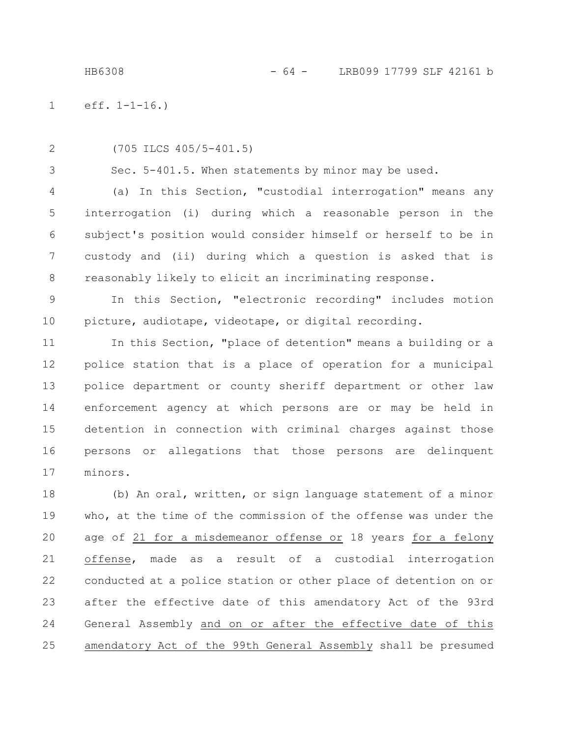HB6308 - 64 - LRB099 17799 SLF 42161 b

eff. 1-1-16.) 1

2

3

(705 ILCS 405/5-401.5)

Sec. 5-401.5. When statements by minor may be used.

(a) In this Section, "custodial interrogation" means any interrogation (i) during which a reasonable person in the subject's position would consider himself or herself to be in custody and (ii) during which a question is asked that is reasonably likely to elicit an incriminating response. 4 5 6 7 8

In this Section, "electronic recording" includes motion picture, audiotape, videotape, or digital recording. 9 10

In this Section, "place of detention" means a building or a police station that is a place of operation for a municipal police department or county sheriff department or other law enforcement agency at which persons are or may be held in detention in connection with criminal charges against those persons or allegations that those persons are delinquent minors. 11 12 13 14 15 16 17

(b) An oral, written, or sign language statement of a minor who, at the time of the commission of the offense was under the age of 21 for a misdemeanor offense or 18 years for a felony offense, made as a result of a custodial interrogation conducted at a police station or other place of detention on or after the effective date of this amendatory Act of the 93rd General Assembly and on or after the effective date of this amendatory Act of the 99th General Assembly shall be presumed 18 19 20 21 22 23 24 25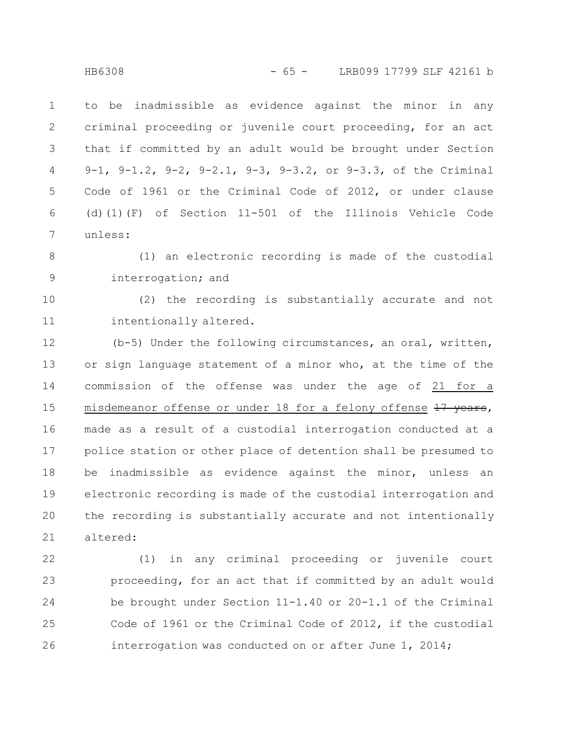to be inadmissible as evidence against the minor in any criminal proceeding or juvenile court proceeding, for an act that if committed by an adult would be brought under Section 9-1, 9-1.2, 9-2, 9-2.1, 9-3, 9-3.2, or 9-3.3, of the Criminal Code of 1961 or the Criminal Code of 2012, or under clause (d)(1)(F) of Section 11-501 of the Illinois Vehicle Code unless: 1 2 3 4 5 6 7

(1) an electronic recording is made of the custodial interrogation; and 8 9

(2) the recording is substantially accurate and not intentionally altered. 10 11

(b-5) Under the following circumstances, an oral, written, or sign language statement of a minor who, at the time of the commission of the offense was under the age of 21 for a misdemeanor offense or under 18 for a felony offense 17 years, made as a result of a custodial interrogation conducted at a police station or other place of detention shall be presumed to be inadmissible as evidence against the minor, unless an electronic recording is made of the custodial interrogation and the recording is substantially accurate and not intentionally altered: 12 13 14 15 16 17 18 19 20 21

(1) in any criminal proceeding or juvenile court proceeding, for an act that if committed by an adult would be brought under Section 11-1.40 or 20-1.1 of the Criminal Code of 1961 or the Criminal Code of 2012, if the custodial interrogation was conducted on or after June 1, 2014; 22 23 24 25 26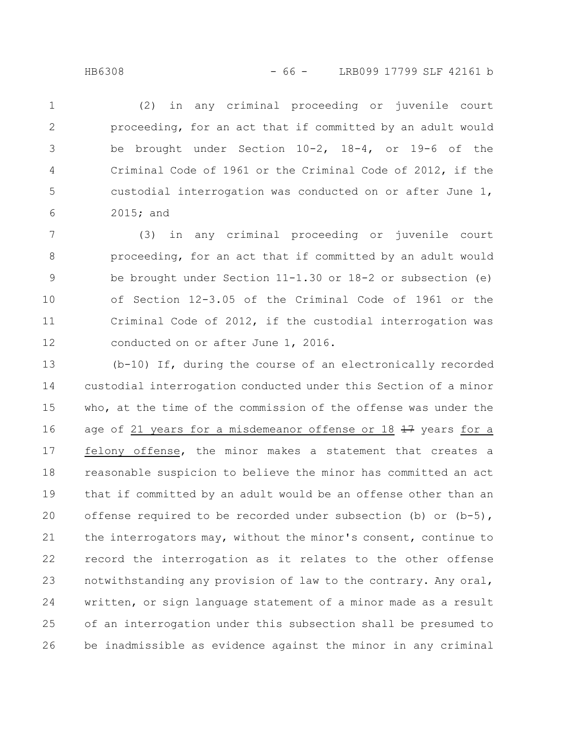(2) in any criminal proceeding or juvenile court proceeding, for an act that if committed by an adult would be brought under Section 10-2, 18-4, or 19-6 of the Criminal Code of 1961 or the Criminal Code of 2012, if the custodial interrogation was conducted on or after June 1, 2015; and 1 2 3 4 5 6

(3) in any criminal proceeding or juvenile court proceeding, for an act that if committed by an adult would be brought under Section 11-1.30 or 18-2 or subsection (e) of Section 12-3.05 of the Criminal Code of 1961 or the Criminal Code of 2012, if the custodial interrogation was conducted on or after June 1, 2016. 7 8 9 10 11 12

(b-10) If, during the course of an electronically recorded custodial interrogation conducted under this Section of a minor who, at the time of the commission of the offense was under the age of 21 years for a misdemeanor offense or 18  $\frac{17}{17}$  years for a felony offense, the minor makes a statement that creates a reasonable suspicion to believe the minor has committed an act that if committed by an adult would be an offense other than an offense required to be recorded under subsection (b) or  $(b-5)$ , the interrogators may, without the minor's consent, continue to record the interrogation as it relates to the other offense notwithstanding any provision of law to the contrary. Any oral, written, or sign language statement of a minor made as a result of an interrogation under this subsection shall be presumed to be inadmissible as evidence against the minor in any criminal 13 14 15 16 17 18 19 20 21 22 23 24 25 26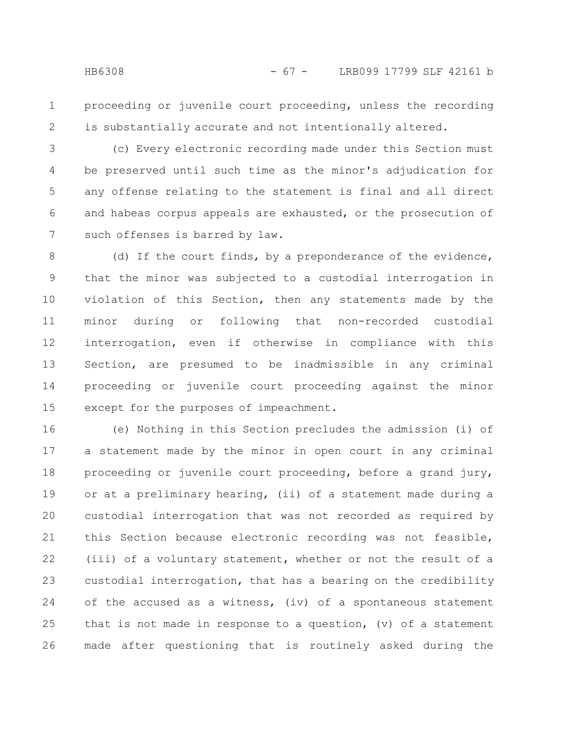proceeding or juvenile court proceeding, unless the recording is substantially accurate and not intentionally altered. 1 2

(c) Every electronic recording made under this Section must be preserved until such time as the minor's adjudication for any offense relating to the statement is final and all direct and habeas corpus appeals are exhausted, or the prosecution of such offenses is barred by law. 3 4 5 6 7

(d) If the court finds, by a preponderance of the evidence, that the minor was subjected to a custodial interrogation in violation of this Section, then any statements made by the minor during or following that non-recorded custodial interrogation, even if otherwise in compliance with this Section, are presumed to be inadmissible in any criminal proceeding or juvenile court proceeding against the minor except for the purposes of impeachment. 8 9 10 11 12 13 14 15

(e) Nothing in this Section precludes the admission (i) of a statement made by the minor in open court in any criminal proceeding or juvenile court proceeding, before a grand jury, or at a preliminary hearing, (ii) of a statement made during a custodial interrogation that was not recorded as required by this Section because electronic recording was not feasible, (iii) of a voluntary statement, whether or not the result of a custodial interrogation, that has a bearing on the credibility of the accused as a witness, (iv) of a spontaneous statement that is not made in response to a question, (v) of a statement made after questioning that is routinely asked during the 16 17 18 19 20 21 22 23 24 25 26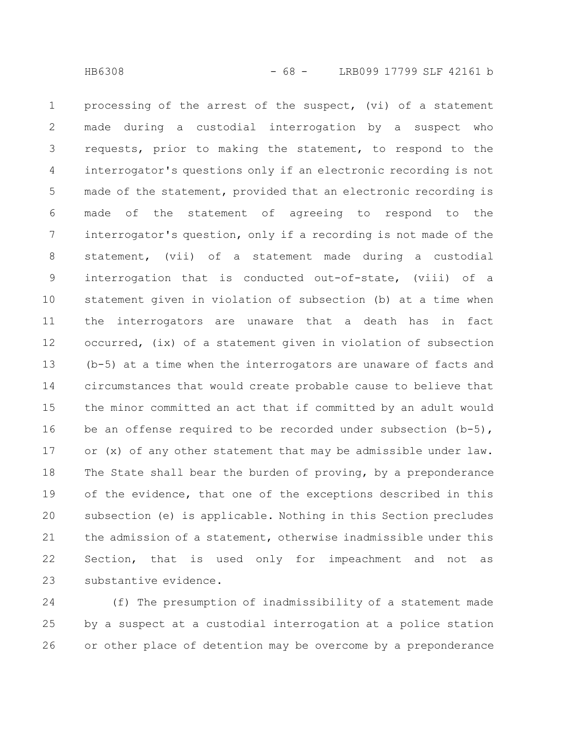processing of the arrest of the suspect, (vi) of a statement made during a custodial interrogation by a suspect who requests, prior to making the statement, to respond to the interrogator's questions only if an electronic recording is not made of the statement, provided that an electronic recording is made of the statement of agreeing to respond to the interrogator's question, only if a recording is not made of the statement, (vii) of a statement made during a custodial interrogation that is conducted out-of-state, (viii) of a statement given in violation of subsection (b) at a time when the interrogators are unaware that a death has in fact occurred, (ix) of a statement given in violation of subsection (b-5) at a time when the interrogators are unaware of facts and circumstances that would create probable cause to believe that the minor committed an act that if committed by an adult would be an offense required to be recorded under subsection  $(b-5)$ , or (x) of any other statement that may be admissible under law. The State shall bear the burden of proving, by a preponderance of the evidence, that one of the exceptions described in this subsection (e) is applicable. Nothing in this Section precludes the admission of a statement, otherwise inadmissible under this Section, that is used only for impeachment and not as substantive evidence. 1 2 3 4 5 6 7 8 9 10 11 12 13 14 15 16 17 18 19 20 21 22 23

(f) The presumption of inadmissibility of a statement made by a suspect at a custodial interrogation at a police station or other place of detention may be overcome by a preponderance 24 25 26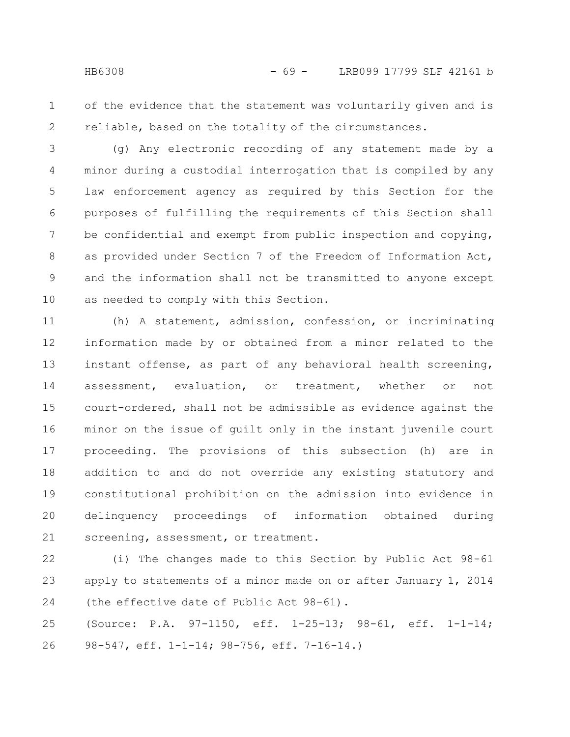of the evidence that the statement was voluntarily given and is reliable, based on the totality of the circumstances. 1 2

(g) Any electronic recording of any statement made by a minor during a custodial interrogation that is compiled by any law enforcement agency as required by this Section for the purposes of fulfilling the requirements of this Section shall be confidential and exempt from public inspection and copying, as provided under Section 7 of the Freedom of Information Act, and the information shall not be transmitted to anyone except as needed to comply with this Section. 3 4 5 6 7 8 9 10

(h) A statement, admission, confession, or incriminating information made by or obtained from a minor related to the instant offense, as part of any behavioral health screening, assessment, evaluation, or treatment, whether or not court-ordered, shall not be admissible as evidence against the minor on the issue of guilt only in the instant juvenile court proceeding. The provisions of this subsection (h) are in addition to and do not override any existing statutory and constitutional prohibition on the admission into evidence in delinquency proceedings of information obtained during screening, assessment, or treatment. 11 12 13 14 15 16 17 18 19 20 21

(i) The changes made to this Section by Public Act 98-61 apply to statements of a minor made on or after January 1, 2014 (the effective date of Public Act 98-61). 22 23 24

(Source: P.A. 97-1150, eff. 1-25-13; 98-61, eff. 1-1-14; 98-547, eff. 1-1-14; 98-756, eff. 7-16-14.) 25 26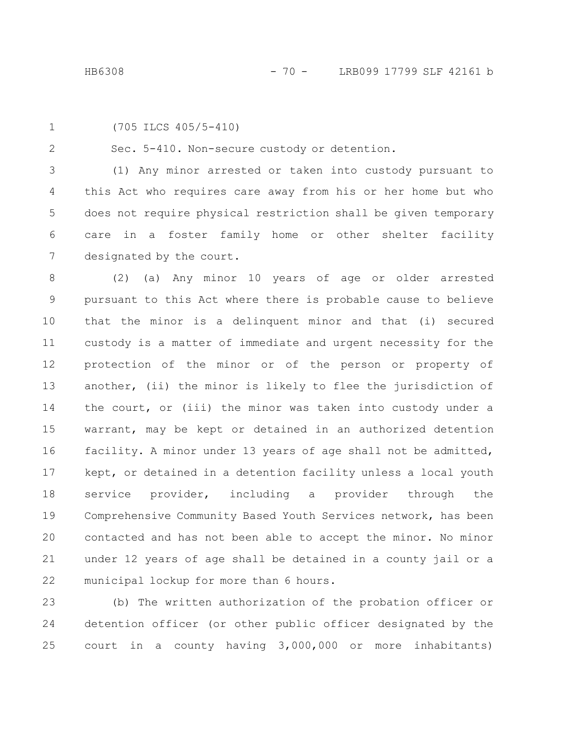1

2

(705 ILCS 405/5-410)

Sec. 5-410. Non-secure custody or detention.

(1) Any minor arrested or taken into custody pursuant to this Act who requires care away from his or her home but who does not require physical restriction shall be given temporary care in a foster family home or other shelter facility designated by the court. 3 4 5 6 7

(2) (a) Any minor 10 years of age or older arrested pursuant to this Act where there is probable cause to believe that the minor is a delinquent minor and that (i) secured custody is a matter of immediate and urgent necessity for the protection of the minor or of the person or property of another, (ii) the minor is likely to flee the jurisdiction of the court, or (iii) the minor was taken into custody under a warrant, may be kept or detained in an authorized detention facility. A minor under 13 years of age shall not be admitted, kept, or detained in a detention facility unless a local youth service provider, including a provider through the Comprehensive Community Based Youth Services network, has been contacted and has not been able to accept the minor. No minor under 12 years of age shall be detained in a county jail or a municipal lockup for more than 6 hours. 8 9 10 11 12 13 14 15 16 17 18 19 20 21 22

(b) The written authorization of the probation officer or detention officer (or other public officer designated by the court in a county having 3,000,000 or more inhabitants) 23 24 25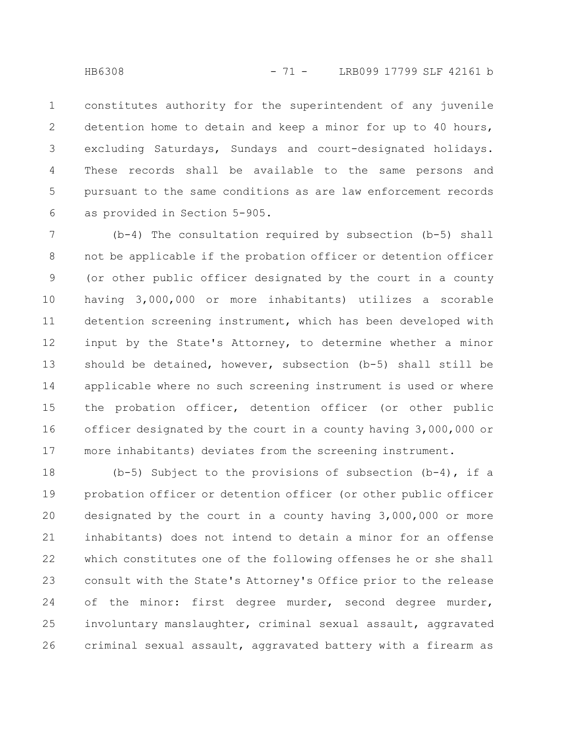constitutes authority for the superintendent of any juvenile detention home to detain and keep a minor for up to 40 hours, excluding Saturdays, Sundays and court-designated holidays. These records shall be available to the same persons and pursuant to the same conditions as are law enforcement records as provided in Section 5-905. 1 2 3 4 5 6

(b-4) The consultation required by subsection (b-5) shall not be applicable if the probation officer or detention officer (or other public officer designated by the court in a county having 3,000,000 or more inhabitants) utilizes a scorable detention screening instrument, which has been developed with input by the State's Attorney, to determine whether a minor should be detained, however, subsection (b-5) shall still be applicable where no such screening instrument is used or where the probation officer, detention officer (or other public officer designated by the court in a county having 3,000,000 or more inhabitants) deviates from the screening instrument. 7 8 9 10 11 12 13 14 15 16 17

(b-5) Subject to the provisions of subsection  $(b-4)$ , if a probation officer or detention officer (or other public officer designated by the court in a county having 3,000,000 or more inhabitants) does not intend to detain a minor for an offense which constitutes one of the following offenses he or she shall consult with the State's Attorney's Office prior to the release of the minor: first degree murder, second degree murder, involuntary manslaughter, criminal sexual assault, aggravated criminal sexual assault, aggravated battery with a firearm as 18 19 20 21 22 23 24 25 26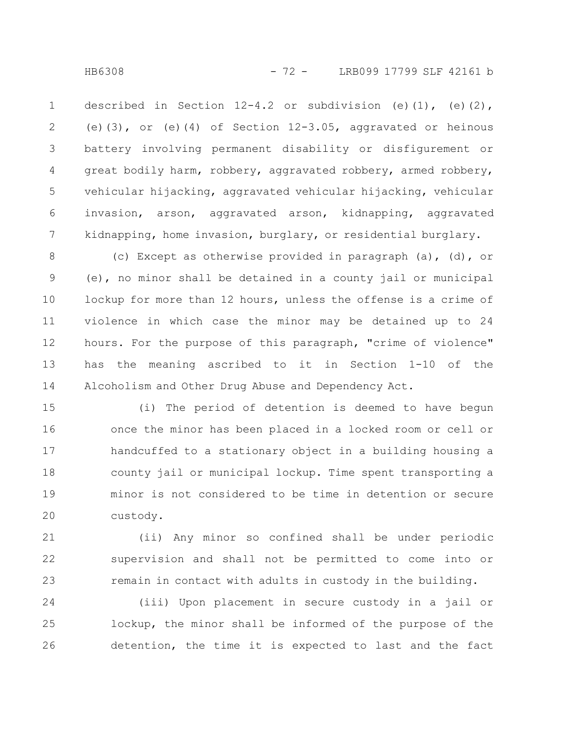described in Section  $12-4.2$  or subdivision (e)(1), (e)(2), (e)(3), or (e)(4) of Section 12-3.05, aggravated or heinous battery involving permanent disability or disfigurement or great bodily harm, robbery, aggravated robbery, armed robbery, vehicular hijacking, aggravated vehicular hijacking, vehicular invasion, arson, aggravated arson, kidnapping, aggravated kidnapping, home invasion, burglary, or residential burglary. 1 2 3 4 5 6 7

(c) Except as otherwise provided in paragraph (a), (d), or (e), no minor shall be detained in a county jail or municipal lockup for more than 12 hours, unless the offense is a crime of violence in which case the minor may be detained up to 24 hours. For the purpose of this paragraph, "crime of violence" has the meaning ascribed to it in Section 1-10 of the Alcoholism and Other Drug Abuse and Dependency Act. 8 9 10 11 12 13 14

(i) The period of detention is deemed to have begun once the minor has been placed in a locked room or cell or handcuffed to a stationary object in a building housing a county jail or municipal lockup. Time spent transporting a minor is not considered to be time in detention or secure custody. 15 16 17 18 19 20

(ii) Any minor so confined shall be under periodic supervision and shall not be permitted to come into or remain in contact with adults in custody in the building. 21 22 23

(iii) Upon placement in secure custody in a jail or lockup, the minor shall be informed of the purpose of the detention, the time it is expected to last and the fact 24 25 26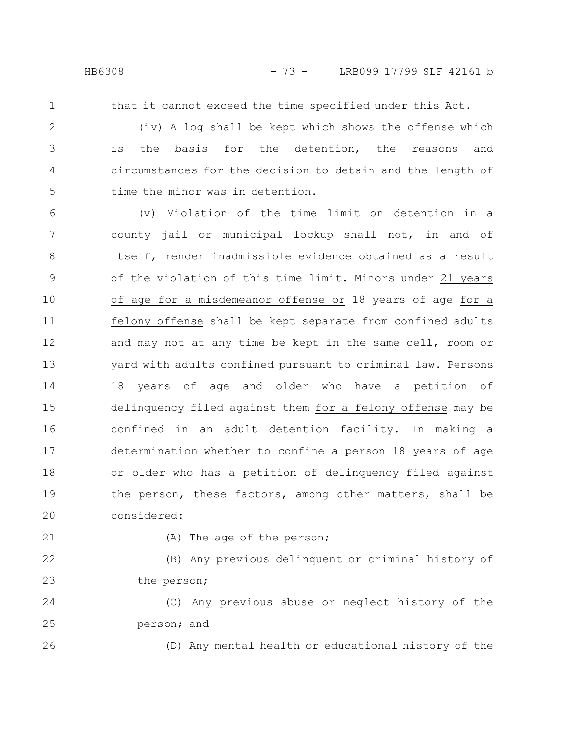that it cannot exceed the time specified under this Act.

2 3

4

5

1

(iv) A log shall be kept which shows the offense which is the basis for the detention, the reasons and circumstances for the decision to detain and the length of time the minor was in detention.

(v) Violation of the time limit on detention in a county jail or municipal lockup shall not, in and of itself, render inadmissible evidence obtained as a result of the violation of this time limit. Minors under 21 years of age for a misdemeanor offense or 18 years of age for a felony offense shall be kept separate from confined adults and may not at any time be kept in the same cell, room or yard with adults confined pursuant to criminal law. Persons 18 years of age and older who have a petition of delinquency filed against them for a felony offense may be confined in an adult detention facility. In making a determination whether to confine a person 18 years of age or older who has a petition of delinquency filed against the person, these factors, among other matters, shall be considered: 6 7 8 9 10 11 12 13 14 15 16 17 18 19 20

21

26

(A) The age of the person;

(B) Any previous delinquent or criminal history of the person; 22 23

(C) Any previous abuse or neglect history of the person; and 24 25

(D) Any mental health or educational history of the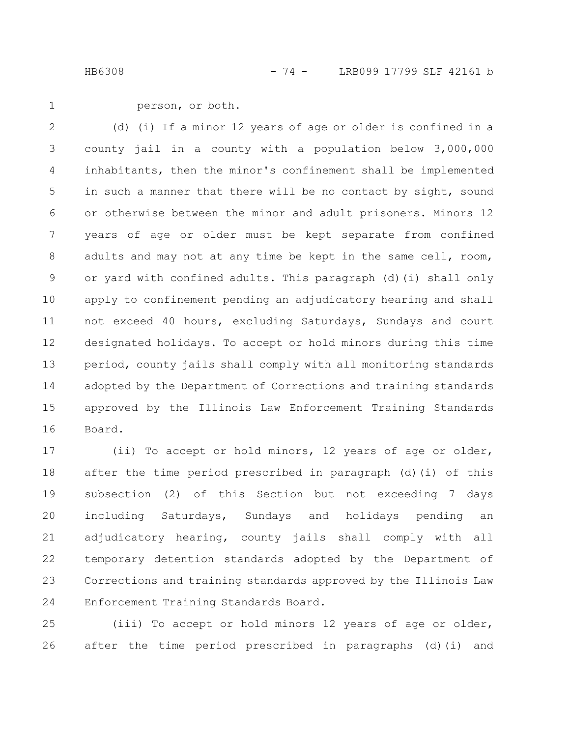HB6308 - 74 - LRB099 17799 SLF 42161 b

1

person, or both.

(d) (i) If a minor 12 years of age or older is confined in a county jail in a county with a population below 3,000,000 inhabitants, then the minor's confinement shall be implemented in such a manner that there will be no contact by sight, sound or otherwise between the minor and adult prisoners. Minors 12 years of age or older must be kept separate from confined adults and may not at any time be kept in the same cell, room, or yard with confined adults. This paragraph (d)(i) shall only apply to confinement pending an adjudicatory hearing and shall not exceed 40 hours, excluding Saturdays, Sundays and court designated holidays. To accept or hold minors during this time period, county jails shall comply with all monitoring standards adopted by the Department of Corrections and training standards approved by the Illinois Law Enforcement Training Standards Board. 2 3 4 5 6 7 8 9 10 11 12 13 14 15 16

(ii) To accept or hold minors, 12 years of age or older, after the time period prescribed in paragraph (d)(i) of this subsection (2) of this Section but not exceeding 7 days including Saturdays, Sundays and holidays pending an adjudicatory hearing, county jails shall comply with all temporary detention standards adopted by the Department of Corrections and training standards approved by the Illinois Law Enforcement Training Standards Board. 17 18 19 20 21 22 23 24

(iii) To accept or hold minors 12 years of age or older, after the time period prescribed in paragraphs (d)(i) and 25 26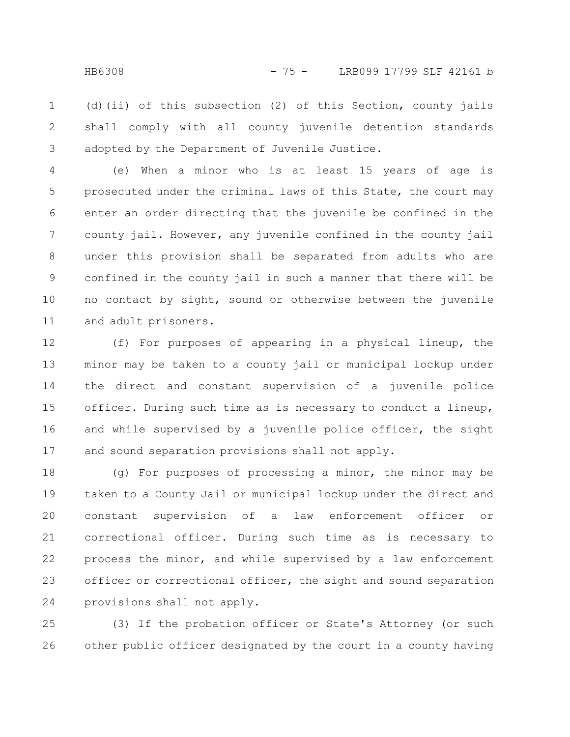(d)(ii) of this subsection (2) of this Section, county jails shall comply with all county juvenile detention standards adopted by the Department of Juvenile Justice. 1 2 3

(e) When a minor who is at least 15 years of age is prosecuted under the criminal laws of this State, the court may enter an order directing that the juvenile be confined in the county jail. However, any juvenile confined in the county jail under this provision shall be separated from adults who are confined in the county jail in such a manner that there will be no contact by sight, sound or otherwise between the juvenile and adult prisoners. 4 5 6 7 8 9 10 11

(f) For purposes of appearing in a physical lineup, the minor may be taken to a county jail or municipal lockup under the direct and constant supervision of a juvenile police officer. During such time as is necessary to conduct a lineup, and while supervised by a juvenile police officer, the sight and sound separation provisions shall not apply. 12 13 14 15 16 17

(g) For purposes of processing a minor, the minor may be taken to a County Jail or municipal lockup under the direct and constant supervision of a law enforcement officer or correctional officer. During such time as is necessary to process the minor, and while supervised by a law enforcement officer or correctional officer, the sight and sound separation provisions shall not apply. 18 19 20 21 22 23 24

(3) If the probation officer or State's Attorney (or such other public officer designated by the court in a county having 25 26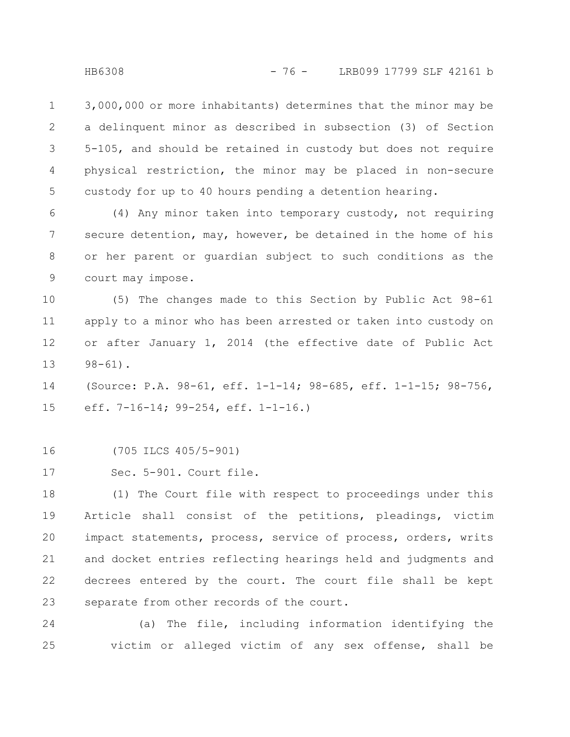3,000,000 or more inhabitants) determines that the minor may be a delinquent minor as described in subsection (3) of Section 5-105, and should be retained in custody but does not require physical restriction, the minor may be placed in non-secure custody for up to 40 hours pending a detention hearing. 1 2 3 4 5

(4) Any minor taken into temporary custody, not requiring secure detention, may, however, be detained in the home of his or her parent or guardian subject to such conditions as the court may impose. 6 7 8 9

(5) The changes made to this Section by Public Act 98-61 apply to a minor who has been arrested or taken into custody on or after January 1, 2014 (the effective date of Public Act  $98 - 61$ . 10 11 12 13

(Source: P.A. 98-61, eff. 1-1-14; 98-685, eff. 1-1-15; 98-756, eff. 7-16-14; 99-254, eff. 1-1-16.) 14 15

(705 ILCS 405/5-901) 16

Sec. 5-901. Court file. 17

(1) The Court file with respect to proceedings under this Article shall consist of the petitions, pleadings, victim impact statements, process, service of process, orders, writs and docket entries reflecting hearings held and judgments and decrees entered by the court. The court file shall be kept separate from other records of the court. 18 19 20 21 22 23

(a) The file, including information identifying the victim or alleged victim of any sex offense, shall be 24 25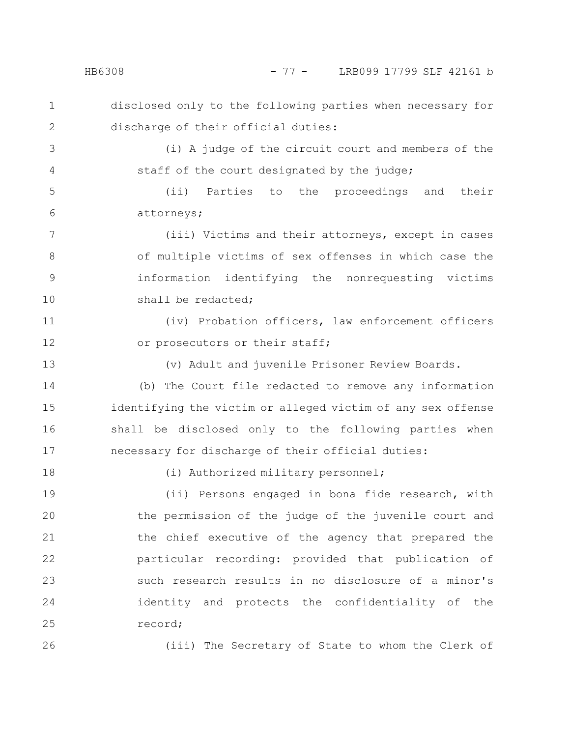disclosed only to the following parties when necessary for discharge of their official duties: 1 2

(i) A judge of the circuit court and members of the staff of the court designated by the judge; 3 4

(ii) Parties to the proceedings and their attorneys; 5 6

(iii) Victims and their attorneys, except in cases of multiple victims of sex offenses in which case the information identifying the nonrequesting victims shall be redacted; 7 8 9 10

(iv) Probation officers, law enforcement officers or prosecutors or their staff; 11 12

(v) Adult and juvenile Prisoner Review Boards. 13

(b) The Court file redacted to remove any information identifying the victim or alleged victim of any sex offense shall be disclosed only to the following parties when necessary for discharge of their official duties: 14 15 16 17

(i) Authorized military personnel;

(ii) Persons engaged in bona fide research, with the permission of the judge of the juvenile court and the chief executive of the agency that prepared the particular recording: provided that publication of such research results in no disclosure of a minor's identity and protects the confidentiality of the record; 19 20 21 22 23 24 25

26

18

(iii) The Secretary of State to whom the Clerk of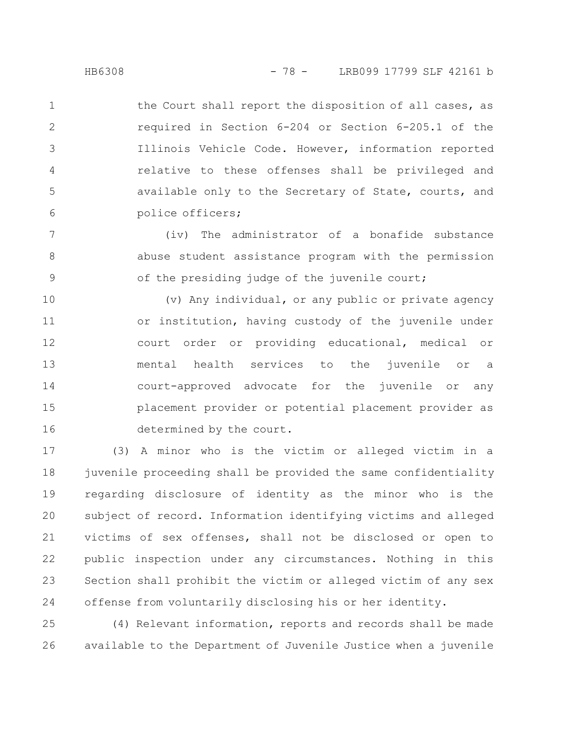the Court shall report the disposition of all cases, as required in Section 6-204 or Section 6-205.1 of the Illinois Vehicle Code. However, information reported relative to these offenses shall be privileged and available only to the Secretary of State, courts, and police officers; 1 2 3 4 5 6

(iv) The administrator of a bonafide substance abuse student assistance program with the permission of the presiding judge of the juvenile court; 7 8 9

(v) Any individual, or any public or private agency or institution, having custody of the juvenile under court order or providing educational, medical or mental health services to the juvenile or a court-approved advocate for the juvenile or any placement provider or potential placement provider as determined by the court. 10 11 12 13 14 15 16

(3) A minor who is the victim or alleged victim in a juvenile proceeding shall be provided the same confidentiality regarding disclosure of identity as the minor who is the subject of record. Information identifying victims and alleged victims of sex offenses, shall not be disclosed or open to public inspection under any circumstances. Nothing in this Section shall prohibit the victim or alleged victim of any sex offense from voluntarily disclosing his or her identity. 17 18 19 20 21 22 23 24

(4) Relevant information, reports and records shall be made available to the Department of Juvenile Justice when a juvenile 25 26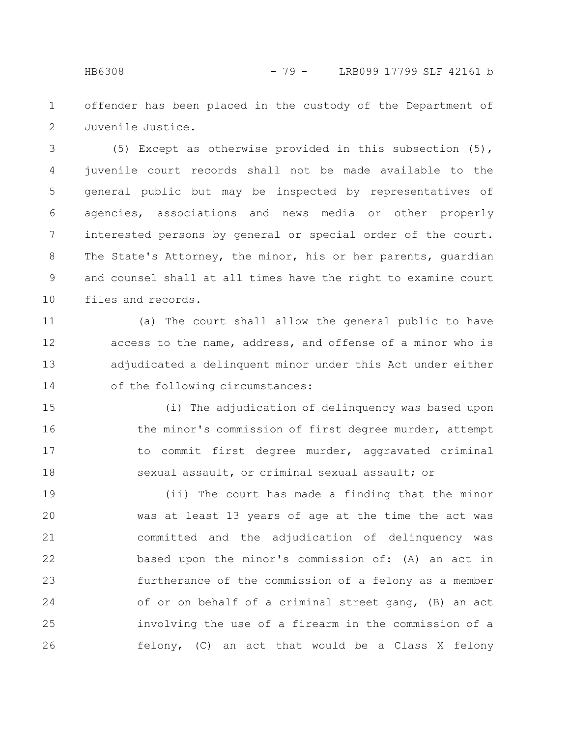offender has been placed in the custody of the Department of Juvenile Justice. 1 2

(5) Except as otherwise provided in this subsection (5), juvenile court records shall not be made available to the general public but may be inspected by representatives of agencies, associations and news media or other properly interested persons by general or special order of the court. The State's Attorney, the minor, his or her parents, quardian and counsel shall at all times have the right to examine court files and records. 3 4 5 6 7 8 9 10

(a) The court shall allow the general public to have access to the name, address, and offense of a minor who is adjudicated a delinquent minor under this Act under either of the following circumstances: 11 12 13 14

(i) The adjudication of delinquency was based upon the minor's commission of first degree murder, attempt to commit first degree murder, aggravated criminal sexual assault, or criminal sexual assault; or 15 16 17 18

(ii) The court has made a finding that the minor was at least 13 years of age at the time the act was committed and the adjudication of delinquency was based upon the minor's commission of: (A) an act in furtherance of the commission of a felony as a member of or on behalf of a criminal street gang, (B) an act involving the use of a firearm in the commission of a felony, (C) an act that would be a Class X felony 19 20 21 22 23 24 25 26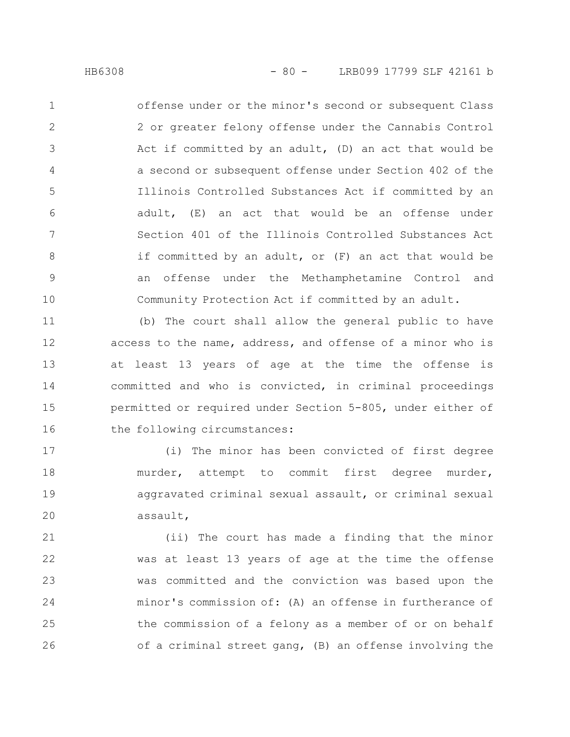offense under or the minor's second or subsequent Class 2 or greater felony offense under the Cannabis Control Act if committed by an adult, (D) an act that would be a second or subsequent offense under Section 402 of the Illinois Controlled Substances Act if committed by an adult, (E) an act that would be an offense under Section 401 of the Illinois Controlled Substances Act if committed by an adult, or (F) an act that would be an offense under the Methamphetamine Control and Community Protection Act if committed by an adult. 1 2 3 4 5 6 7 8 9 10

(b) The court shall allow the general public to have access to the name, address, and offense of a minor who is at least 13 years of age at the time the offense is committed and who is convicted, in criminal proceedings permitted or required under Section 5-805, under either of the following circumstances: 11 12 13 14 15 16

(i) The minor has been convicted of first degree murder, attempt to commit first degree murder, aggravated criminal sexual assault, or criminal sexual assault, 17 18 19 20

(ii) The court has made a finding that the minor was at least 13 years of age at the time the offense was committed and the conviction was based upon the minor's commission of: (A) an offense in furtherance of the commission of a felony as a member of or on behalf of a criminal street gang, (B) an offense involving the 21 22 23 24 25 26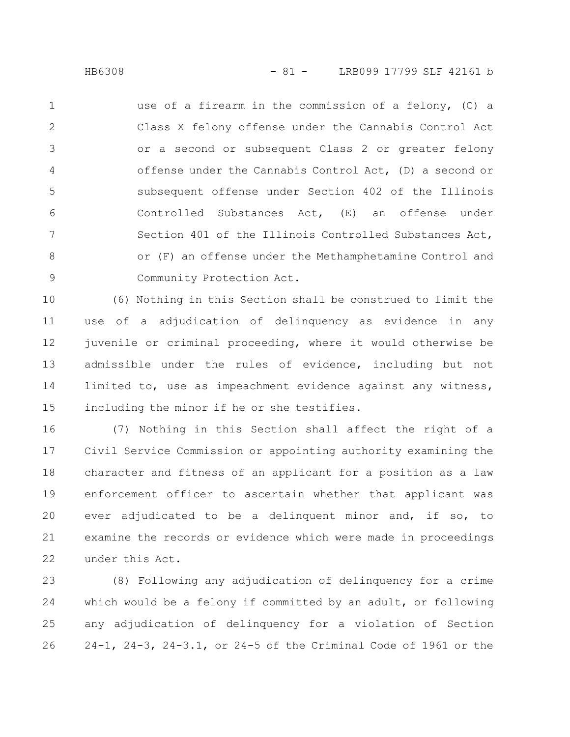use of a firearm in the commission of a felony, (C) a Class X felony offense under the Cannabis Control Act or a second or subsequent Class 2 or greater felony offense under the Cannabis Control Act, (D) a second or subsequent offense under Section 402 of the Illinois Controlled Substances Act, (E) an offense under Section 401 of the Illinois Controlled Substances Act, or (F) an offense under the Methamphetamine Control and Community Protection Act. 1 2 3 4 5 6 7 8 9

(6) Nothing in this Section shall be construed to limit the use of a adjudication of delinquency as evidence in any juvenile or criminal proceeding, where it would otherwise be admissible under the rules of evidence, including but not limited to, use as impeachment evidence against any witness, including the minor if he or she testifies. 10 11 12 13 14 15

(7) Nothing in this Section shall affect the right of a Civil Service Commission or appointing authority examining the character and fitness of an applicant for a position as a law enforcement officer to ascertain whether that applicant was ever adjudicated to be a delinquent minor and, if so, to examine the records or evidence which were made in proceedings under this Act. 16 17 18 19 20 21 22

(8) Following any adjudication of delinquency for a crime which would be a felony if committed by an adult, or following any adjudication of delinquency for a violation of Section 24-1, 24-3, 24-3.1, or 24-5 of the Criminal Code of 1961 or the 23 24 25 26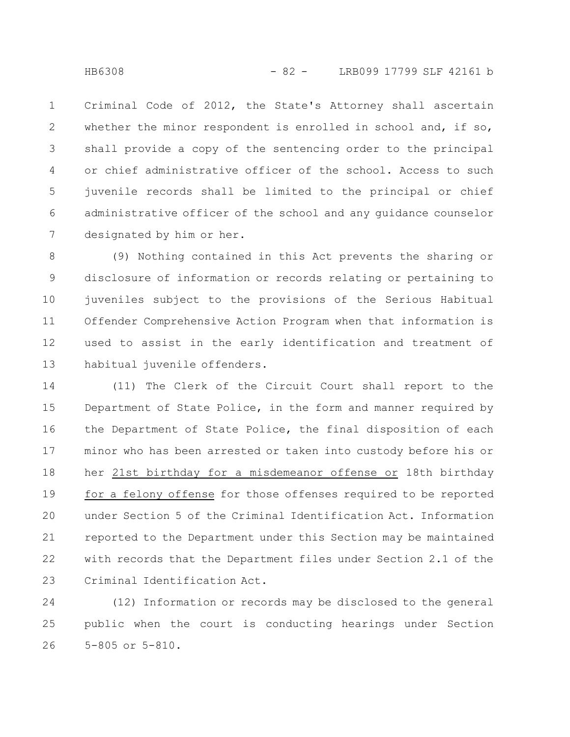Criminal Code of 2012, the State's Attorney shall ascertain whether the minor respondent is enrolled in school and, if so, shall provide a copy of the sentencing order to the principal or chief administrative officer of the school. Access to such juvenile records shall be limited to the principal or chief administrative officer of the school and any guidance counselor designated by him or her. 1 2 3 4 5 6 7

(9) Nothing contained in this Act prevents the sharing or disclosure of information or records relating or pertaining to juveniles subject to the provisions of the Serious Habitual Offender Comprehensive Action Program when that information is used to assist in the early identification and treatment of habitual juvenile offenders. 8 9 10 11 12 13

(11) The Clerk of the Circuit Court shall report to the Department of State Police, in the form and manner required by the Department of State Police, the final disposition of each minor who has been arrested or taken into custody before his or her 21st birthday for a misdemeanor offense or 18th birthday for a felony offense for those offenses required to be reported under Section 5 of the Criminal Identification Act. Information reported to the Department under this Section may be maintained with records that the Department files under Section 2.1 of the Criminal Identification Act. 14 15 16 17 18 19 20 21 22 23

(12) Information or records may be disclosed to the general public when the court is conducting hearings under Section 5-805 or 5-810. 24 25 26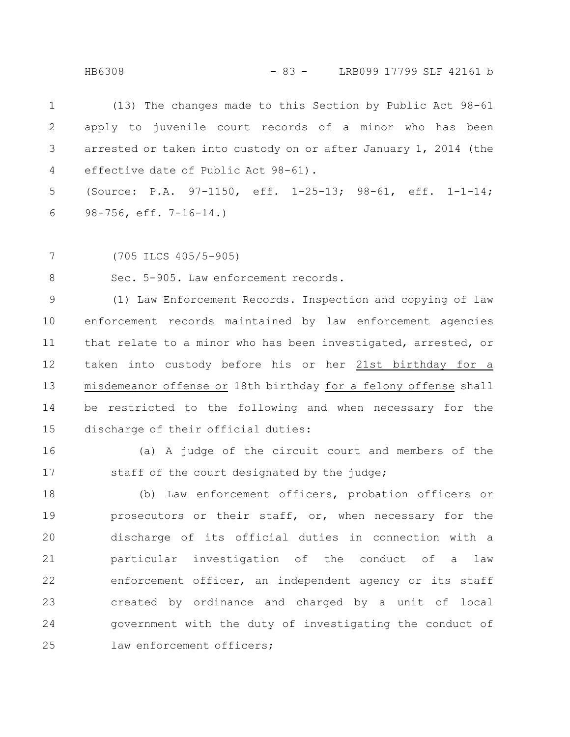HB6308 - 83 - LRB099 17799 SLF 42161 b

(13) The changes made to this Section by Public Act 98-61 apply to juvenile court records of a minor who has been arrested or taken into custody on or after January 1, 2014 (the effective date of Public Act 98-61). 1 2 3 4

(Source: P.A. 97-1150, eff. 1-25-13; 98-61, eff. 1-1-14; 98-756, eff. 7-16-14.) 5 6

(705 ILCS 405/5-905) 7

Sec. 5-905. Law enforcement records. 8

(1) Law Enforcement Records. Inspection and copying of law enforcement records maintained by law enforcement agencies that relate to a minor who has been investigated, arrested, or taken into custody before his or her 21st birthday for a misdemeanor offense or 18th birthday for a felony offense shall be restricted to the following and when necessary for the discharge of their official duties: 9 10 11 12 13 14 15

16

(a) A judge of the circuit court and members of the staff of the court designated by the judge; 17

(b) Law enforcement officers, probation officers or prosecutors or their staff, or, when necessary for the discharge of its official duties in connection with a particular investigation of the conduct of a law enforcement officer, an independent agency or its staff created by ordinance and charged by a unit of local government with the duty of investigating the conduct of law enforcement officers: 18 19 20 21 22 23 24 25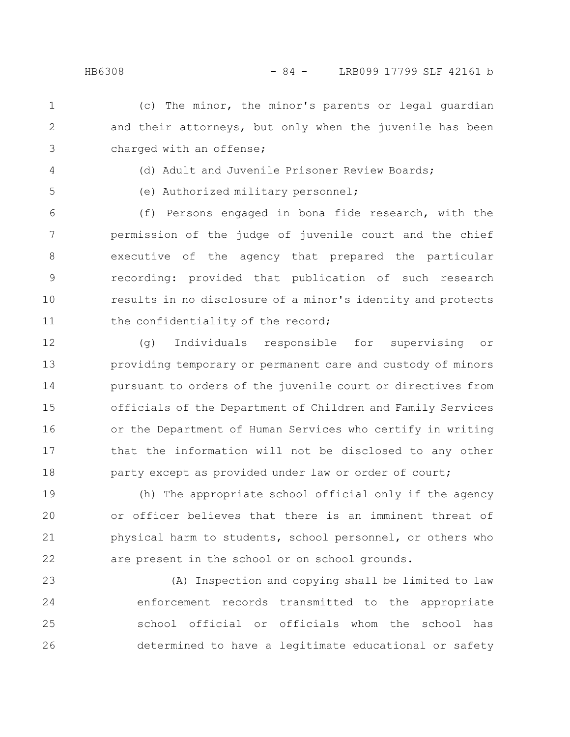(c) The minor, the minor's parents or legal guardian and their attorneys, but only when the juvenile has been charged with an offense; 1 2 3

4

5

(d) Adult and Juvenile Prisoner Review Boards;

(e) Authorized military personnel;

(f) Persons engaged in bona fide research, with the permission of the judge of juvenile court and the chief executive of the agency that prepared the particular recording: provided that publication of such research results in no disclosure of a minor's identity and protects the confidentiality of the record; 6 7 8 9 10 11

(g) Individuals responsible for supervising or providing temporary or permanent care and custody of minors pursuant to orders of the juvenile court or directives from officials of the Department of Children and Family Services or the Department of Human Services who certify in writing that the information will not be disclosed to any other party except as provided under law or order of court; 12 13 14 15 16 17 18

(h) The appropriate school official only if the agency or officer believes that there is an imminent threat of physical harm to students, school personnel, or others who are present in the school or on school grounds. 19 20 21 22

(A) Inspection and copying shall be limited to law enforcement records transmitted to the appropriate school official or officials whom the school has determined to have a legitimate educational or safety 23 24 25 26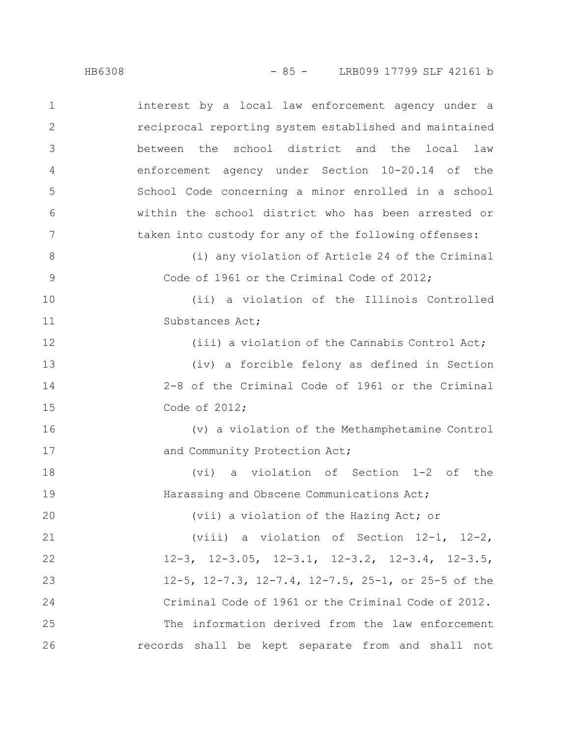interest by a local law enforcement agency under a reciprocal reporting system established and maintained between the school district and the local law enforcement agency under Section 10-20.14 of the School Code concerning a minor enrolled in a school within the school district who has been arrested or taken into custody for any of the following offenses: (i) any violation of Article 24 of the Criminal Code of 1961 or the Criminal Code of 2012; (ii) a violation of the Illinois Controlled Substances Act; 1 2 3 4 5 6 7 8 9 10 11

(iii) a violation of the Cannabis Control Act;

(iv) a forcible felony as defined in Section 2-8 of the Criminal Code of 1961 or the Criminal Code of 2012;

(v) a violation of the Methamphetamine Control and Community Protection Act; 16 17

(vi) a violation of Section 1-2 of the Harassing and Obscene Communications Act; 18 19

(vii) a violation of the Hazing Act; or

(viii) a violation of Section 12-1, 12-2, 12-3, 12-3.05, 12-3.1, 12-3.2, 12-3.4, 12-3.5, 12-5, 12-7.3, 12-7.4, 12-7.5, 25-1, or 25-5 of the Criminal Code of 1961 or the Criminal Code of 2012. The information derived from the law enforcement records shall be kept separate from and shall not 21 22 23 24 25 26

12

13

14

15

20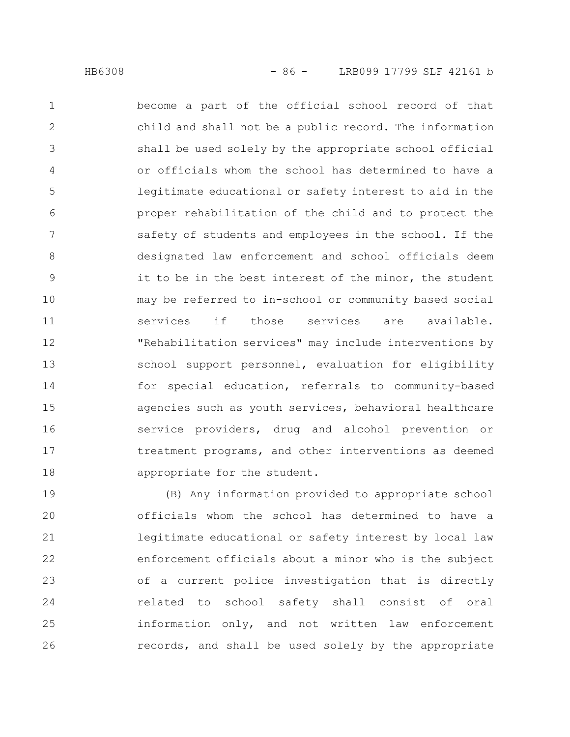become a part of the official school record of that child and shall not be a public record. The information shall be used solely by the appropriate school official or officials whom the school has determined to have a legitimate educational or safety interest to aid in the proper rehabilitation of the child and to protect the safety of students and employees in the school. If the designated law enforcement and school officials deem it to be in the best interest of the minor, the student may be referred to in-school or community based social services if those services are available. "Rehabilitation services" may include interventions by school support personnel, evaluation for eligibility for special education, referrals to community-based agencies such as youth services, behavioral healthcare service providers, drug and alcohol prevention or treatment programs, and other interventions as deemed appropriate for the student. 1 2 3 4 5 6 7 8 9 10 11 12 13 14 15 16 17 18

(B) Any information provided to appropriate school officials whom the school has determined to have a legitimate educational or safety interest by local law enforcement officials about a minor who is the subject of a current police investigation that is directly related to school safety shall consist of oral information only, and not written law enforcement records, and shall be used solely by the appropriate 19 20 21 22 23 24 25 26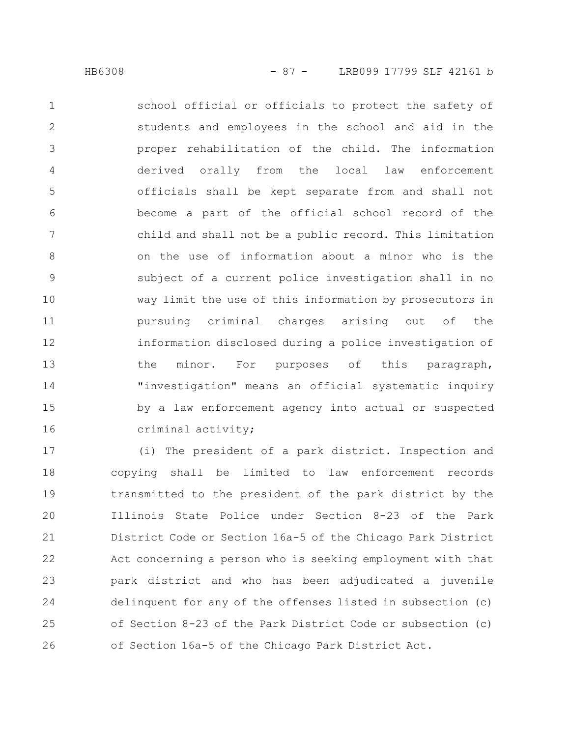school official or officials to protect the safety of students and employees in the school and aid in the proper rehabilitation of the child. The information derived orally from the local law enforcement officials shall be kept separate from and shall not become a part of the official school record of the child and shall not be a public record. This limitation on the use of information about a minor who is the subject of a current police investigation shall in no way limit the use of this information by prosecutors in pursuing criminal charges arising out of the information disclosed during a police investigation of the minor. For purposes of this paragraph, "investigation" means an official systematic inquiry by a law enforcement agency into actual or suspected criminal activity; 1 2 3 4 5 6 7 8 9 10 11 12 13 14 15 16

(i) The president of a park district. Inspection and copying shall be limited to law enforcement records transmitted to the president of the park district by the Illinois State Police under Section 8-23 of the Park District Code or Section 16a-5 of the Chicago Park District Act concerning a person who is seeking employment with that park district and who has been adjudicated a juvenile delinquent for any of the offenses listed in subsection (c) of Section 8-23 of the Park District Code or subsection (c) of Section 16a-5 of the Chicago Park District Act. 17 18 19 20 21 22 23 24 25 26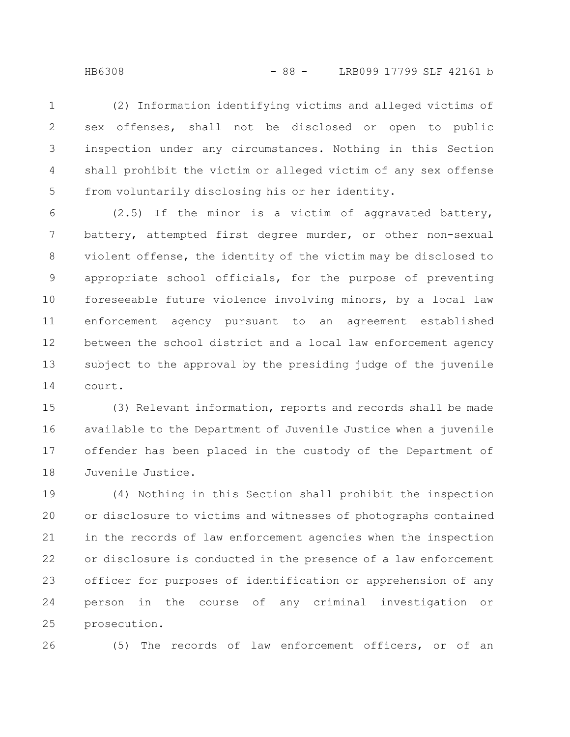HB6308 - 88 - LRB099 17799 SLF 42161 b

(2) Information identifying victims and alleged victims of sex offenses, shall not be disclosed or open to public inspection under any circumstances. Nothing in this Section shall prohibit the victim or alleged victim of any sex offense from voluntarily disclosing his or her identity. 1 2 3 4 5

(2.5) If the minor is a victim of aggravated battery, battery, attempted first degree murder, or other non-sexual violent offense, the identity of the victim may be disclosed to appropriate school officials, for the purpose of preventing foreseeable future violence involving minors, by a local law enforcement agency pursuant to an agreement established between the school district and a local law enforcement agency subject to the approval by the presiding judge of the juvenile court. 6 7 8 9 10 11 12 13 14

(3) Relevant information, reports and records shall be made available to the Department of Juvenile Justice when a juvenile offender has been placed in the custody of the Department of Juvenile Justice. 15 16 17 18

(4) Nothing in this Section shall prohibit the inspection or disclosure to victims and witnesses of photographs contained in the records of law enforcement agencies when the inspection or disclosure is conducted in the presence of a law enforcement officer for purposes of identification or apprehension of any person in the course of any criminal investigation or prosecution. 19 20 21 22 23 24 25

26

(5) The records of law enforcement officers, or of an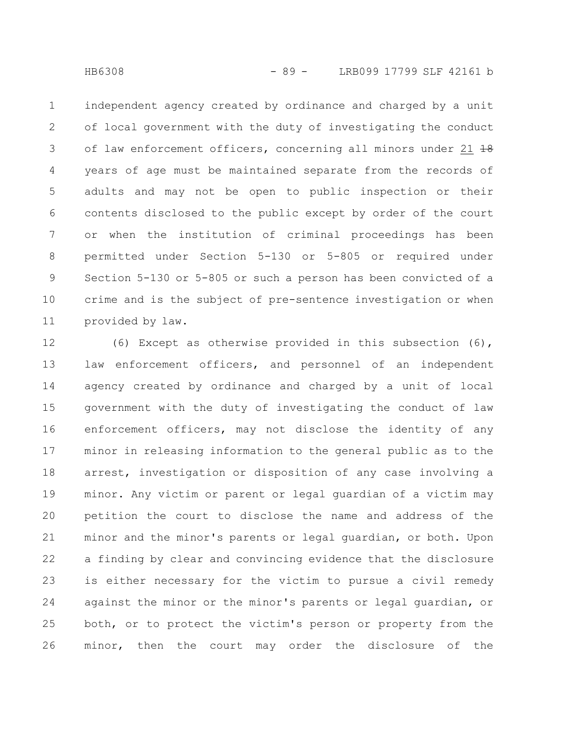independent agency created by ordinance and charged by a unit of local government with the duty of investigating the conduct of law enforcement officers, concerning all minors under 21 18 years of age must be maintained separate from the records of adults and may not be open to public inspection or their contents disclosed to the public except by order of the court or when the institution of criminal proceedings has been permitted under Section 5-130 or 5-805 or required under Section 5-130 or 5-805 or such a person has been convicted of a crime and is the subject of pre-sentence investigation or when provided by law. 1 2 3 4 5 6 7 8 9 10 11

(6) Except as otherwise provided in this subsection (6), law enforcement officers, and personnel of an independent agency created by ordinance and charged by a unit of local government with the duty of investigating the conduct of law enforcement officers, may not disclose the identity of any minor in releasing information to the general public as to the arrest, investigation or disposition of any case involving a minor. Any victim or parent or legal guardian of a victim may petition the court to disclose the name and address of the minor and the minor's parents or legal guardian, or both. Upon a finding by clear and convincing evidence that the disclosure is either necessary for the victim to pursue a civil remedy against the minor or the minor's parents or legal guardian, or both, or to protect the victim's person or property from the minor, then the court may order the disclosure of the 12 13 14 15 16 17 18 19 20 21 22 23 24 25 26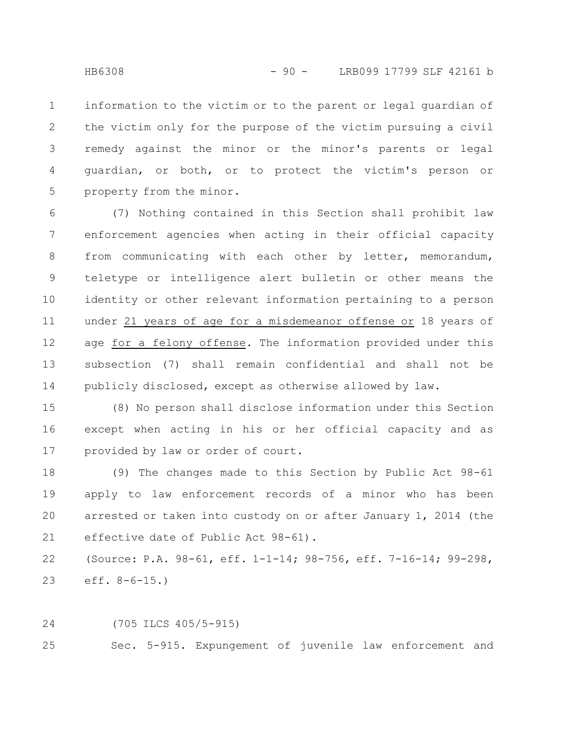information to the victim or to the parent or legal guardian of the victim only for the purpose of the victim pursuing a civil remedy against the minor or the minor's parents or legal guardian, or both, or to protect the victim's person or property from the minor. 1 2 3 4 5

(7) Nothing contained in this Section shall prohibit law enforcement agencies when acting in their official capacity from communicating with each other by letter, memorandum, teletype or intelligence alert bulletin or other means the identity or other relevant information pertaining to a person under 21 years of age for a misdemeanor offense or 18 years of age for a felony offense. The information provided under this subsection (7) shall remain confidential and shall not be publicly disclosed, except as otherwise allowed by law. 6 7 8 9 10 11 12 13 14

(8) No person shall disclose information under this Section except when acting in his or her official capacity and as provided by law or order of court. 15 16 17

(9) The changes made to this Section by Public Act 98-61 apply to law enforcement records of a minor who has been arrested or taken into custody on or after January 1, 2014 (the effective date of Public Act 98-61). 18 19 20 21

(Source: P.A. 98-61, eff. 1-1-14; 98-756, eff. 7-16-14; 99-298, eff. 8-6-15.) 22 23

(705 ILCS 405/5-915) 24

Sec. 5-915. Expungement of juvenile law enforcement and 25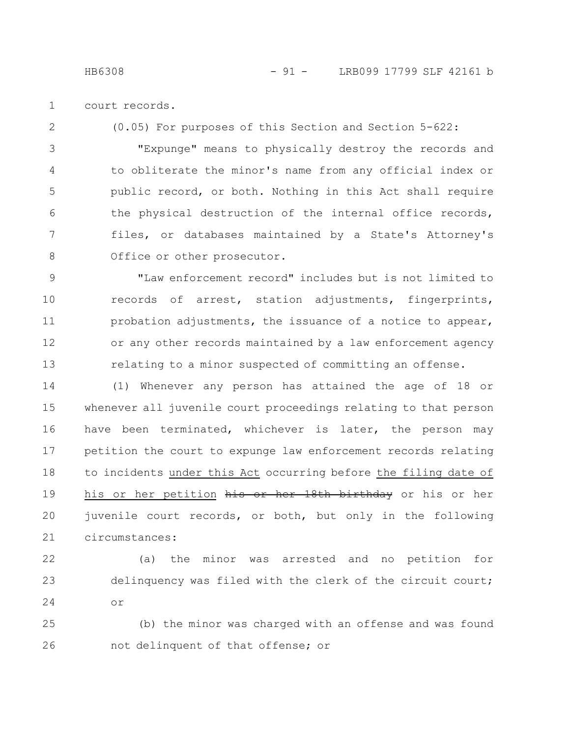court records. 1

2

(0.05) For purposes of this Section and Section 5-622:

"Expunge" means to physically destroy the records and to obliterate the minor's name from any official index or public record, or both. Nothing in this Act shall require the physical destruction of the internal office records, files, or databases maintained by a State's Attorney's Office or other prosecutor. 3 4 5 6 7 8

"Law enforcement record" includes but is not limited to records of arrest, station adjustments, fingerprints, probation adjustments, the issuance of a notice to appear, or any other records maintained by a law enforcement agency relating to a minor suspected of committing an offense. 9 10 11 12 13

(1) Whenever any person has attained the age of 18 or whenever all juvenile court proceedings relating to that person have been terminated, whichever is later, the person may petition the court to expunge law enforcement records relating to incidents under this Act occurring before the filing date of his or her petition his or her 18th birthday or his or her juvenile court records, or both, but only in the following circumstances: 14 15 16 17 18 19 20 21

22

23

24

(a) the minor was arrested and no petition for delinquency was filed with the clerk of the circuit court; or

(b) the minor was charged with an offense and was found not delinquent of that offense; or 25 26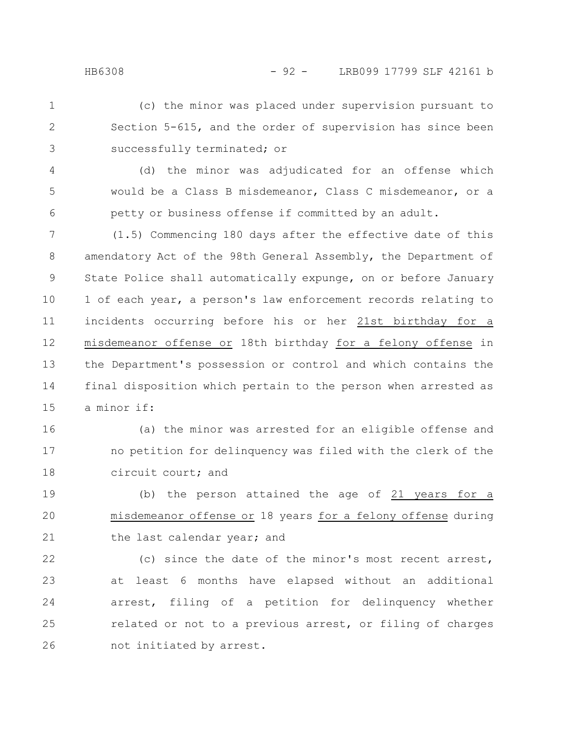- (c) the minor was placed under supervision pursuant to Section 5-615, and the order of supervision has since been successfully terminated; or 1 2 3
- (d) the minor was adjudicated for an offense which would be a Class B misdemeanor, Class C misdemeanor, or a petty or business offense if committed by an adult. 4 5 6
- (1.5) Commencing 180 days after the effective date of this amendatory Act of the 98th General Assembly, the Department of State Police shall automatically expunge, on or before January 1 of each year, a person's law enforcement records relating to incidents occurring before his or her 21st birthday for a misdemeanor offense or 18th birthday for a felony offense in the Department's possession or control and which contains the final disposition which pertain to the person when arrested as a minor if: 7 8 9 10 11 12 13 14 15
- (a) the minor was arrested for an eligible offense and no petition for delinquency was filed with the clerk of the circuit court; and 16 17 18
- (b) the person attained the age of 21 years for a misdemeanor offense or 18 years for a felony offense during the last calendar year; and 19 20 21
- (c) since the date of the minor's most recent arrest, at least 6 months have elapsed without an additional arrest, filing of a petition for delinquency whether related or not to a previous arrest, or filing of charges not initiated by arrest. 22 23 24 25 26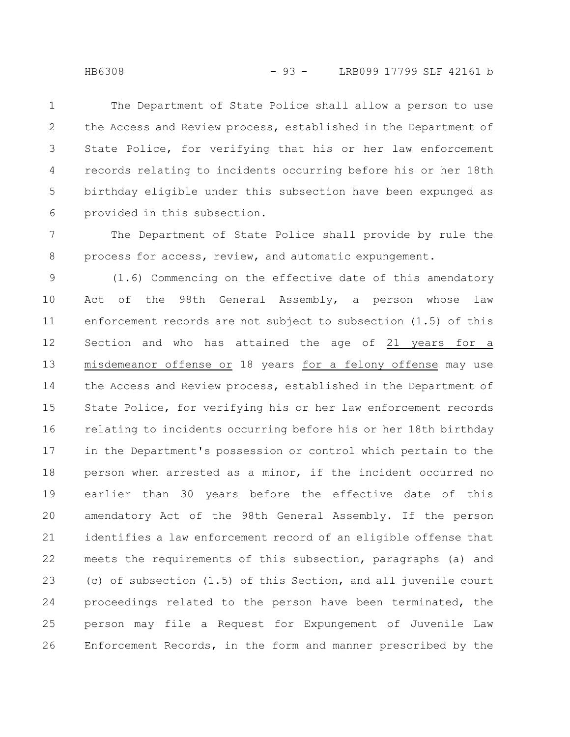The Department of State Police shall allow a person to use the Access and Review process, established in the Department of State Police, for verifying that his or her law enforcement records relating to incidents occurring before his or her 18th birthday eligible under this subsection have been expunged as provided in this subsection. 1 2 3 4 5 6

The Department of State Police shall provide by rule the process for access, review, and automatic expungement. 7 8

(1.6) Commencing on the effective date of this amendatory Act of the 98th General Assembly, a person whose law enforcement records are not subject to subsection (1.5) of this Section and who has attained the age of 21 years for a misdemeanor offense or 18 years for a felony offense may use the Access and Review process, established in the Department of State Police, for verifying his or her law enforcement records relating to incidents occurring before his or her 18th birthday in the Department's possession or control which pertain to the person when arrested as a minor, if the incident occurred no earlier than 30 years before the effective date of this amendatory Act of the 98th General Assembly. If the person identifies a law enforcement record of an eligible offense that meets the requirements of this subsection, paragraphs (a) and (c) of subsection (1.5) of this Section, and all juvenile court proceedings related to the person have been terminated, the person may file a Request for Expungement of Juvenile Law Enforcement Records, in the form and manner prescribed by the 9 10 11 12 13 14 15 16 17 18 19 20 21 22 23 24 25 26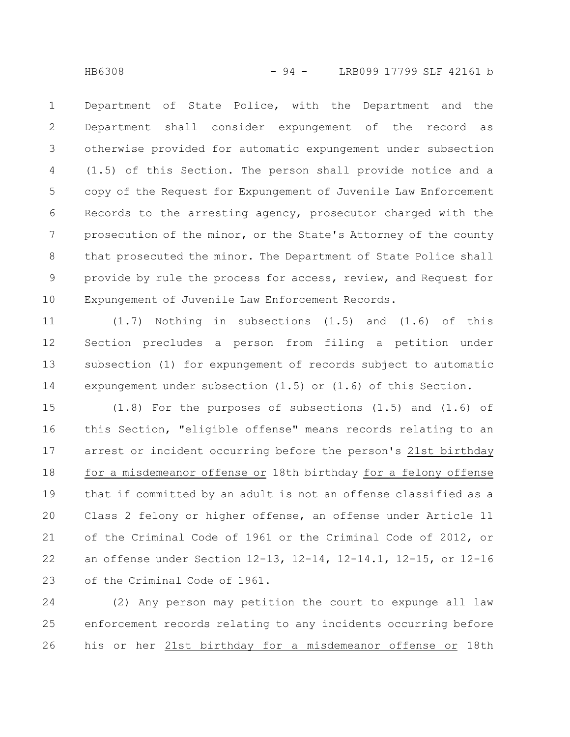Department of State Police, with the Department and the Department shall consider expungement of the record as otherwise provided for automatic expungement under subsection (1.5) of this Section. The person shall provide notice and a copy of the Request for Expungement of Juvenile Law Enforcement Records to the arresting agency, prosecutor charged with the prosecution of the minor, or the State's Attorney of the county that prosecuted the minor. The Department of State Police shall provide by rule the process for access, review, and Request for Expungement of Juvenile Law Enforcement Records. 1 2 3 4 5 6 7 8 9 10

(1.7) Nothing in subsections (1.5) and (1.6) of this Section precludes a person from filing a petition under subsection (1) for expungement of records subject to automatic expungement under subsection (1.5) or (1.6) of this Section. 11 12 13 14

 $(1.8)$  For the purposes of subsections  $(1.5)$  and  $(1.6)$  of this Section, "eligible offense" means records relating to an arrest or incident occurring before the person's 21st birthday for a misdemeanor offense or 18th birthday for a felony offense that if committed by an adult is not an offense classified as a Class 2 felony or higher offense, an offense under Article 11 of the Criminal Code of 1961 or the Criminal Code of 2012, or an offense under Section 12-13, 12-14, 12-14.1, 12-15, or 12-16 of the Criminal Code of 1961. 15 16 17 18 19 20 21 22 23

(2) Any person may petition the court to expunge all law enforcement records relating to any incidents occurring before his or her 21st birthday for a misdemeanor offense or 18th 24 25 26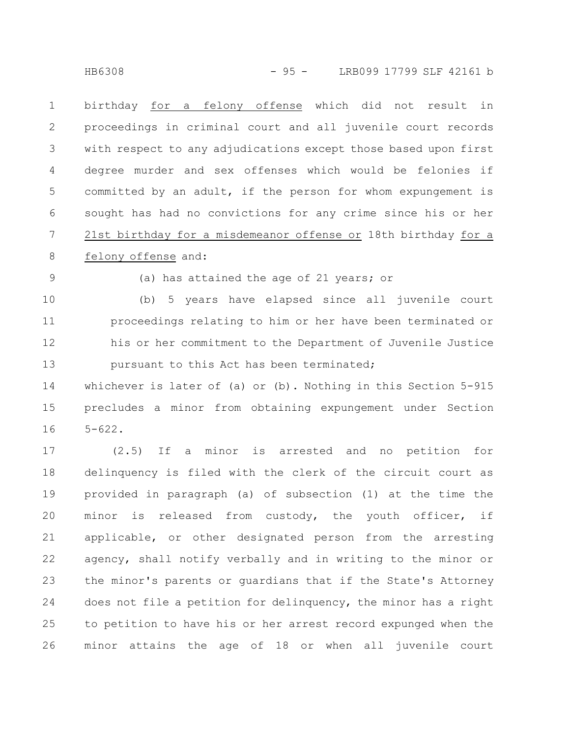birthday for a felony offense which did not result in proceedings in criminal court and all juvenile court records with respect to any adjudications except those based upon first degree murder and sex offenses which would be felonies if committed by an adult, if the person for whom expungement is sought has had no convictions for any crime since his or her 21st birthday for a misdemeanor offense or 18th birthday for a felony offense and: 1 2 3 4 5 6 7 8

9

(a) has attained the age of 21 years; or

(b) 5 years have elapsed since all juvenile court proceedings relating to him or her have been terminated or his or her commitment to the Department of Juvenile Justice pursuant to this Act has been terminated; 10 11 12 13

whichever is later of (a) or (b). Nothing in this Section 5-915 precludes a minor from obtaining expungement under Section 5-622. 14 15 16

(2.5) If a minor is arrested and no petition for delinquency is filed with the clerk of the circuit court as provided in paragraph (a) of subsection (1) at the time the minor is released from custody, the youth officer, if applicable, or other designated person from the arresting agency, shall notify verbally and in writing to the minor or the minor's parents or guardians that if the State's Attorney does not file a petition for delinquency, the minor has a right to petition to have his or her arrest record expunged when the minor attains the age of 18 or when all juvenile court 17 18 19 20 21 22 23 24 25 26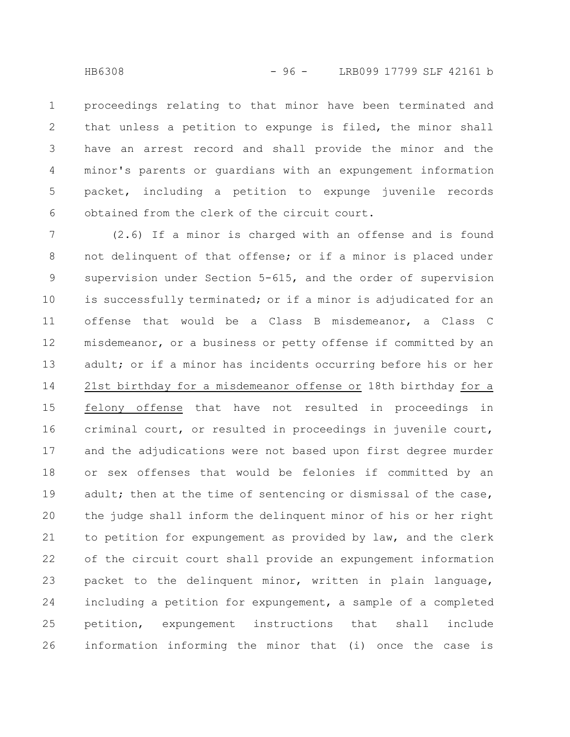proceedings relating to that minor have been terminated and that unless a petition to expunge is filed, the minor shall have an arrest record and shall provide the minor and the minor's parents or guardians with an expungement information packet, including a petition to expunge juvenile records obtained from the clerk of the circuit court. 1 2 3 4 5 6

(2.6) If a minor is charged with an offense and is found not delinquent of that offense; or if a minor is placed under supervision under Section 5-615, and the order of supervision is successfully terminated; or if a minor is adjudicated for an offense that would be a Class B misdemeanor, a Class C misdemeanor, or a business or petty offense if committed by an adult; or if a minor has incidents occurring before his or her 21st birthday for a misdemeanor offense or 18th birthday for a felony offense that have not resulted in proceedings in criminal court, or resulted in proceedings in juvenile court, and the adjudications were not based upon first degree murder or sex offenses that would be felonies if committed by an adult; then at the time of sentencing or dismissal of the case, the judge shall inform the delinquent minor of his or her right to petition for expungement as provided by law, and the clerk of the circuit court shall provide an expungement information packet to the delinquent minor, written in plain language, including a petition for expungement, a sample of a completed petition, expungement instructions that shall include information informing the minor that (i) once the case is 7 8 9 10 11 12 13 14 15 16 17 18 19 20 21 22 23 24 25 26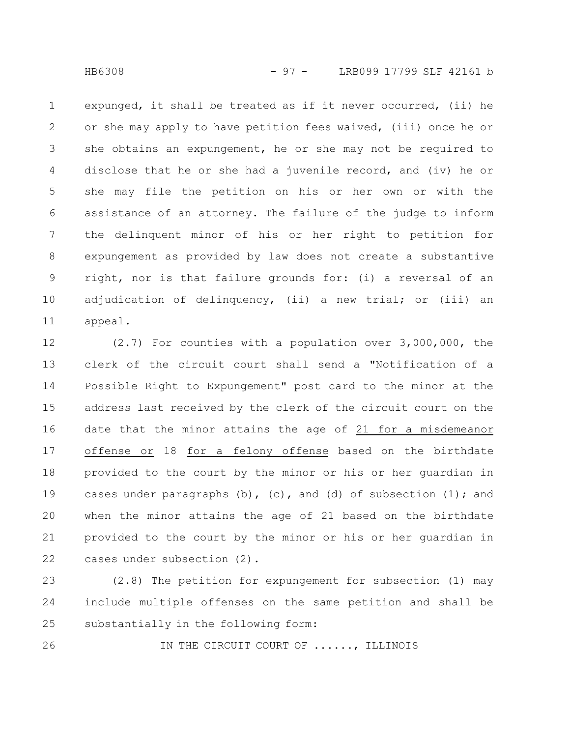expunged, it shall be treated as if it never occurred, (ii) he or she may apply to have petition fees waived, (iii) once he or she obtains an expungement, he or she may not be required to disclose that he or she had a juvenile record, and (iv) he or she may file the petition on his or her own or with the assistance of an attorney. The failure of the judge to inform the delinquent minor of his or her right to petition for expungement as provided by law does not create a substantive right, nor is that failure grounds for: (i) a reversal of an adjudication of delinquency, (ii) a new trial; or (iii) an appeal. 1 2 3 4 5 6 7 8 9 10 11

(2.7) For counties with a population over 3,000,000, the clerk of the circuit court shall send a "Notification of a Possible Right to Expungement" post card to the minor at the address last received by the clerk of the circuit court on the date that the minor attains the age of 21 for a misdemeanor offense or 18 for a felony offense based on the birthdate provided to the court by the minor or his or her guardian in cases under paragraphs  $(b)$ ,  $(c)$ , and  $(d)$  of subsection  $(1)$ ; and when the minor attains the age of 21 based on the birthdate provided to the court by the minor or his or her guardian in cases under subsection (2). 12 13 14 15 16 17 18 19 20 21 22

(2.8) The petition for expungement for subsection (1) may include multiple offenses on the same petition and shall be substantially in the following form: 23 24 25

IN THE CIRCUIT COURT OF ......, ILLINOIS 26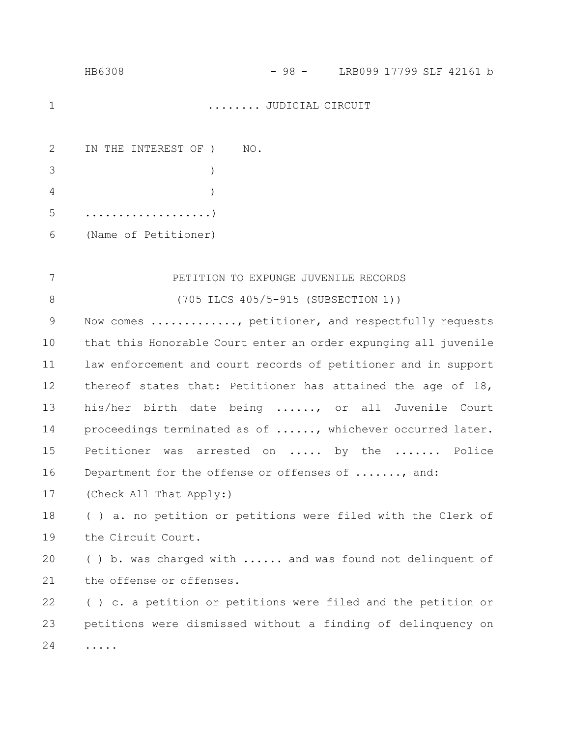| 1  | $\ldots \ldots$ . JUDICIAL CIRCUIT                              |
|----|-----------------------------------------------------------------|
| 2  | IN THE INTEREST OF ) NO.                                        |
| 3  | $\lambda$                                                       |
| 4  |                                                                 |
| 5  | . )                                                             |
| 6  | (Name of Petitioner)                                            |
|    |                                                                 |
| 7  | PETITION TO EXPUNGE JUVENILE RECORDS                            |
| 8  | (705 ILCS 405/5-915 (SUBSECTION 1))                             |
| 9  | Now comes , petitioner, and respectfully requests               |
| 10 | that this Honorable Court enter an order expunging all juvenile |
| 11 | law enforcement and court records of petitioner and in support  |
| 12 | thereof states that: Petitioner has attained the age of 18,     |
| 13 | his/her birth date being , or all Juvenile Court                |
| 14 | proceedings terminated as of , whichever occurred later.        |
| 15 | Petitioner was arrested on  by the  Police                      |
| 16 | Department for the offense or offenses of , and:                |
| 17 | (Check All That Apply:)                                         |
| 18 | () a. no petition or petitions were filed with the Clerk of     |
| 19 | the Circuit Court.                                              |
| 20 | () b. was charged with  and was found not delinquent of         |
| 21 | the offense or offenses.                                        |

HB6308 - 98 - LRB099 17799 SLF 42161 b

( ) c. a petition or petitions were filed and the petition or petitions were dismissed without a finding of delinquency on ..... 22 23 24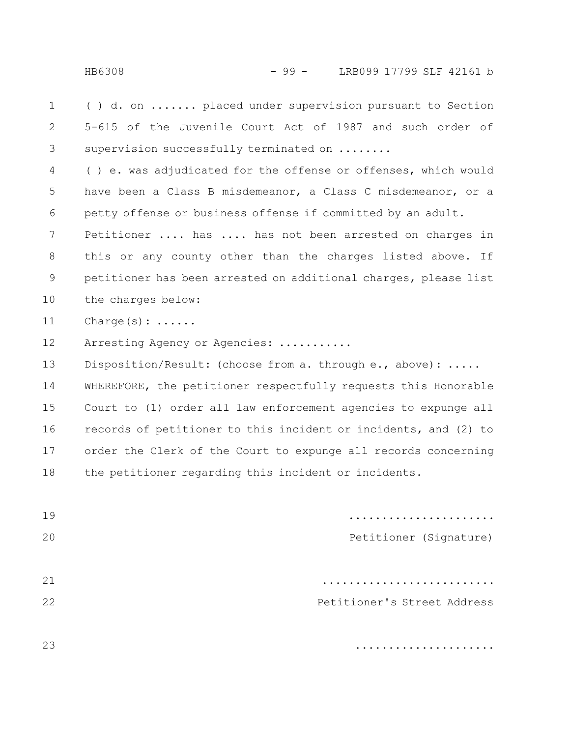( ) d. on ....... placed under supervision pursuant to Section 5-615 of the Juvenile Court Act of 1987 and such order of supervision successfully terminated on ....... 1 2 3

( ) e. was adjudicated for the offense or offenses, which would have been a Class B misdemeanor, a Class C misdemeanor, or a petty offense or business offense if committed by an adult. Petitioner .... has .... has not been arrested on charges in this or any county other than the charges listed above. If petitioner has been arrested on additional charges, please list the charges below: 4 5 6 7 8 9 10

Charge(s): ...... 11

Arresting Agency or Agencies: ........... 12

Disposition/Result: (choose from a. through e., above): ..... WHEREFORE, the petitioner respectfully requests this Honorable Court to (1) order all law enforcement agencies to expunge all records of petitioner to this incident or incidents, and (2) to order the Clerk of the Court to expunge all records concerning the petitioner regarding this incident or incidents. 13 14 15 16 17 18

|                             | 19 |
|-----------------------------|----|
| Petitioner (Signature)      | 20 |
|                             |    |
|                             | 21 |
| Petitioner's Street Address | 22 |
|                             |    |
| .                           | 23 |

.....................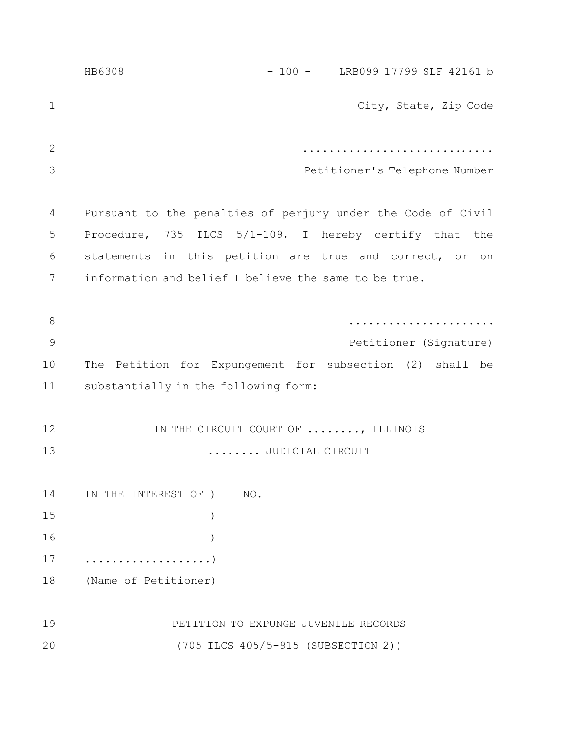|             | HB6308                                                       |  |  | $-100 -$ LRB099 17799 SLF 42161 b |  |
|-------------|--------------------------------------------------------------|--|--|-----------------------------------|--|
| $\mathbf 1$ |                                                              |  |  | City, State, Zip Code             |  |
| 2           |                                                              |  |  |                                   |  |
| 3           |                                                              |  |  | Petitioner's Telephone Number     |  |
| 4           | Pursuant to the penalties of perjury under the Code of Civil |  |  |                                   |  |
| 5           | Procedure, 735 ILCS 5/1-109, I hereby certify that the       |  |  |                                   |  |
| 6           | statements in this petition are true and correct, or on      |  |  |                                   |  |
| 7           | information and belief I believe the same to be true.        |  |  |                                   |  |
|             |                                                              |  |  |                                   |  |
| 8           |                                                              |  |  |                                   |  |
| $\mathsf 9$ |                                                              |  |  | Petitioner (Signature)            |  |
| 10          | The Petition for Expungement for subsection (2) shall be     |  |  |                                   |  |
| 11          | substantially in the following form:                         |  |  |                                   |  |
|             |                                                              |  |  |                                   |  |
| 12          | IN THE CIRCUIT COURT OF , ILLINOIS                           |  |  |                                   |  |
| 13          | JUDICIAL CIRCUIT                                             |  |  |                                   |  |
|             |                                                              |  |  |                                   |  |
| 14          | IN THE INTEREST OF )<br>NO.                                  |  |  |                                   |  |
| 15          |                                                              |  |  |                                   |  |
| 16          |                                                              |  |  |                                   |  |
| 17          | . )                                                          |  |  |                                   |  |
| 18          | (Name of Petitioner)                                         |  |  |                                   |  |
|             |                                                              |  |  |                                   |  |
| 19          | PETITION TO EXPUNGE JUVENILE RECORDS                         |  |  |                                   |  |
| 20          | (705 ILCS 405/5-915 (SUBSECTION 2))                          |  |  |                                   |  |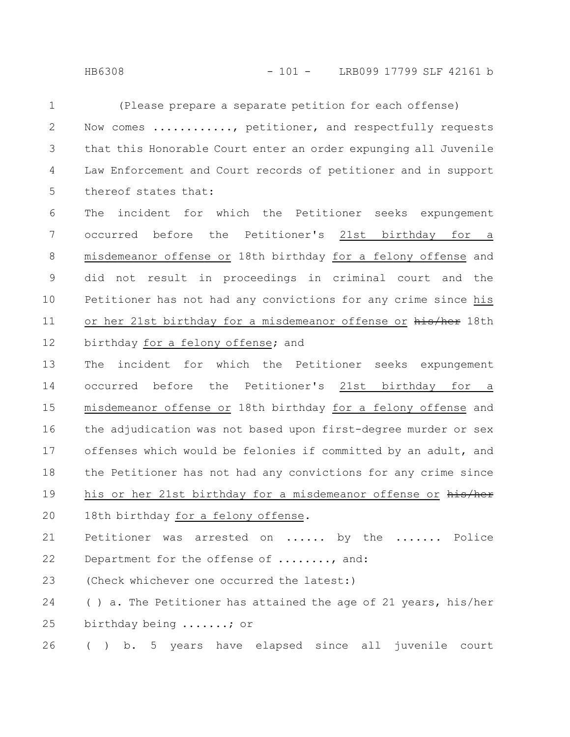(Please prepare a separate petition for each offense) Now comes .........., petitioner, and respectfully requests that this Honorable Court enter an order expunging all Juvenile Law Enforcement and Court records of petitioner and in support thereof states that: The incident for which the Petitioner seeks expungement occurred before the Petitioner's 21st birthday for a misdemeanor offense or 18th birthday for a felony offense and did not result in proceedings in criminal court and the Petitioner has not had any convictions for any crime since his or her 21st birthday for a misdemeanor offense or his/her 18th birthday for a felony offense; and The incident for which the Petitioner seeks expungement occurred before the Petitioner's 21st birthday for a misdemeanor offense or 18th birthday for a felony offense and the adjudication was not based upon first-degree murder or sex offenses which would be felonies if committed by an adult, and the Petitioner has not had any convictions for any crime since his or her 21st birthday for a misdemeanor offense or his/her 18th birthday for a felony offense. Petitioner was arrested on ...... by the ....... Police Department for the offense of ........, and: (Check whichever one occurred the latest:) ( ) a. The Petitioner has attained the age of 21 years, his/her birthday being .......; or ( ) b. 5 years have elapsed since all juvenile court 1 2 3 4 5 6 7 8 9 10 11 12 13 14 15 16 17 18 19 20 21 22 23 24 25 26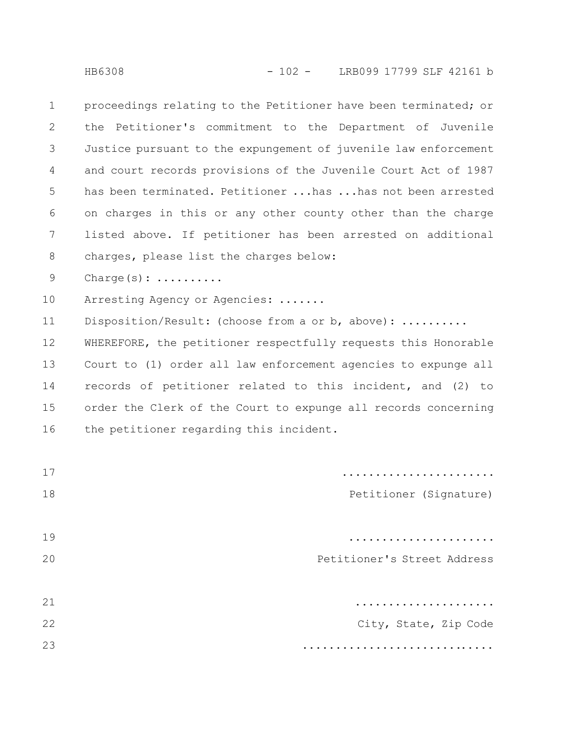proceedings relating to the Petitioner have been terminated; or the Petitioner's commitment to the Department of Juvenile Justice pursuant to the expungement of juvenile law enforcement and court records provisions of the Juvenile Court Act of 1987 has been terminated. Petitioner ...has ...has not been arrested on charges in this or any other county other than the charge listed above. If petitioner has been arrested on additional charges, please list the charges below: 1 2 3 4 5 6 7 8

Charge(s): ......... 9

Arresting Agency or Agencies: ....... 10

Disposition/Result: (choose from a or b, above): .......... 11

WHEREFORE, the petitioner respectfully requests this Honorable Court to (1) order all law enforcement agencies to expunge all records of petitioner related to this incident, and (2) to order the Clerk of the Court to expunge all records concerning the petitioner regarding this incident. 12 13 14 15 16

|                             | 17 |
|-----------------------------|----|
| Petitioner (Signature)      | 18 |
|                             |    |
|                             | 19 |
| Petitioner's Street Address | 20 |
|                             |    |
|                             | 21 |
| City, State, Zip Code       | 22 |
|                             | 23 |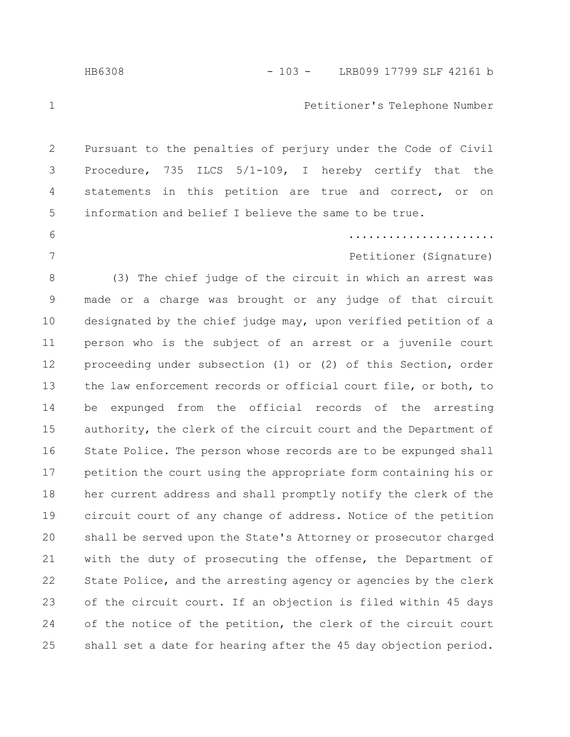## HB6308 - 103 - LRB099 17799 SLF 42161 b

## Petitioner's Telephone Number

Pursuant to the penalties of perjury under the Code of Civil Procedure, 735 ILCS 5/1-109, I hereby certify that the statements in this petition are true and correct, or on information and belief I believe the same to be true. 2 3 4 5

## ......................

Petitioner (Signature)

(3) The chief judge of the circuit in which an arrest was made or a charge was brought or any judge of that circuit designated by the chief judge may, upon verified petition of a person who is the subject of an arrest or a juvenile court proceeding under subsection (1) or (2) of this Section, order the law enforcement records or official court file, or both, to be expunged from the official records of the arresting authority, the clerk of the circuit court and the Department of State Police. The person whose records are to be expunged shall petition the court using the appropriate form containing his or her current address and shall promptly notify the clerk of the circuit court of any change of address. Notice of the petition shall be served upon the State's Attorney or prosecutor charged with the duty of prosecuting the offense, the Department of State Police, and the arresting agency or agencies by the clerk of the circuit court. If an objection is filed within 45 days of the notice of the petition, the clerk of the circuit court shall set a date for hearing after the 45 day objection period. 8 9 10 11 12 13 14 15 16 17 18 19 20 21 22 23 24 25

1

6

7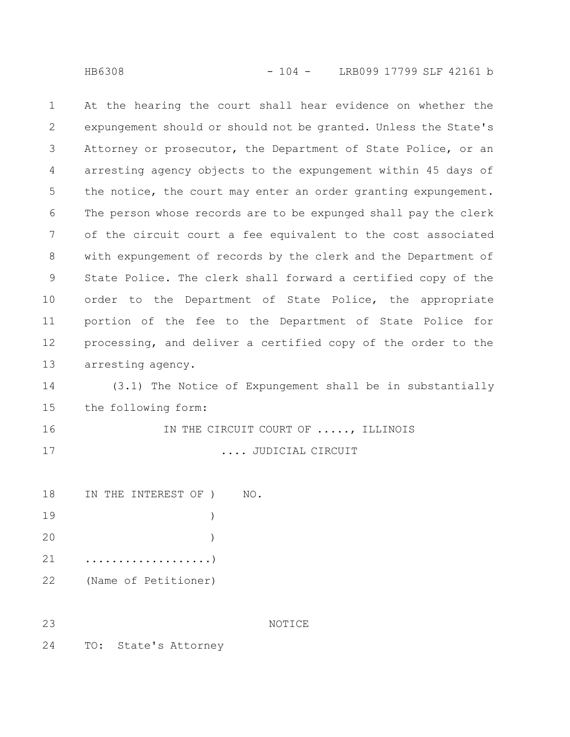At the hearing the court shall hear evidence on whether the expungement should or should not be granted. Unless the State's Attorney or prosecutor, the Department of State Police, or an arresting agency objects to the expungement within 45 days of the notice, the court may enter an order granting expungement. The person whose records are to be expunged shall pay the clerk of the circuit court a fee equivalent to the cost associated with expungement of records by the clerk and the Department of State Police. The clerk shall forward a certified copy of the order to the Department of State Police, the appropriate portion of the fee to the Department of State Police for processing, and deliver a certified copy of the order to the arresting agency. 1 2 3 4 5 6 7 8 9 10 11 12 13

(3.1) The Notice of Expungement shall be in substantially the following form: 14 15

IN THE CIRCUIT COURT OF ....., ILLINOIS .... JUDICIAL CIRCUIT 16 17

|    |  | 18 IN THE INTEREST OF ) NO. |  |  |
|----|--|-----------------------------|--|--|
| 19 |  |                             |  |  |
| 20 |  |                             |  |  |
| 21 |  |                             |  |  |

(Name of Petitioner) 22

23

NOTICE

TO: State's Attorney 24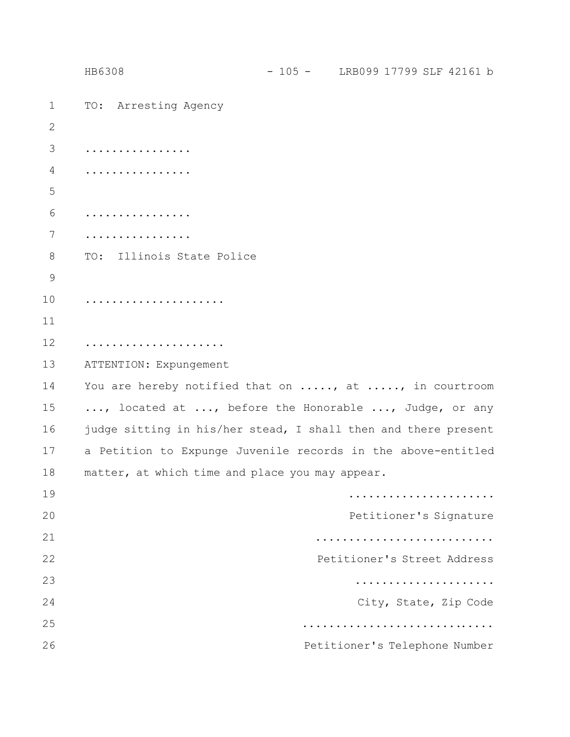|                | HB6308                                          | $-105 -$ LRB099 17799 SLF 42161 b                              |
|----------------|-------------------------------------------------|----------------------------------------------------------------|
| $\mathbf 1$    | TO: Arresting Agency                            |                                                                |
| $\overline{2}$ |                                                 |                                                                |
| 3              | .                                               |                                                                |
| 4              | .                                               |                                                                |
| 5              |                                                 |                                                                |
| 6              | .                                               |                                                                |
| 7              |                                                 |                                                                |
| $8\,$          | TO: Illinois State Police                       |                                                                |
| 9              |                                                 |                                                                |
| 10             | .                                               |                                                                |
| 11             |                                                 |                                                                |
| 12             | .                                               |                                                                |
| 13             | ATTENTION: Expungement                          |                                                                |
| 14             |                                                 | You are hereby notified that on , at , in courtroom            |
| 15             |                                                 | , located at , before the Honorable , Judge, or any            |
| 16             |                                                 | judge sitting in his/her stead, I shall then and there present |
| 17             |                                                 | a Petition to Expunge Juvenile records in the above-entitled   |
| 18             | matter, at which time and place you may appear. |                                                                |
| 19             |                                                 |                                                                |
| 20             |                                                 | Petitioner's Signature                                         |
| 21             |                                                 |                                                                |
| 22             |                                                 | Petitioner's Street Address                                    |
| 23             |                                                 |                                                                |
| 24             |                                                 | City, State, Zip Code                                          |
| 25             |                                                 |                                                                |
| 26             |                                                 | Petitioner's Telephone Number                                  |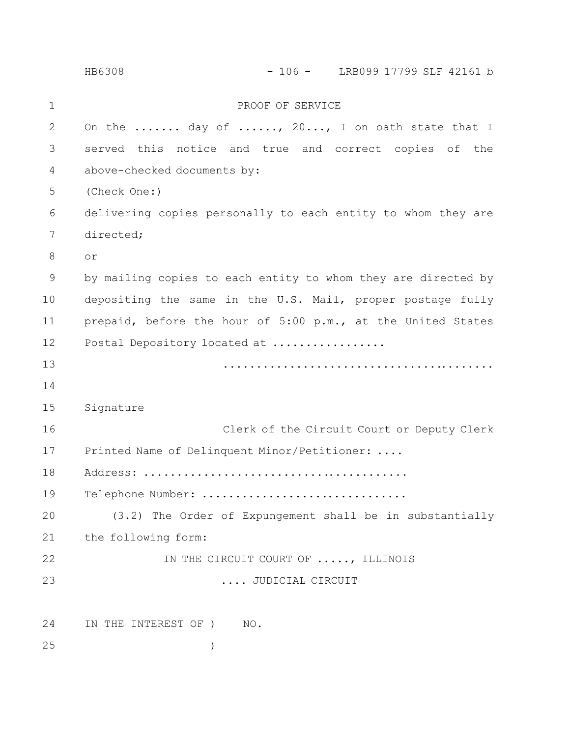PROOF OF SERVICE On the ....... day of ......, 20..., I on oath state that I served this notice and true and correct copies of the above-checked documents by: (Check One:) delivering copies personally to each entity to whom they are directed; or by mailing copies to each entity to whom they are directed by depositing the same in the U.S. Mail, proper postage fully prepaid, before the hour of 5:00 p.m., at the United States Postal Depository located at ................. ......................................... Signature Clerk of the Circuit Court or Deputy Clerk Printed Name of Delinquent Minor/Petitioner: .... Address: ........................................ Telephone Number: ................................ (3.2) The Order of Expungement shall be in substantially the following form: IN THE CIRCUIT COURT OF ....., ILLINOIS .... JUDICIAL CIRCUIT IN THE INTEREST OF ) NO. ) 1 2 3 4 5 6 7 8 9 10 11 12 13 14 15 16 17 18 19 20 21 22 23 24 25 HB6308 - 106 - LRB099 17799 SLF 42161 b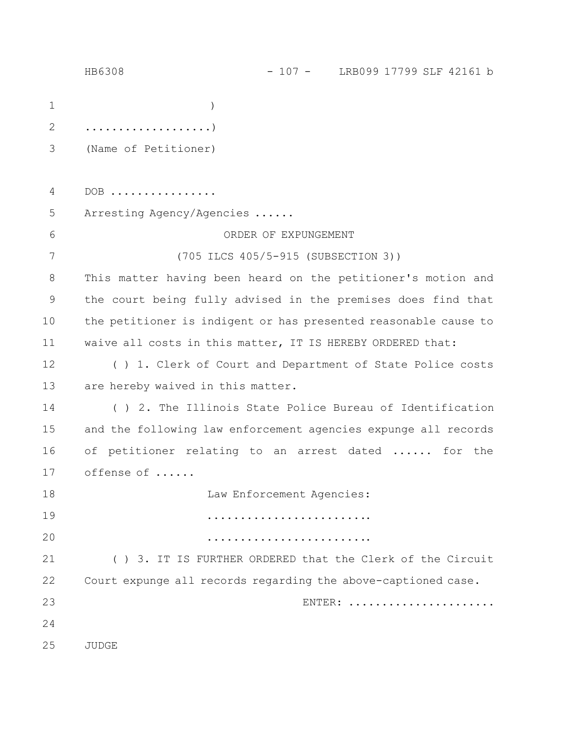|             | HB6308                                                          | $-107 -$ LRB099 17799 SLF 42161 b   |        |  |  |
|-------------|-----------------------------------------------------------------|-------------------------------------|--------|--|--|
| $\mathbf 1$ |                                                                 |                                     |        |  |  |
| 2           | . )                                                             |                                     |        |  |  |
| 3           | (Name of Petitioner)                                            |                                     |        |  |  |
|             |                                                                 |                                     |        |  |  |
| 4           | $DOB$                                                           |                                     |        |  |  |
| 5           | Arresting Agency/Agencies                                       |                                     |        |  |  |
| 6           |                                                                 | ORDER OF EXPUNGEMENT                |        |  |  |
| 7           |                                                                 | (705 ILCS 405/5-915 (SUBSECTION 3)) |        |  |  |
| 8           | This matter having been heard on the petitioner's motion and    |                                     |        |  |  |
| $\mathsf 9$ | the court being fully advised in the premises does find that    |                                     |        |  |  |
| 10          | the petitioner is indigent or has presented reasonable cause to |                                     |        |  |  |
| 11          | waive all costs in this matter, IT IS HEREBY ORDERED that:      |                                     |        |  |  |
| 12          | () 1. Clerk of Court and Department of State Police costs       |                                     |        |  |  |
| 13          | are hereby waived in this matter.                               |                                     |        |  |  |
| 14          | () 2. The Illinois State Police Bureau of Identification        |                                     |        |  |  |
| 15          | and the following law enforcement agencies expunge all records  |                                     |        |  |  |
| 16          | of petitioner relating to an arrest dated  for the              |                                     |        |  |  |
| 17          | offense of                                                      |                                     |        |  |  |
| 18          |                                                                 | Law Enforcement Agencies:           |        |  |  |
| 19          |                                                                 |                                     |        |  |  |
| 20          |                                                                 |                                     |        |  |  |
| 21          | () 3. IT IS FURTHER ORDERED that the Clerk of the Circuit       |                                     |        |  |  |
| 22          | Court expunge all records regarding the above-captioned case.   |                                     |        |  |  |
| 23          |                                                                 |                                     | ENTER: |  |  |
| 24          |                                                                 |                                     |        |  |  |
| 25          | JUDGE                                                           |                                     |        |  |  |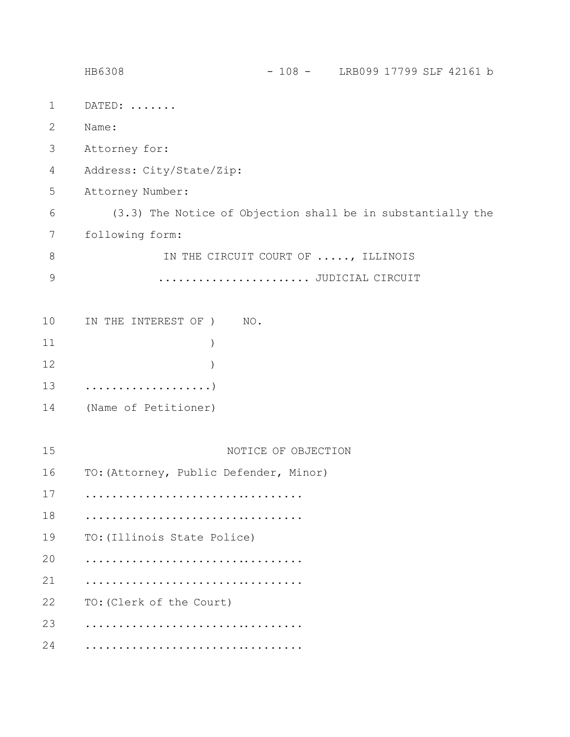|              | HB6308                                                      | $-108 -$ LRB099 17799 SLF 42161 b  |  |
|--------------|-------------------------------------------------------------|------------------------------------|--|
| $\mathbf{1}$ | DATED:                                                      |                                    |  |
| $\mathbf{2}$ | Name:                                                       |                                    |  |
| 3            | Attorney for:                                               |                                    |  |
| 4            | Address: City/State/Zip:                                    |                                    |  |
| 5            | Attorney Number:                                            |                                    |  |
| 6            | (3.3) The Notice of Objection shall be in substantially the |                                    |  |
| 7            | following form:                                             |                                    |  |
| 8            |                                                             | IN THE CIRCUIT COURT OF , ILLINOIS |  |
| $\mathsf 9$  |                                                             | JUDICIAL CIRCUIT                   |  |
|              |                                                             |                                    |  |
| 10           | IN THE INTEREST OF )<br>NO.                                 |                                    |  |
| 11           |                                                             |                                    |  |
| 12           |                                                             |                                    |  |
| 13           |                                                             |                                    |  |
| 14           | (Name of Petitioner)                                        |                                    |  |
|              |                                                             |                                    |  |
| 15           | NOTICE OF OBJECTION                                         |                                    |  |
| 16           | TO: (Attorney, Public Defender, Minor)                      |                                    |  |
| 17           |                                                             |                                    |  |
| 18           |                                                             |                                    |  |
| 19           | TO: (Illinois State Police)                                 |                                    |  |
| 20           |                                                             |                                    |  |
| 21           |                                                             |                                    |  |
| 22           | TO: (Clerk of the Court)                                    |                                    |  |
| 23           |                                                             |                                    |  |
| 24           |                                                             |                                    |  |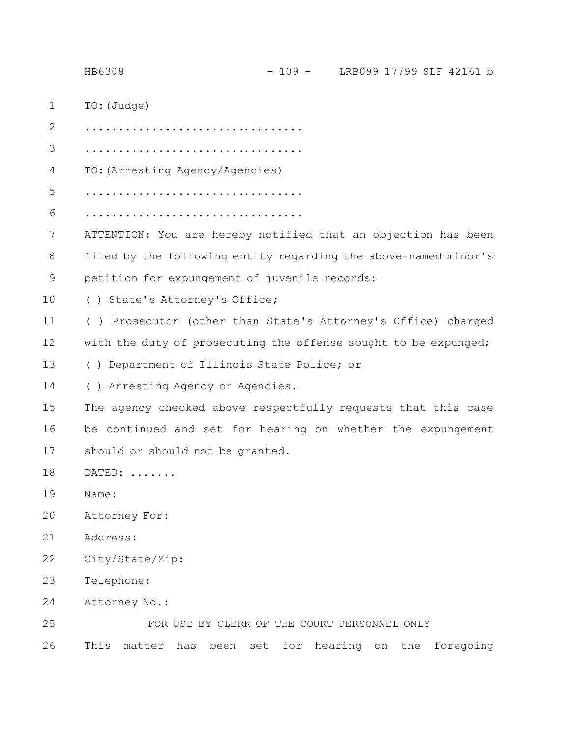TO:(Judge) ................................. ................................. TO:(Arresting Agency/Agencies) ................................. ................................. ATTENTION: You are hereby notified that an objection has been filed by the following entity regarding the above-named minor's petition for expungement of juvenile records: ( ) State's Attorney's Office; ( ) Prosecutor (other than State's Attorney's Office) charged with the duty of prosecuting the offense sought to be expunged; ( ) Department of Illinois State Police; or ( ) Arresting Agency or Agencies. The agency checked above respectfully requests that this case be continued and set for hearing on whether the expungement should or should not be granted. DATED: ....... Name: Attorney For: Address: City/State/Zip: Telephone: Attorney No.: FOR USE BY CLERK OF THE COURT PERSONNEL ONLY This matter has been set for hearing on the foregoing 1 2 3 4 5 6 7 8 9 10 11 12 13 14 15 16 17 18 19 20 21 22 23 24 25 26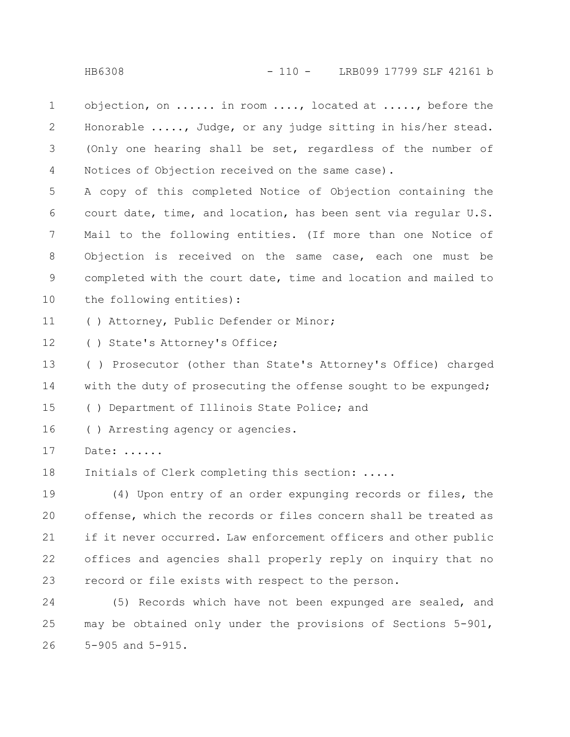objection, on ...... in room ...., located at ....., before the Honorable ....., Judge, or any judge sitting in his/her stead. (Only one hearing shall be set, regardless of the number of Notices of Objection received on the same case). 1 2 3 4

A copy of this completed Notice of Objection containing the court date, time, and location, has been sent via regular U.S. Mail to the following entities. (If more than one Notice of Objection is received on the same case, each one must be completed with the court date, time and location and mailed to the following entities): 5 6 7 8 9 10

( ) Attorney, Public Defender or Minor; 11

( ) State's Attorney's Office; 12

( ) Prosecutor (other than State's Attorney's Office) charged with the duty of prosecuting the offense sought to be expunged; ( ) Department of Illinois State Police; and 13 14 15

( ) Arresting agency or agencies. 16

Date: ...... 17

Initials of Clerk completing this section: ..... 18

(4) Upon entry of an order expunging records or files, the offense, which the records or files concern shall be treated as if it never occurred. Law enforcement officers and other public offices and agencies shall properly reply on inquiry that no record or file exists with respect to the person. 19 20 21 22 23

(5) Records which have not been expunged are sealed, and may be obtained only under the provisions of Sections 5-901, 5-905 and 5-915. 24 25 26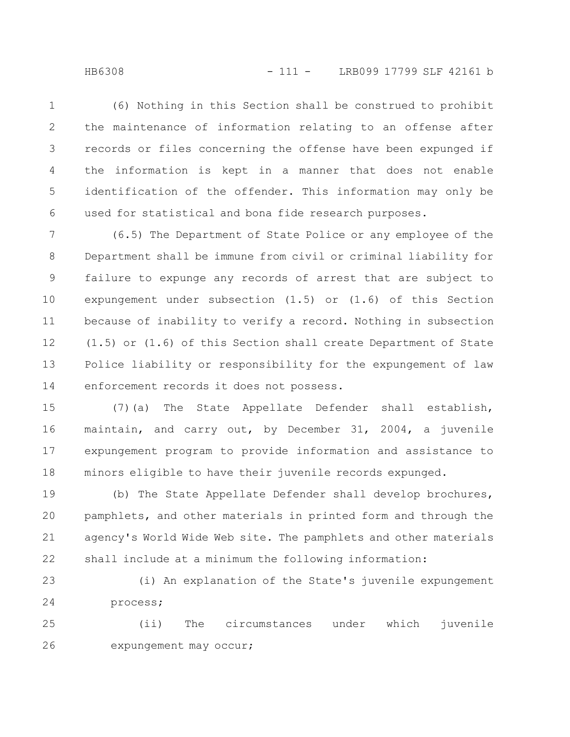(6) Nothing in this Section shall be construed to prohibit the maintenance of information relating to an offense after records or files concerning the offense have been expunged if the information is kept in a manner that does not enable identification of the offender. This information may only be used for statistical and bona fide research purposes. 1 2 3 4 5 6

(6.5) The Department of State Police or any employee of the Department shall be immune from civil or criminal liability for failure to expunge any records of arrest that are subject to expungement under subsection (1.5) or (1.6) of this Section because of inability to verify a record. Nothing in subsection (1.5) or (1.6) of this Section shall create Department of State Police liability or responsibility for the expungement of law enforcement records it does not possess. 7 8 9 10 11 12 13 14

(7)(a) The State Appellate Defender shall establish, maintain, and carry out, by December 31, 2004, a juvenile expungement program to provide information and assistance to minors eligible to have their juvenile records expunged. 15 16 17 18

(b) The State Appellate Defender shall develop brochures, pamphlets, and other materials in printed form and through the agency's World Wide Web site. The pamphlets and other materials shall include at a minimum the following information: 19 20 21 22

(i) An explanation of the State's juvenile expungement process; 23 24

(ii) The circumstances under which juvenile expungement may occur; 25 26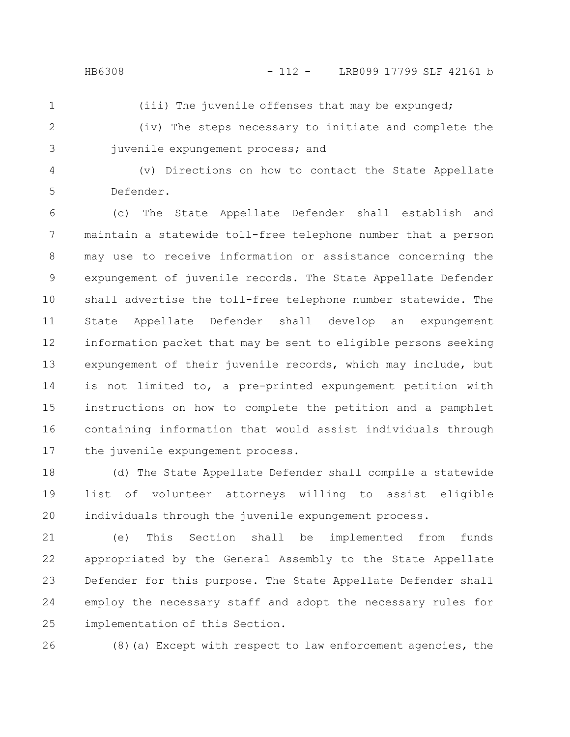1

(iii) The juvenile offenses that may be expunged;

2

(iv) The steps necessary to initiate and complete the juvenile expungement process; and

4

5

3

(v) Directions on how to contact the State Appellate Defender.

(c) The State Appellate Defender shall establish and maintain a statewide toll-free telephone number that a person may use to receive information or assistance concerning the expungement of juvenile records. The State Appellate Defender shall advertise the toll-free telephone number statewide. The State Appellate Defender shall develop an expungement information packet that may be sent to eligible persons seeking expungement of their juvenile records, which may include, but is not limited to, a pre-printed expungement petition with instructions on how to complete the petition and a pamphlet containing information that would assist individuals through the juvenile expungement process. 6 7 8 9 10 11 12 13 14 15 16 17

(d) The State Appellate Defender shall compile a statewide list of volunteer attorneys willing to assist eligible individuals through the juvenile expungement process. 18 19 20

(e) This Section shall be implemented from funds appropriated by the General Assembly to the State Appellate Defender for this purpose. The State Appellate Defender shall employ the necessary staff and adopt the necessary rules for implementation of this Section. 21 22 23 24 25

26

(8)(a) Except with respect to law enforcement agencies, the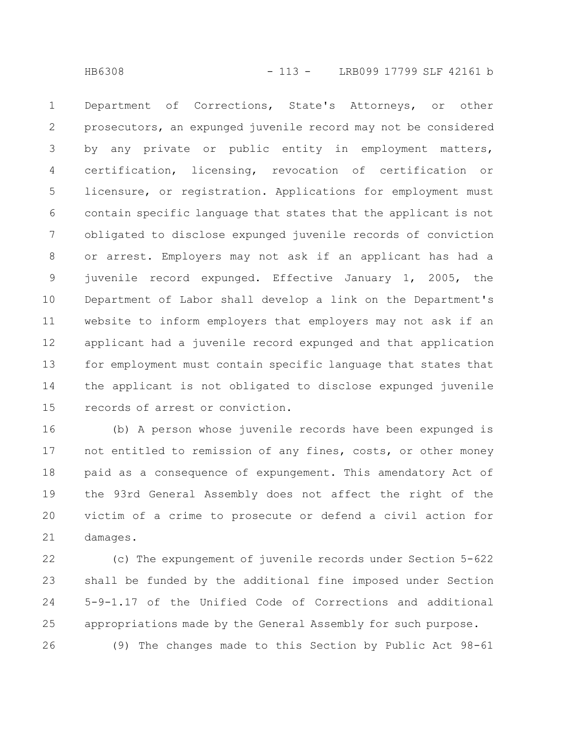Department of Corrections, State's Attorneys, or other prosecutors, an expunged juvenile record may not be considered by any private or public entity in employment matters, certification, licensing, revocation of certification or licensure, or registration. Applications for employment must contain specific language that states that the applicant is not obligated to disclose expunged juvenile records of conviction or arrest. Employers may not ask if an applicant has had a juvenile record expunged. Effective January 1, 2005, the Department of Labor shall develop a link on the Department's website to inform employers that employers may not ask if an applicant had a juvenile record expunged and that application for employment must contain specific language that states that the applicant is not obligated to disclose expunged juvenile records of arrest or conviction. 1 2 3 4 5 6 7 8 9 10 11 12 13 14 15

(b) A person whose juvenile records have been expunged is not entitled to remission of any fines, costs, or other money paid as a consequence of expungement. This amendatory Act of the 93rd General Assembly does not affect the right of the victim of a crime to prosecute or defend a civil action for damages. 16 17 18 19 20 21

(c) The expungement of juvenile records under Section 5-622 shall be funded by the additional fine imposed under Section 5-9-1.17 of the Unified Code of Corrections and additional appropriations made by the General Assembly for such purpose. (9) The changes made to this Section by Public Act 98-61 22 23 24 25 26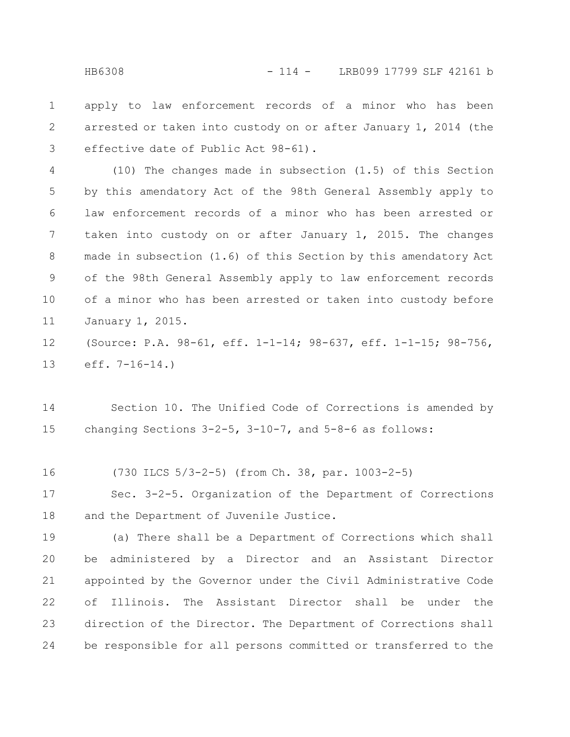apply to law enforcement records of a minor who has been arrested or taken into custody on or after January 1, 2014 (the effective date of Public Act 98-61). 1 2 3

(10) The changes made in subsection (1.5) of this Section by this amendatory Act of the 98th General Assembly apply to law enforcement records of a minor who has been arrested or taken into custody on or after January 1, 2015. The changes made in subsection (1.6) of this Section by this amendatory Act of the 98th General Assembly apply to law enforcement records of a minor who has been arrested or taken into custody before January 1, 2015. 4 5 6 7 8 9 10 11

(Source: P.A. 98-61, eff. 1-1-14; 98-637, eff. 1-1-15; 98-756, eff. 7-16-14.) 12 13

Section 10. The Unified Code of Corrections is amended by changing Sections 3-2-5, 3-10-7, and 5-8-6 as follows: 14 15

(730 ILCS 5/3-2-5) (from Ch. 38, par. 1003-2-5) 16

Sec. 3-2-5. Organization of the Department of Corrections and the Department of Juvenile Justice. 17 18

(a) There shall be a Department of Corrections which shall be administered by a Director and an Assistant Director appointed by the Governor under the Civil Administrative Code of Illinois. The Assistant Director shall be under the direction of the Director. The Department of Corrections shall be responsible for all persons committed or transferred to the 19 20 21 22 23 24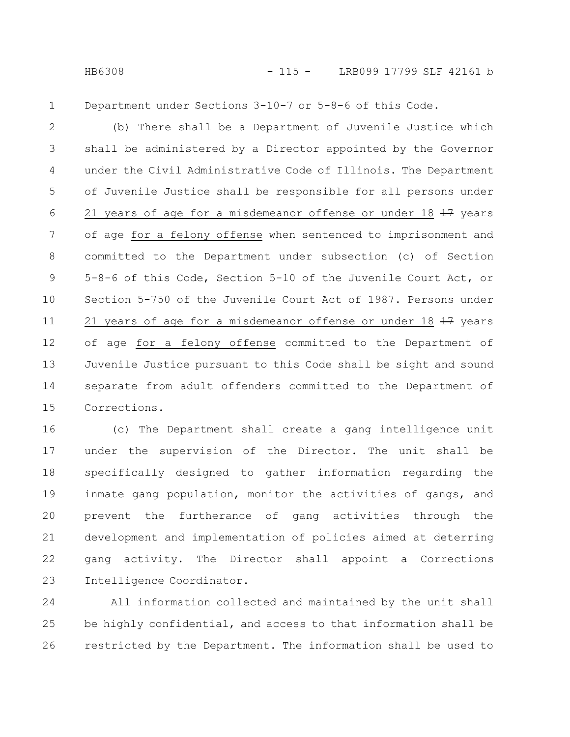1

Department under Sections 3-10-7 or 5-8-6 of this Code.

(b) There shall be a Department of Juvenile Justice which shall be administered by a Director appointed by the Governor under the Civil Administrative Code of Illinois. The Department of Juvenile Justice shall be responsible for all persons under 21 years of age for a misdemeanor offense or under 18  $\frac{17}{17}$  years of age for a felony offense when sentenced to imprisonment and committed to the Department under subsection (c) of Section 5-8-6 of this Code, Section 5-10 of the Juvenile Court Act, or Section 5-750 of the Juvenile Court Act of 1987. Persons under 21 years of age for a misdemeanor offense or under 18  $\pm$ 7 years of age for a felony offense committed to the Department of Juvenile Justice pursuant to this Code shall be sight and sound separate from adult offenders committed to the Department of Corrections. 2 3 4 5 6 7 8 9 10 11 12 13 14 15

(c) The Department shall create a gang intelligence unit under the supervision of the Director. The unit shall be specifically designed to gather information regarding the inmate gang population, monitor the activities of gangs, and prevent the furtherance of gang activities through the development and implementation of policies aimed at deterring gang activity. The Director shall appoint a Corrections Intelligence Coordinator. 16 17 18 19 20 21 22 23

All information collected and maintained by the unit shall be highly confidential, and access to that information shall be restricted by the Department. The information shall be used to 24 25 26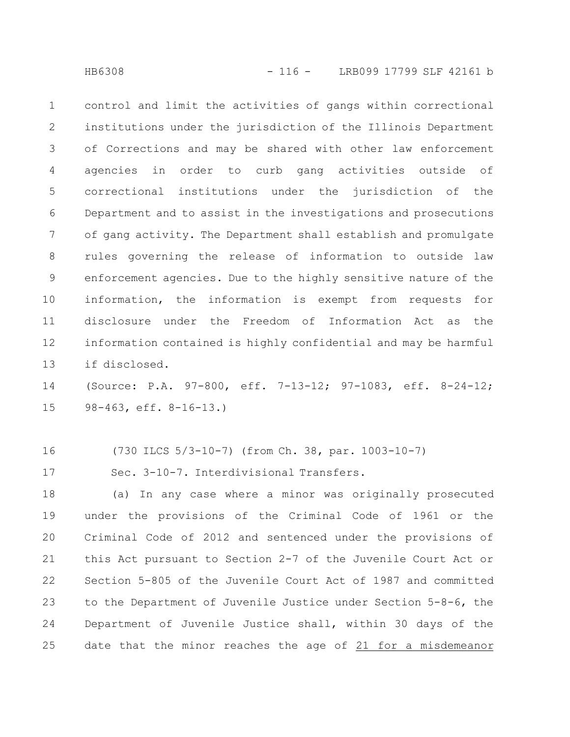control and limit the activities of gangs within correctional institutions under the jurisdiction of the Illinois Department of Corrections and may be shared with other law enforcement agencies in order to curb gang activities outside of correctional institutions under the jurisdiction of the Department and to assist in the investigations and prosecutions of gang activity. The Department shall establish and promulgate rules governing the release of information to outside law enforcement agencies. Due to the highly sensitive nature of the information, the information is exempt from requests for disclosure under the Freedom of Information Act as the information contained is highly confidential and may be harmful if disclosed. 1 2 3 4 5 6 7 8 9 10 11 12 13

(Source: P.A. 97-800, eff. 7-13-12; 97-1083, eff. 8-24-12; 98-463, eff. 8-16-13.) 14 15

16

(730 ILCS 5/3-10-7) (from Ch. 38, par. 1003-10-7)

Sec. 3-10-7. Interdivisional Transfers. 17

(a) In any case where a minor was originally prosecuted under the provisions of the Criminal Code of 1961 or the Criminal Code of 2012 and sentenced under the provisions of this Act pursuant to Section 2-7 of the Juvenile Court Act or Section 5-805 of the Juvenile Court Act of 1987 and committed to the Department of Juvenile Justice under Section 5-8-6, the Department of Juvenile Justice shall, within 30 days of the date that the minor reaches the age of 21 for a misdemeanor 18 19 20 21 22 23 24 25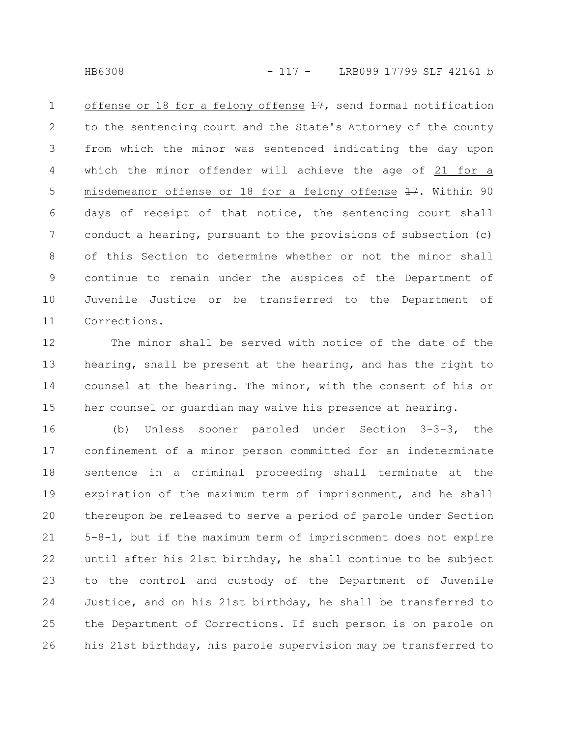HB6308 - 117 - LRB099 17799 SLF 42161 b

offense or 18 for a felony offense  $\frac{17}{17}$ , send formal notification to the sentencing court and the State's Attorney of the county from which the minor was sentenced indicating the day upon which the minor offender will achieve the age of 21 for a misdemeanor offense or 18 for a felony offense  $\pm 7$ . Within 90 days of receipt of that notice, the sentencing court shall conduct a hearing, pursuant to the provisions of subsection (c) of this Section to determine whether or not the minor shall continue to remain under the auspices of the Department of Juvenile Justice or be transferred to the Department of Corrections. 1 2 3 4 5 6 7 8 9 10 11

The minor shall be served with notice of the date of the hearing, shall be present at the hearing, and has the right to counsel at the hearing. The minor, with the consent of his or her counsel or guardian may waive his presence at hearing. 12 13 14 15

(b) Unless sooner paroled under Section 3-3-3, the confinement of a minor person committed for an indeterminate sentence in a criminal proceeding shall terminate at the expiration of the maximum term of imprisonment, and he shall thereupon be released to serve a period of parole under Section 5-8-1, but if the maximum term of imprisonment does not expire until after his 21st birthday, he shall continue to be subject to the control and custody of the Department of Juvenile Justice, and on his 21st birthday, he shall be transferred to the Department of Corrections. If such person is on parole on his 21st birthday, his parole supervision may be transferred to 16 17 18 19 20 21 22 23 24 25 26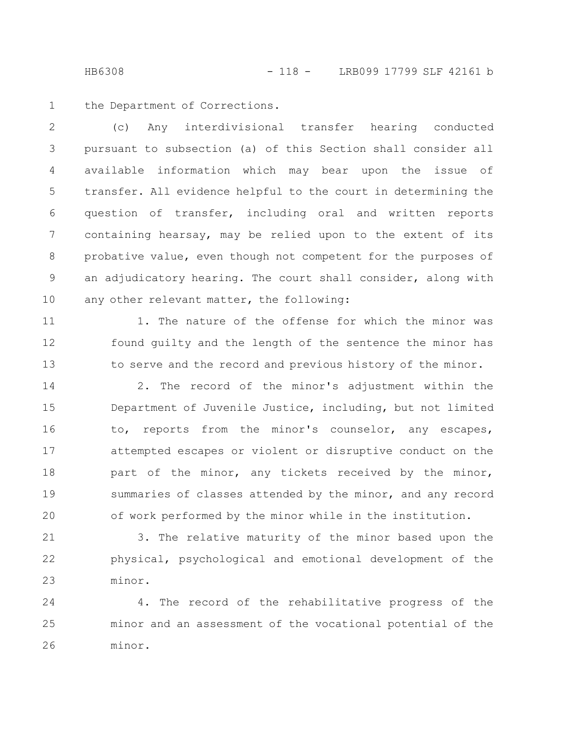the Department of Corrections. 1

(c) Any interdivisional transfer hearing conducted pursuant to subsection (a) of this Section shall consider all available information which may bear upon the issue of transfer. All evidence helpful to the court in determining the question of transfer, including oral and written reports containing hearsay, may be relied upon to the extent of its probative value, even though not competent for the purposes of an adjudicatory hearing. The court shall consider, along with any other relevant matter, the following: 2 3 4 5 6 7 8 9 10

11

12

13

1. The nature of the offense for which the minor was found guilty and the length of the sentence the minor has to serve and the record and previous history of the minor.

2. The record of the minor's adjustment within the Department of Juvenile Justice, including, but not limited to, reports from the minor's counselor, any escapes, attempted escapes or violent or disruptive conduct on the part of the minor, any tickets received by the minor, summaries of classes attended by the minor, and any record of work performed by the minor while in the institution. 14 15 16 17 18 19 20

3. The relative maturity of the minor based upon the physical, psychological and emotional development of the minor. 21 22 23

4. The record of the rehabilitative progress of the minor and an assessment of the vocational potential of the minor. 24 25 26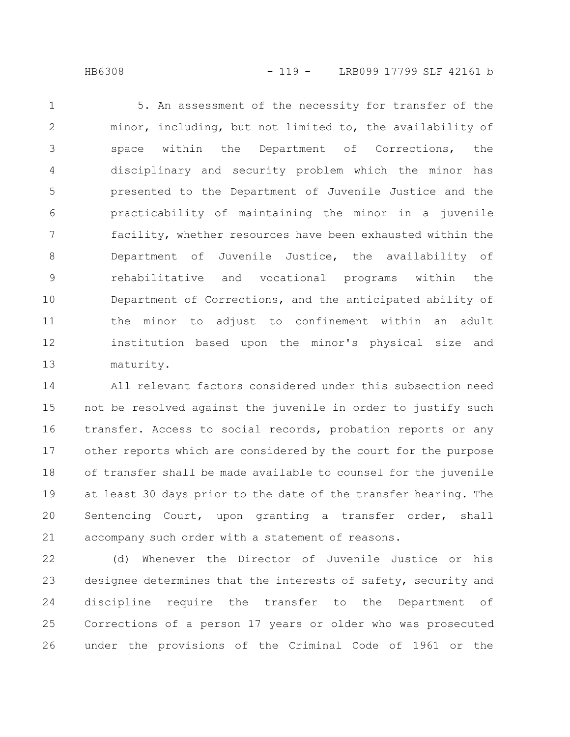HB6308 - 119 - LRB099 17799 SLF 42161 b

5. An assessment of the necessity for transfer of the minor, including, but not limited to, the availability of space within the Department of Corrections, the disciplinary and security problem which the minor has presented to the Department of Juvenile Justice and the practicability of maintaining the minor in a juvenile facility, whether resources have been exhausted within the Department of Juvenile Justice, the availability of rehabilitative and vocational programs within the Department of Corrections, and the anticipated ability of the minor to adjust to confinement within an adult institution based upon the minor's physical size and maturity. 1 2 3 4 5 6 7 8 9 10 11 12 13

All relevant factors considered under this subsection need not be resolved against the juvenile in order to justify such transfer. Access to social records, probation reports or any other reports which are considered by the court for the purpose of transfer shall be made available to counsel for the juvenile at least 30 days prior to the date of the transfer hearing. The Sentencing Court, upon granting a transfer order, shall accompany such order with a statement of reasons. 14 15 16 17 18 19 20 21

(d) Whenever the Director of Juvenile Justice or his designee determines that the interests of safety, security and discipline require the transfer to the Department of Corrections of a person 17 years or older who was prosecuted under the provisions of the Criminal Code of 1961 or the 22 23 24 25 26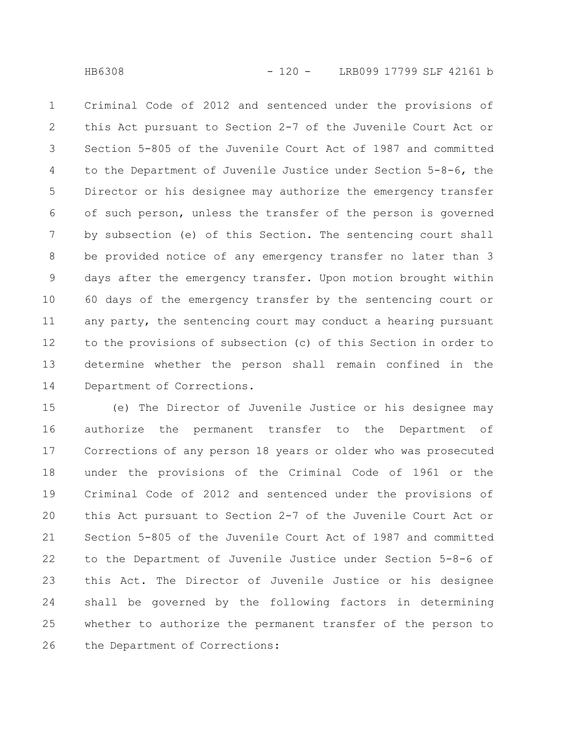Criminal Code of 2012 and sentenced under the provisions of this Act pursuant to Section 2-7 of the Juvenile Court Act or Section 5-805 of the Juvenile Court Act of 1987 and committed to the Department of Juvenile Justice under Section 5-8-6, the Director or his designee may authorize the emergency transfer of such person, unless the transfer of the person is governed by subsection (e) of this Section. The sentencing court shall be provided notice of any emergency transfer no later than 3 days after the emergency transfer. Upon motion brought within 60 days of the emergency transfer by the sentencing court or any party, the sentencing court may conduct a hearing pursuant to the provisions of subsection (c) of this Section in order to determine whether the person shall remain confined in the Department of Corrections. 1 2 3 4 5 6 7 8 9 10 11 12 13 14

(e) The Director of Juvenile Justice or his designee may authorize the permanent transfer to the Department of Corrections of any person 18 years or older who was prosecuted under the provisions of the Criminal Code of 1961 or the Criminal Code of 2012 and sentenced under the provisions of this Act pursuant to Section 2-7 of the Juvenile Court Act or Section 5-805 of the Juvenile Court Act of 1987 and committed to the Department of Juvenile Justice under Section 5-8-6 of this Act. The Director of Juvenile Justice or his designee shall be governed by the following factors in determining whether to authorize the permanent transfer of the person to the Department of Corrections: 15 16 17 18 19 20 21 22 23 24 25 26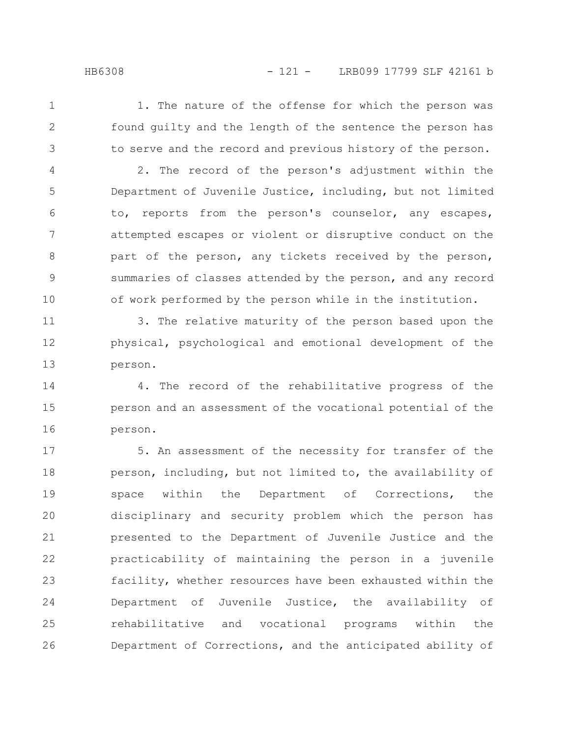1

2

3

1. The nature of the offense for which the person was found guilty and the length of the sentence the person has to serve and the record and previous history of the person.

2. The record of the person's adjustment within the Department of Juvenile Justice, including, but not limited to, reports from the person's counselor, any escapes, attempted escapes or violent or disruptive conduct on the part of the person, any tickets received by the person, summaries of classes attended by the person, and any record of work performed by the person while in the institution. 4 5 6 7 8 9 10

3. The relative maturity of the person based upon the physical, psychological and emotional development of the person. 11 12 13

4. The record of the rehabilitative progress of the person and an assessment of the vocational potential of the person. 14 15 16

5. An assessment of the necessity for transfer of the person, including, but not limited to, the availability of space within the Department of Corrections, the disciplinary and security problem which the person has presented to the Department of Juvenile Justice and the practicability of maintaining the person in a juvenile facility, whether resources have been exhausted within the Department of Juvenile Justice, the availability of rehabilitative and vocational programs within the Department of Corrections, and the anticipated ability of 17 18 19 20 21 22 23 24 25 26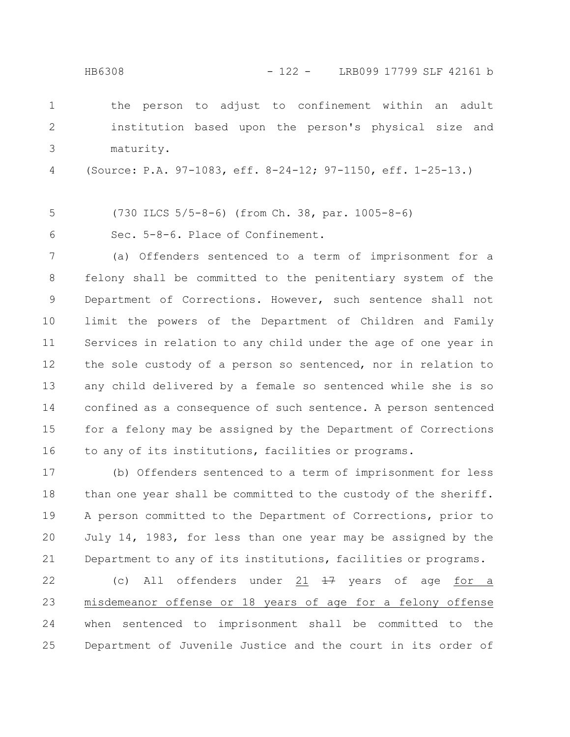HB6308 - 122 - LRB099 17799 SLF 42161 b

the person to adjust to confinement within an adult institution based upon the person's physical size and maturity. 1 2 3

(Source: P.A. 97-1083, eff. 8-24-12; 97-1150, eff. 1-25-13.) 4

(730 ILCS 5/5-8-6) (from Ch. 38, par. 1005-8-6) 5

Sec. 5-8-6. Place of Confinement. 6

(a) Offenders sentenced to a term of imprisonment for a felony shall be committed to the penitentiary system of the Department of Corrections. However, such sentence shall not limit the powers of the Department of Children and Family Services in relation to any child under the age of one year in the sole custody of a person so sentenced, nor in relation to any child delivered by a female so sentenced while she is so confined as a consequence of such sentence. A person sentenced for a felony may be assigned by the Department of Corrections to any of its institutions, facilities or programs. 7 8 9 10 11 12 13 14 15 16

(b) Offenders sentenced to a term of imprisonment for less than one year shall be committed to the custody of the sheriff. A person committed to the Department of Corrections, prior to July 14, 1983, for less than one year may be assigned by the Department to any of its institutions, facilities or programs. 17 18 19 20 21

(c) All offenders under  $21$   $\frac{17}{17}$  years of age for a misdemeanor offense or 18 years of age for a felony offense when sentenced to imprisonment shall be committed to the Department of Juvenile Justice and the court in its order of 22 23 24 25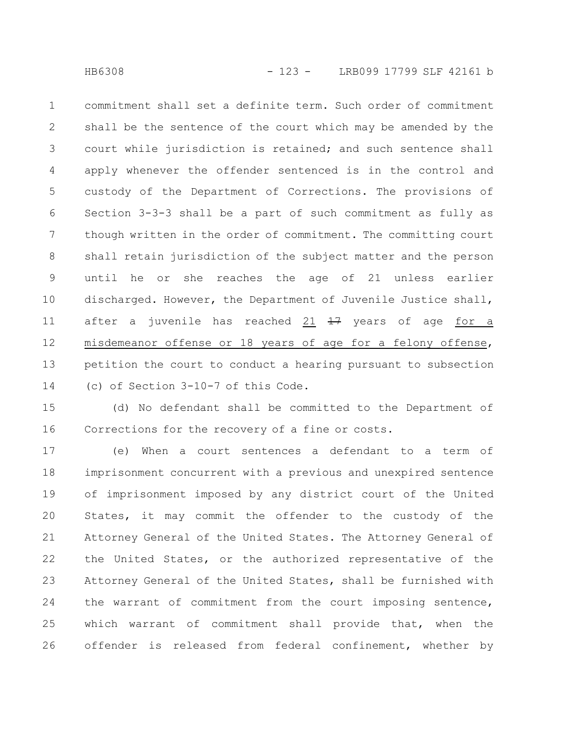commitment shall set a definite term. Such order of commitment shall be the sentence of the court which may be amended by the court while jurisdiction is retained; and such sentence shall apply whenever the offender sentenced is in the control and custody of the Department of Corrections. The provisions of Section 3-3-3 shall be a part of such commitment as fully as though written in the order of commitment. The committing court shall retain jurisdiction of the subject matter and the person until he or she reaches the age of 21 unless earlier discharged. However, the Department of Juvenile Justice shall, after a juvenile has reached 21  $\frac{17}{17}$  years of age for a misdemeanor offense or 18 years of age for a felony offense, petition the court to conduct a hearing pursuant to subsection (c) of Section 3-10-7 of this Code. 1 2 3 4 5 6 7 8 9 10 11 12 13 14

(d) No defendant shall be committed to the Department of Corrections for the recovery of a fine or costs. 15 16

(e) When a court sentences a defendant to a term of imprisonment concurrent with a previous and unexpired sentence of imprisonment imposed by any district court of the United States, it may commit the offender to the custody of the Attorney General of the United States. The Attorney General of the United States, or the authorized representative of the Attorney General of the United States, shall be furnished with the warrant of commitment from the court imposing sentence, which warrant of commitment shall provide that, when the offender is released from federal confinement, whether by 17 18 19 20 21 22 23 24 25 26